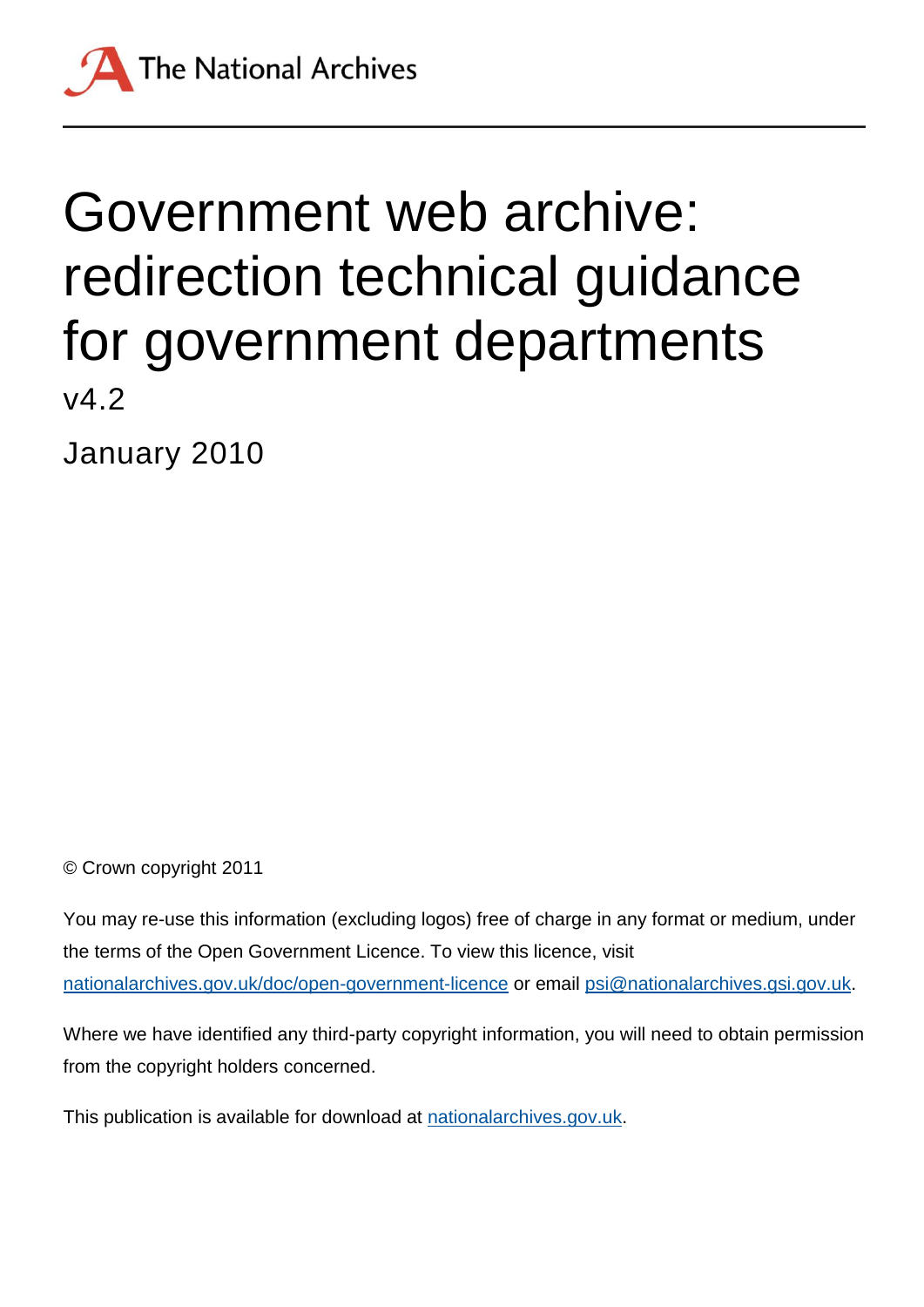

January 2010

© Crown copyright 2011

You may re-use this information (excluding logos) free of charge in any format or medium, under the terms of the Open Government Licence. To view this licence, visit [nationalarchives.gov.uk/doc/open-government-licence](http://nationalarchives.gov.uk/doc/open-government-licence) or email [psi@nationalarchives.gsi.gov.uk.](mailto:psi@nationalarchives.gsi.gov.uk)

Where we have identified any third-party copyright information, you will need to obtain permission from the copyright holders concerned.

This publication is available for download at [nationalarchives.gov.uk.](http://nationalarchives.gov.uk/)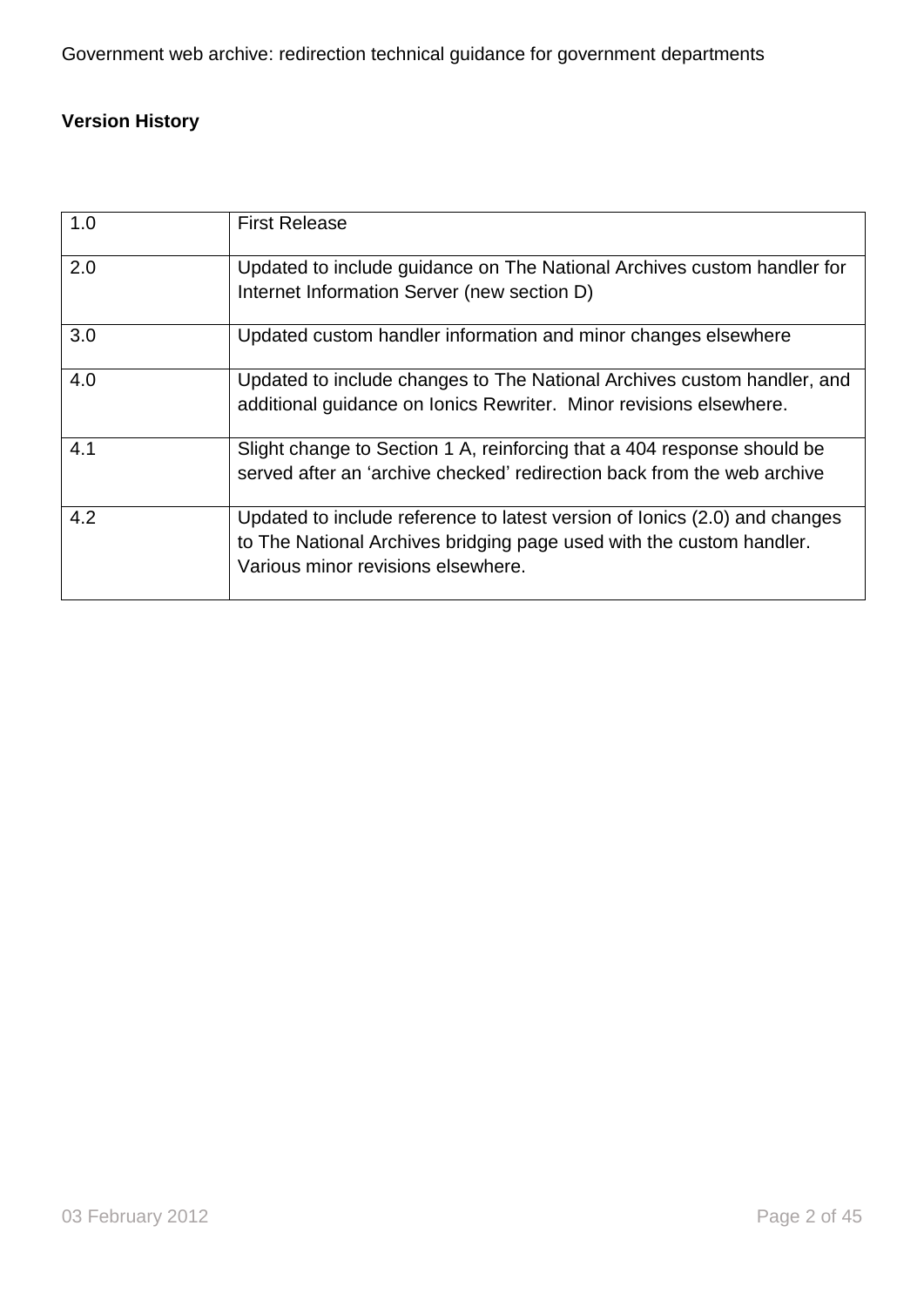## **Version History**

| 1.0 | <b>First Release</b>                                                                                                                                                                     |
|-----|------------------------------------------------------------------------------------------------------------------------------------------------------------------------------------------|
| 2.0 | Updated to include guidance on The National Archives custom handler for<br>Internet Information Server (new section D)                                                                   |
| 3.0 | Updated custom handler information and minor changes elsewhere                                                                                                                           |
| 4.0 | Updated to include changes to The National Archives custom handler, and<br>additional guidance on Ionics Rewriter. Minor revisions elsewhere.                                            |
| 4.1 | Slight change to Section 1 A, reinforcing that a 404 response should be<br>served after an 'archive checked' redirection back from the web archive                                       |
| 4.2 | Updated to include reference to latest version of lonics (2.0) and changes<br>to The National Archives bridging page used with the custom handler.<br>Various minor revisions elsewhere. |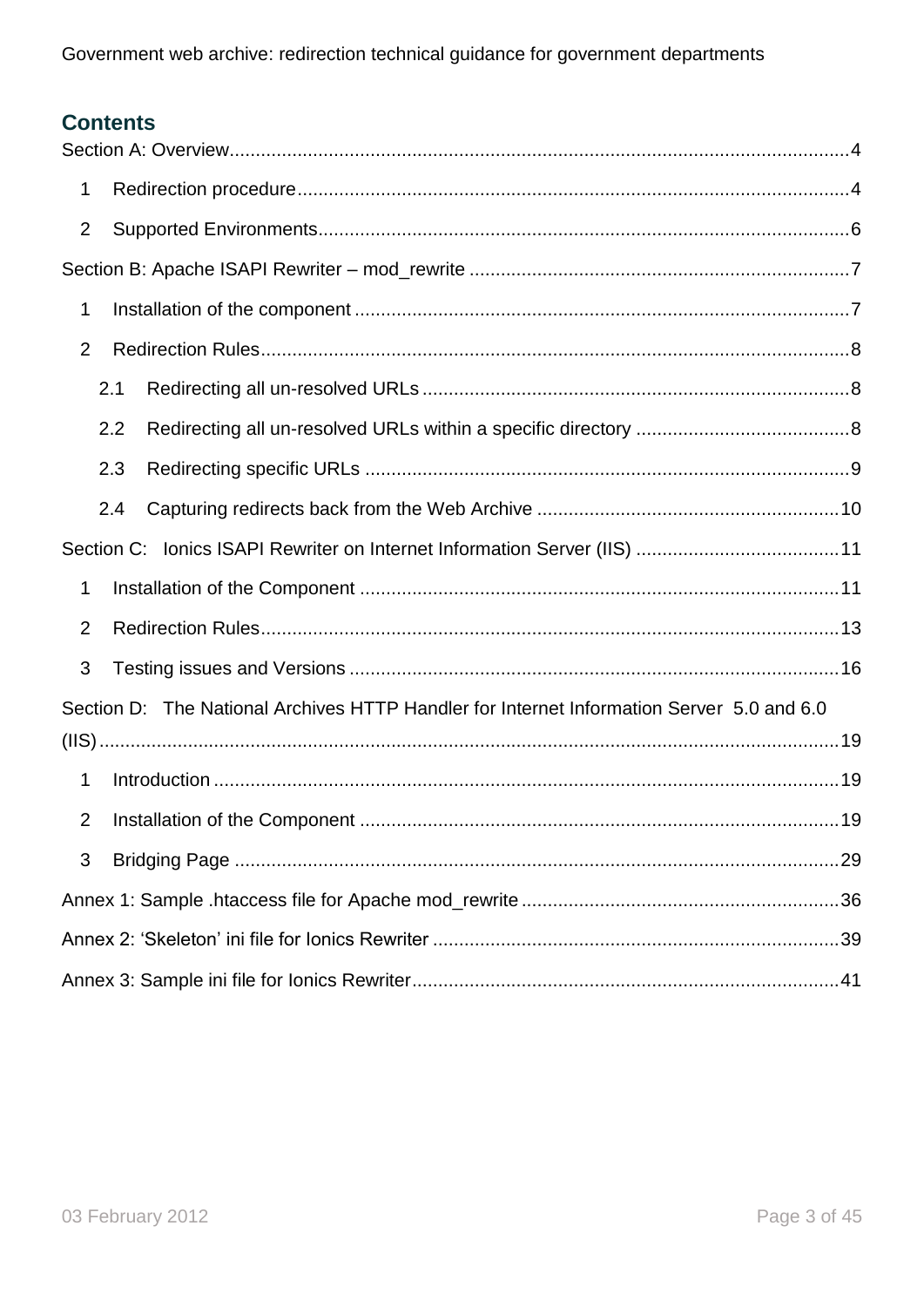## **Contents**

| 1              |                                                                                           |
|----------------|-------------------------------------------------------------------------------------------|
| $\overline{2}$ |                                                                                           |
|                |                                                                                           |
| 1              |                                                                                           |
| $\overline{2}$ |                                                                                           |
|                | 2.1                                                                                       |
|                | 2.2                                                                                       |
|                | 2.3                                                                                       |
|                | 2.4                                                                                       |
|                |                                                                                           |
| 1              |                                                                                           |
| $\overline{2}$ |                                                                                           |
| 3              |                                                                                           |
|                | Section D: The National Archives HTTP Handler for Internet Information Server 5.0 and 6.0 |
|                |                                                                                           |
| 1              |                                                                                           |
| 2              |                                                                                           |
| 3              |                                                                                           |
|                |                                                                                           |
|                |                                                                                           |
|                |                                                                                           |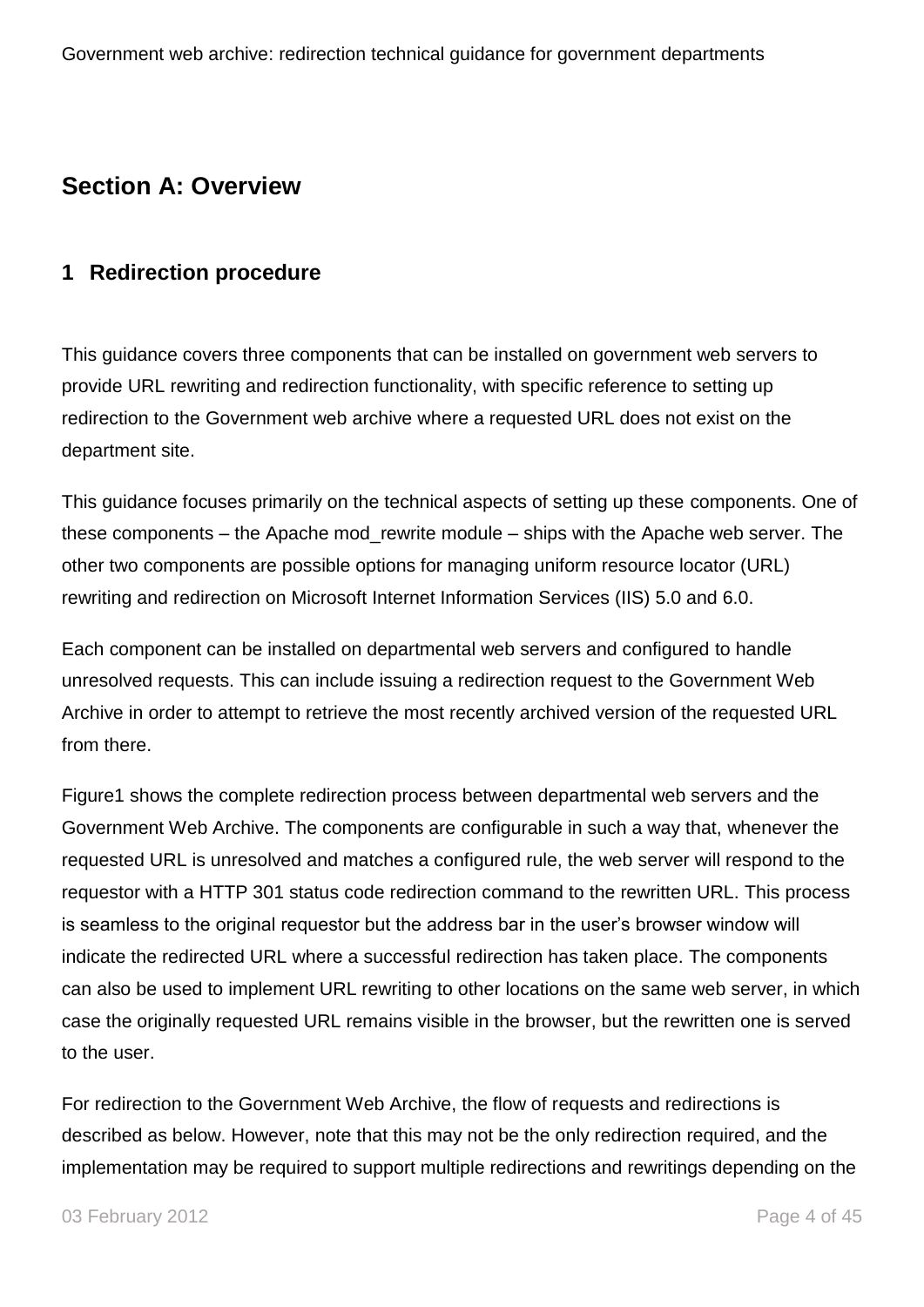## <span id="page-3-0"></span>**Section A: Overview**

## <span id="page-3-1"></span>**1 Redirection procedure**

This guidance covers three components that can be installed on government web servers to provide URL rewriting and redirection functionality, with specific reference to setting up redirection to the Government web archive where a requested URL does not exist on the department site.

This guidance focuses primarily on the technical aspects of setting up these components. One of these components – the Apache mod\_rewrite module – ships with the Apache web server. The other two components are possible options for managing uniform resource locator (URL) rewriting and redirection on Microsoft Internet Information Services (IIS) 5.0 and 6.0.

Each component can be installed on departmental web servers and configured to handle unresolved requests. This can include issuing a redirection request to the Government Web Archive in order to attempt to retrieve the most recently archived version of the requested URL from there.

Figure1 shows the complete redirection process between departmental web servers and the Government Web Archive. The components are configurable in such a way that, whenever the requested URL is unresolved and matches a configured rule, the web server will respond to the requestor with a HTTP 301 status code redirection command to the rewritten URL. This process is seamless to the original requestor but the address bar in the user"s browser window will indicate the redirected URL where a successful redirection has taken place. The components can also be used to implement URL rewriting to other locations on the same web server, in which case the originally requested URL remains visible in the browser, but the rewritten one is served to the user.

For redirection to the Government Web Archive, the flow of requests and redirections is described as below. However, note that this may not be the only redirection required, and the implementation may be required to support multiple redirections and rewritings depending on the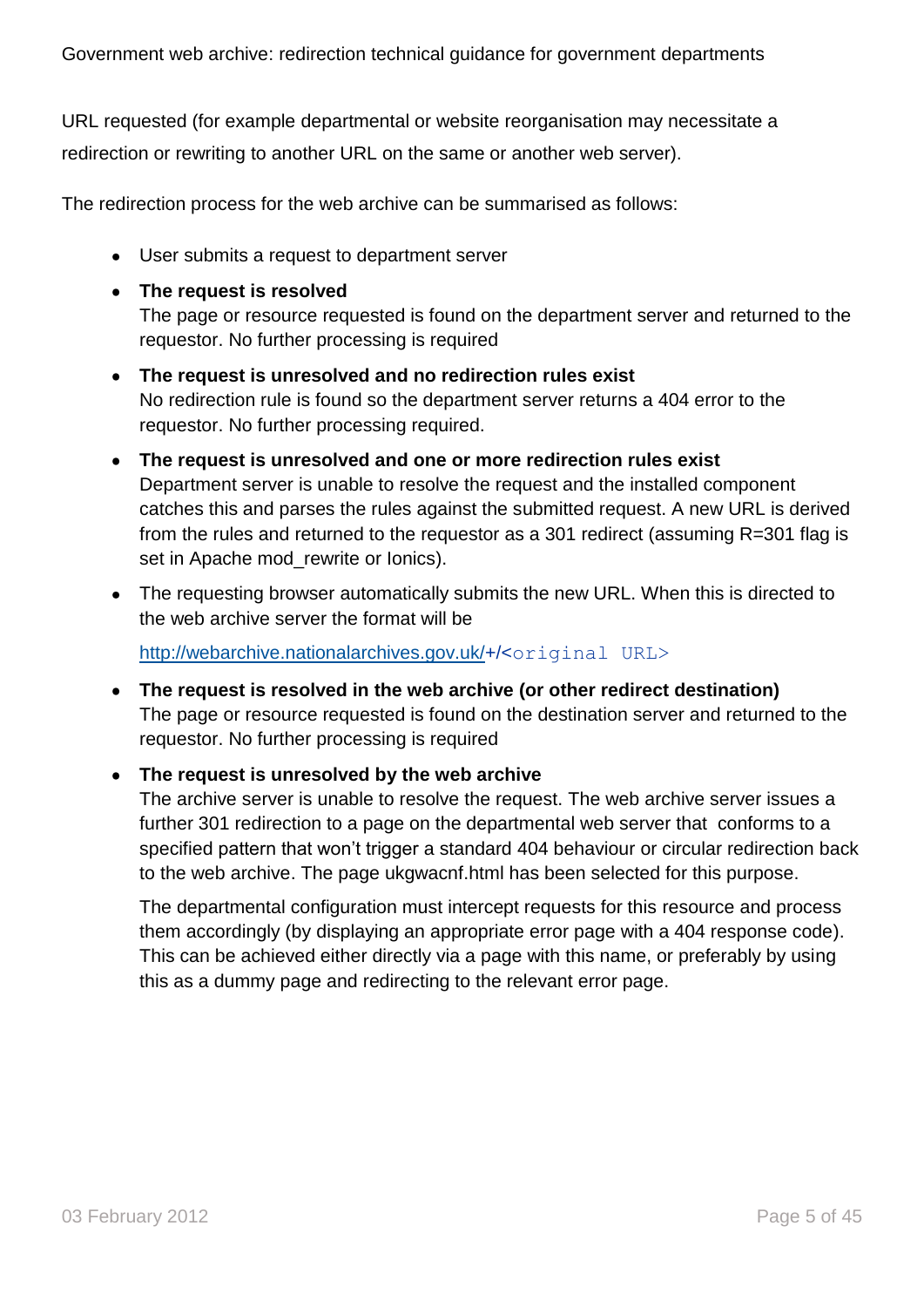URL requested (for example departmental or website reorganisation may necessitate a redirection or rewriting to another URL on the same or another web server).

The redirection process for the web archive can be summarised as follows:

User submits a request to department server

#### **The request is resolved**

The page or resource requested is found on the department server and returned to the requestor. No further processing is required

- **The request is unresolved and no redirection rules exist** No redirection rule is found so the department server returns a 404 error to the requestor. No further processing required.
- **The request is unresolved and one or more redirection rules exist** Department server is unable to resolve the request and the installed component catches this and parses the rules against the submitted request. A new URL is derived from the rules and returned to the requestor as a 301 redirect (assuming R=301 flag is set in Apache mod rewrite or Ionics).
- The requesting browser automatically submits the new URL. When this is directed to the web archive server the format will be

[http://webarchive.nationalarchives.gov.uk/+](http://webarchive.nationalarchives.gov.uk/)/<original URL>

**The request is resolved in the web archive (or other redirect destination)**  The page or resource requested is found on the destination server and returned to the requestor. No further processing is required

#### **The request is unresolved by the web archive**

The archive server is unable to resolve the request. The web archive server issues a further 301 redirection to a page on the departmental web server that conforms to a specified pattern that won"t trigger a standard 404 behaviour or circular redirection back to the web archive. The page ukgwacnf.html has been selected for this purpose.

The departmental configuration must intercept requests for this resource and process them accordingly (by displaying an appropriate error page with a 404 response code). This can be achieved either directly via a page with this name, or preferably by using this as a dummy page and redirecting to the relevant error page.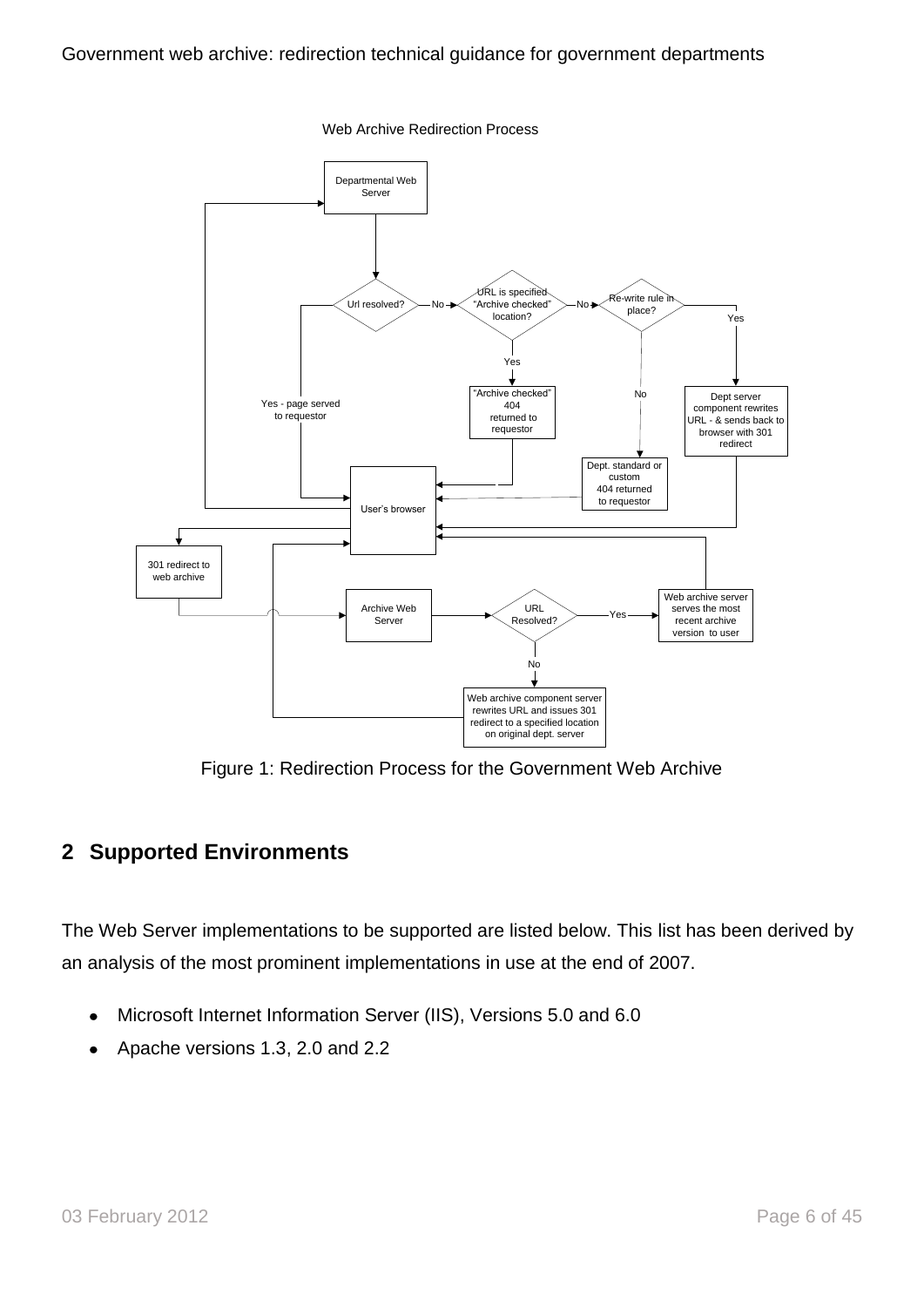

Web Archive Redirection Process

Figure 1: Redirection Process for the Government Web Archive

### <span id="page-5-0"></span>**2 Supported Environments**

The Web Server implementations to be supported are listed below. This list has been derived by an analysis of the most prominent implementations in use at the end of 2007.

- Microsoft Internet Information Server (IIS), Versions 5.0 and 6.0
- Apache versions 1.3, 2.0 and 2.2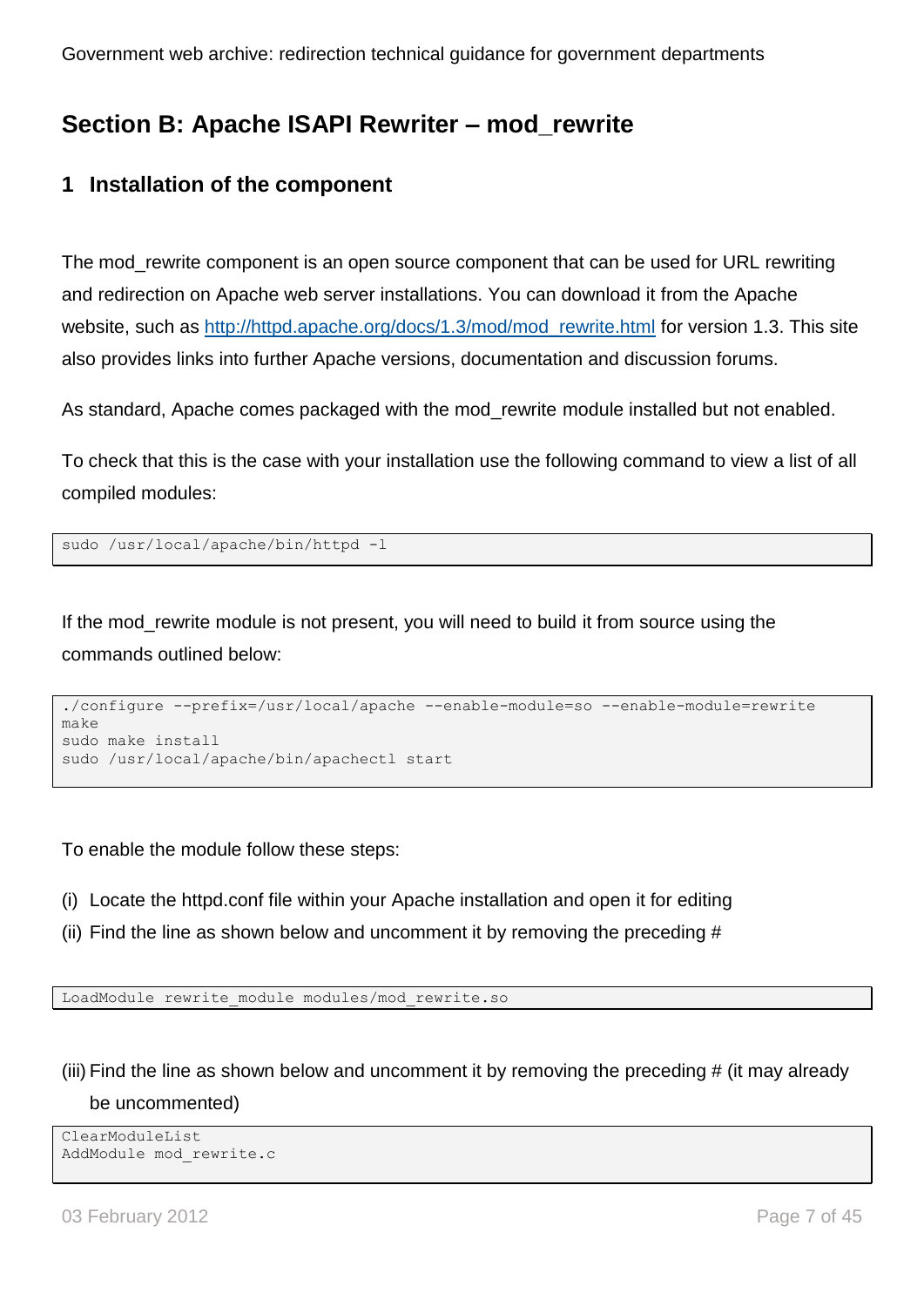## <span id="page-6-0"></span>**Section B: Apache ISAPI Rewriter – mod\_rewrite**

## <span id="page-6-1"></span>**1 Installation of the component**

The mod rewrite component is an open source component that can be used for URL rewriting and redirection on Apache web server installations. You can download it from the Apache website, such as [http://httpd.apache.org/docs/1.3/mod/mod\\_rewrite.html](http://httpd.apache.org/docs/1.3/mod/mod_rewrite.html) for version 1.3. This site also provides links into further Apache versions, documentation and discussion forums.

As standard, Apache comes packaged with the mod\_rewrite module installed but not enabled.

To check that this is the case with your installation use the following command to view a list of all compiled modules:

```
sudo /usr/local/apache/bin/httpd -l
```
If the mod rewrite module is not present, you will need to build it from source using the commands outlined below:

```
./configure --prefix=/usr/local/apache --enable-module=so --enable-module=rewrite 
make
sudo make install
sudo /usr/local/apache/bin/apachectl start
```
To enable the module follow these steps:

- (i) Locate the httpd.conf file within your Apache installation and open it for editing
- (ii) Find the line as shown below and uncomment it by removing the preceding #

LoadModule rewrite\_module modules/mod\_rewrite.so

(iii) Find the line as shown below and uncomment it by removing the preceding # (it may already be uncommented)

```
ClearModuleList
AddModule mod_rewrite.c
```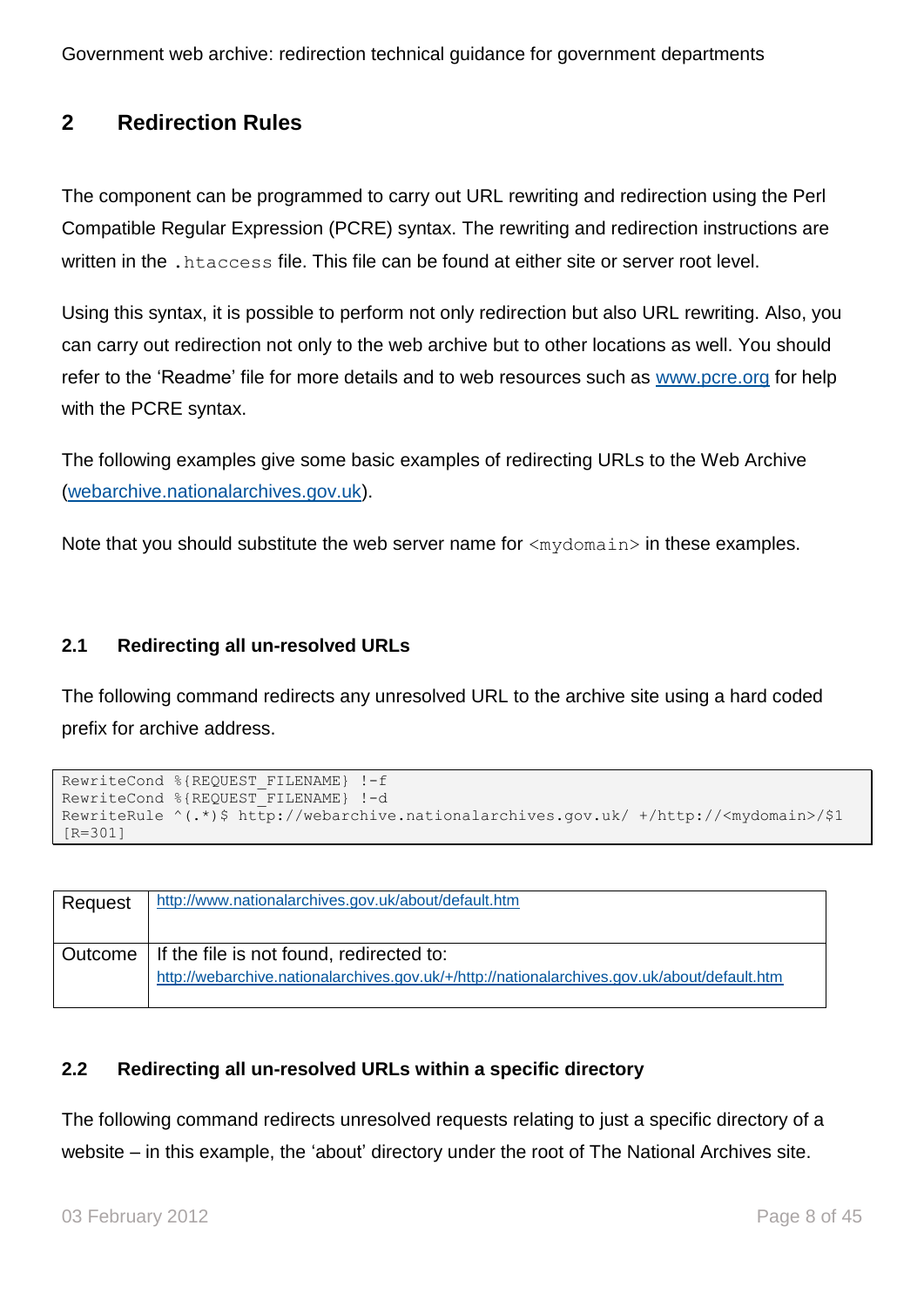## <span id="page-7-0"></span>**2 Redirection Rules**

The component can be programmed to carry out URL rewriting and redirection using the Perl Compatible Regular Expression (PCRE) syntax. The rewriting and redirection instructions are written in the .htaccess file. This file can be found at either site or server root level.

Using this syntax, it is possible to perform not only redirection but also URL rewriting. Also, you can carry out redirection not only to the web archive but to other locations as well. You should refer to the "Readme" file for more details and to web resources such as [www.pcre.org](http://www.pcre.org/) for help with the PCRE syntax.

The following examples give some basic examples of redirecting URLs to the Web Archive [\(webarchive.nationalarchives.gov.uk\)](http://webarchive.nationalarchives.gov.uk/).

Note that you should substitute the web server name for  $\langle mydomain \rangle$  in these examples.

#### <span id="page-7-1"></span>**2.1 Redirecting all un-resolved URLs**

The following command redirects any unresolved URL to the archive site using a hard coded prefix for archive address.

```
RewriteCond %{REQUEST_FILENAME} !-f
RewriteCond %{REQUEST FILENAME} !-d
RewriteRule ^(.*)$ http://webarchive.nationalarchives.gov.uk/ +/http://<mydomain>/$1 
[R=301]
```

| Request | http://www.nationalarchives.gov.uk/about/default.htm                                                                                               |
|---------|----------------------------------------------------------------------------------------------------------------------------------------------------|
|         | Outcome   If the file is not found, redirected to:<br>http://webarchive.nationalarchives.gov.uk/+/http://nationalarchives.gov.uk/about/default.htm |

#### <span id="page-7-2"></span>**2.2 Redirecting all un-resolved URLs within a specific directory**

The following command redirects unresolved requests relating to just a specific directory of a website – in this example, the "about" directory under the root of The National Archives site.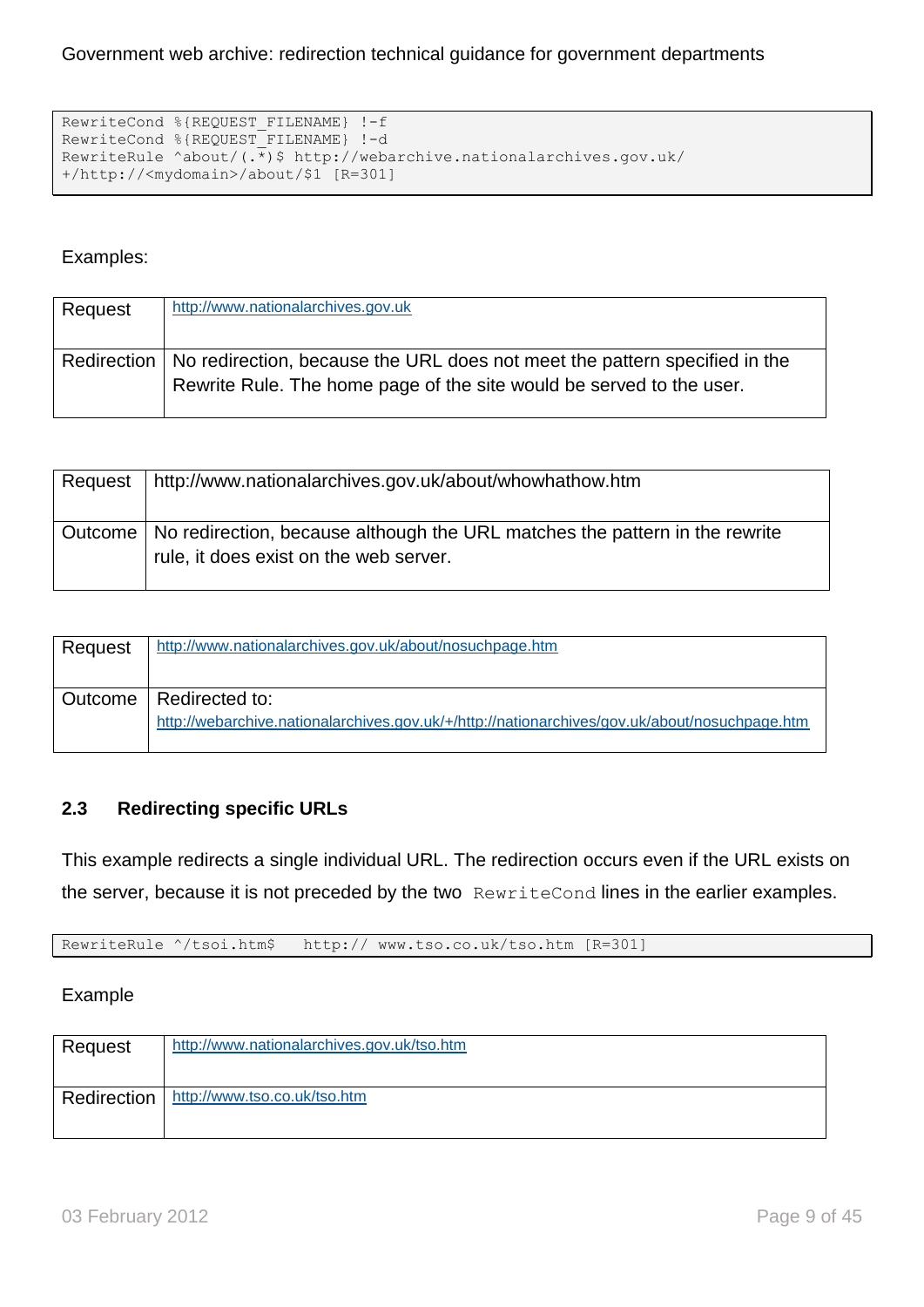```
RewriteCond %{REQUEST FILENAME} !-f
RewriteCond %{REQUEST FILENAME} !-d
RewriteRule ^about/(.*)$ http://webarchive.nationalarchives.gov.uk/ 
+/http://<mydomain>/about/$1 [R=301]
```
#### Examples:

| Request | http://www.nationalarchives.gov.uk                                                                                                                               |
|---------|------------------------------------------------------------------------------------------------------------------------------------------------------------------|
|         | Redirection   No redirection, because the URL does not meet the pattern specified in the<br>Rewrite Rule. The home page of the site would be served to the user. |

| Request | http://www.nationalarchives.gov.uk/about/whowhathow.htm                                                                         |
|---------|---------------------------------------------------------------------------------------------------------------------------------|
|         | Outcome   No redirection, because although the URL matches the pattern in the rewrite<br>rule, it does exist on the web server. |

| Request | http://www.nationalarchives.gov.uk/about/nosuchpage.htm                                                                   |
|---------|---------------------------------------------------------------------------------------------------------------------------|
|         | Outcome   Redirected to:<br>http://webarchive.nationalarchives.gov.uk/+/http://nationarchives/gov.uk/about/nosuchpage.htm |

#### <span id="page-8-0"></span>**2.3 Redirecting specific URLs**

This example redirects a single individual URL. The redirection occurs even if the URL exists on the server, because it is not preceded by the two RewriteCond lines in the earlier examples.

RewriteRule ^/tsoi.htm\$ http:// www.tso.co.uk/tso.htm [R=301]

#### Example

| Request | http://www.nationalarchives.gov.uk/tso.htm |
|---------|--------------------------------------------|
|         | Redirection   http://www.tso.co.uk/tso.htm |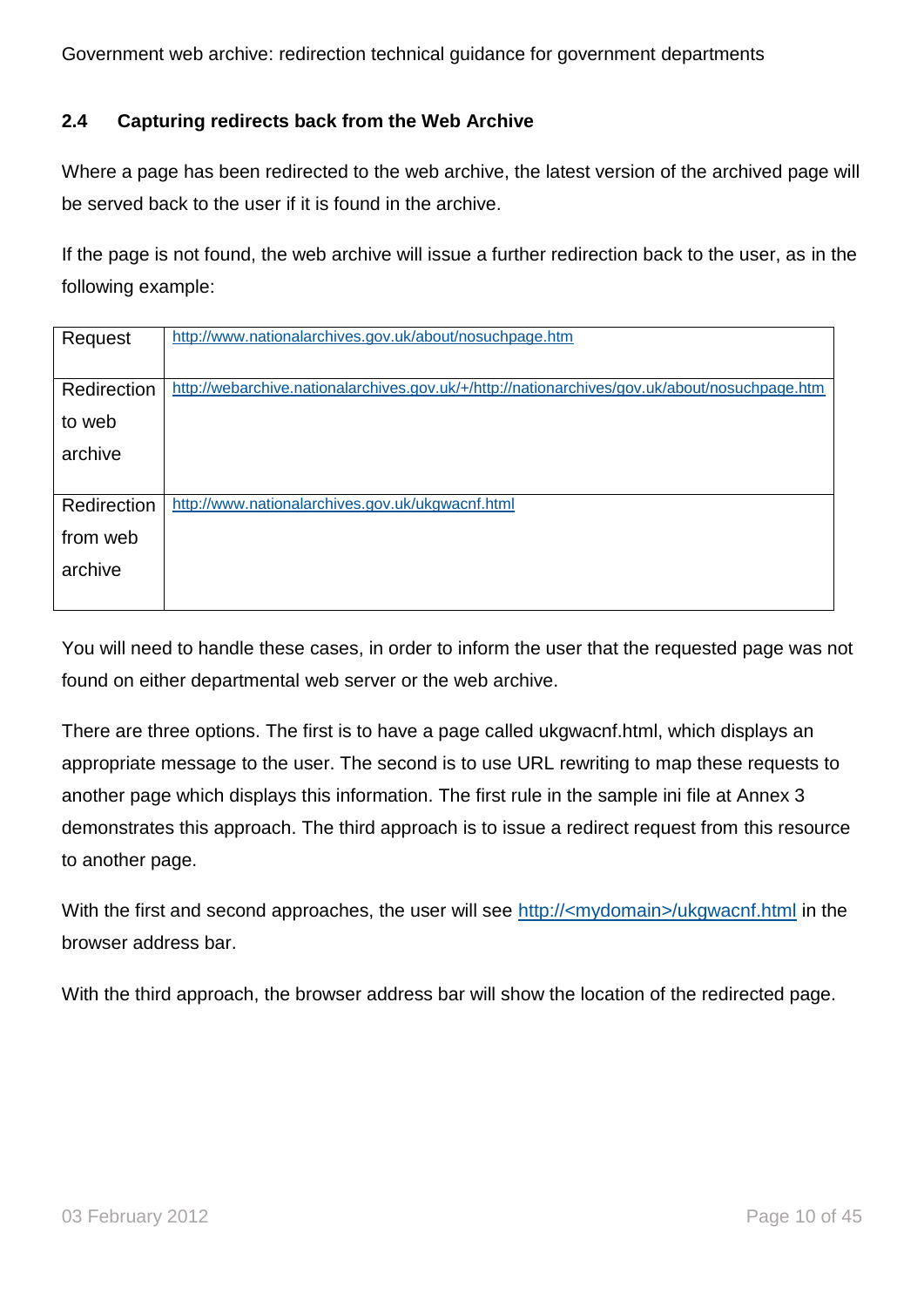#### <span id="page-9-0"></span>**2.4 Capturing redirects back from the Web Archive**

Where a page has been redirected to the web archive, the latest version of the archived page will be served back to the user if it is found in the archive.

If the page is not found, the web archive will issue a further redirection back to the user, as in the following example:

| Request     | http://www.nationalarchives.gov.uk/about/nosuchpage.htm                                       |
|-------------|-----------------------------------------------------------------------------------------------|
|             |                                                                                               |
| Redirection | http://webarchive.nationalarchives.gov.uk/+/http://nationarchives/gov.uk/about/nosuchpage.htm |
| to web      |                                                                                               |
| archive     |                                                                                               |
|             |                                                                                               |
| Redirection | http://www.nationalarchives.gov.uk/ukgwacnf.html                                              |
| from web    |                                                                                               |
| archive     |                                                                                               |
|             |                                                                                               |

You will need to handle these cases, in order to inform the user that the requested page was not found on either departmental web server or the web archive.

There are three options. The first is to have a page called ukgwacnf.html, which displays an appropriate message to the user. The second is to use URL rewriting to map these requests to another page which displays this information. The first rule in the sample ini file at Annex 3 demonstrates this approach. The third approach is to issue a redirect request from this resource to another page.

With the first and second approaches, the user will see http://<mydomain>/ukgwacnf.html in the browser address bar.

With the third approach, the browser address bar will show the location of the redirected page.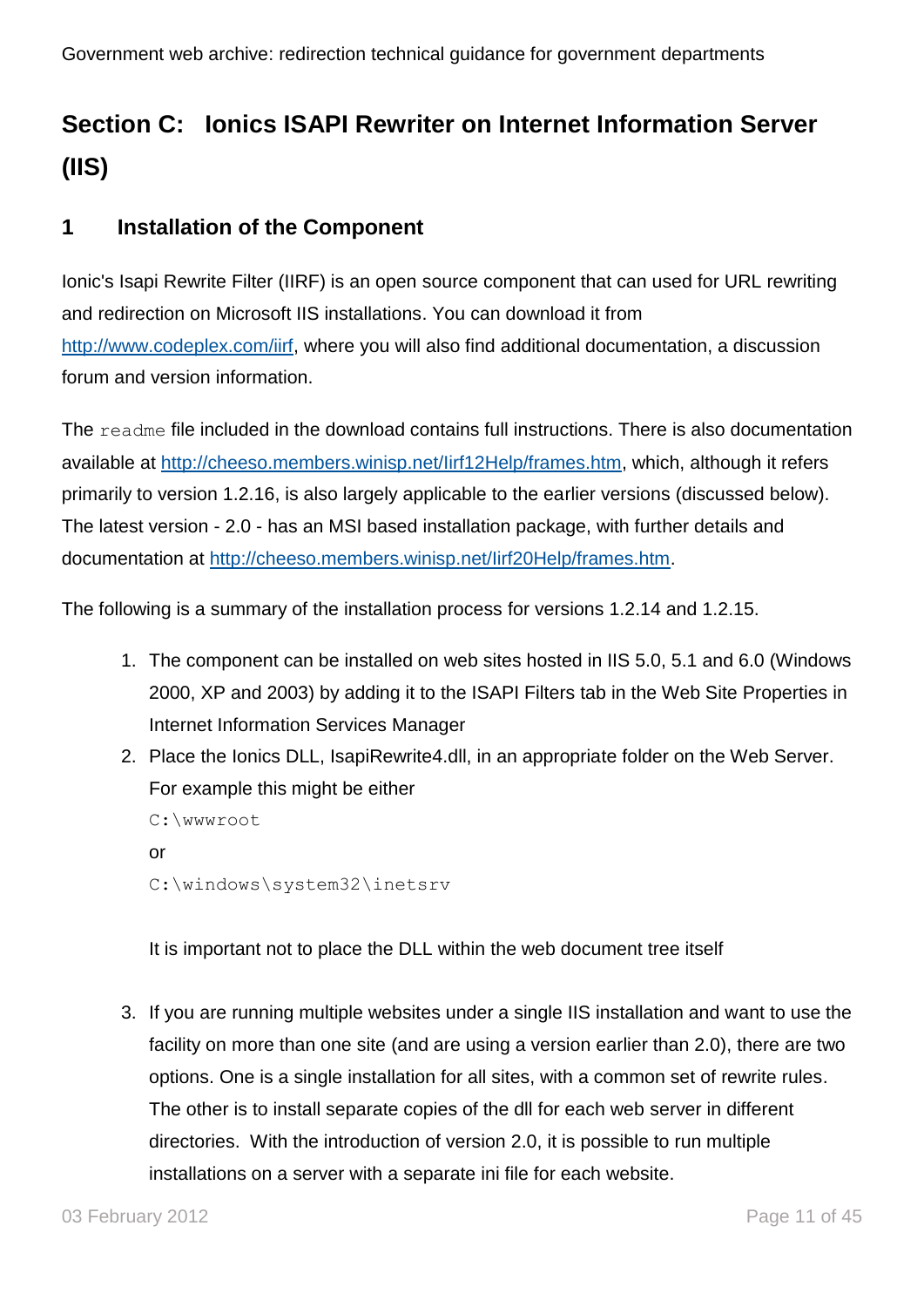## <span id="page-10-0"></span>**Section C: Ionics ISAPI Rewriter on Internet Information Server (IIS)**

## <span id="page-10-1"></span>**1 Installation of the Component**

Ionic's Isapi Rewrite Filter (IIRF) is an open source component that can used for URL rewriting and redirection on Microsoft IIS installations. You can download it from [http://www.codeplex.com/iirf,](http://www.codeplex.com/iirf) where you will also find additional documentation, a discussion forum and version information.

The readme file included in the download contains full instructions. There is also documentation available at [http://cheeso.members.winisp.net/Iirf12Help/frames.htm,](http://cheeso.members.winisp.net/Iirf12Help/frames.htm) which, although it refers primarily to version 1.2.16, is also largely applicable to the earlier versions (discussed below). The latest version - 2.0 - has an MSI based installation package, with further details and documentation at [http://cheeso.members.winisp.net/Iirf20Help/frames.htm.](http://cheeso.members.winisp.net/Iirf20Help/frames.htm)

The following is a summary of the installation process for versions 1.2.14 and 1.2.15.

- 1. The component can be installed on web sites hosted in IIS 5.0, 5.1 and 6.0 (Windows 2000, XP and 2003) by adding it to the ISAPI Filters tab in the Web Site Properties in Internet Information Services Manager
- 2. Place the Ionics DLL, IsapiRewrite4.dll, in an appropriate folder on the Web Server. For example this might be either

```
C:\wwwroot
or
C:\windows\system32\inetsrv
```
It is important not to place the DLL within the web document tree itself

3. If you are running multiple websites under a single IIS installation and want to use the facility on more than one site (and are using a version earlier than 2.0), there are two options. One is a single installation for all sites, with a common set of rewrite rules. The other is to install separate copies of the dll for each web server in different directories. With the introduction of version 2.0, it is possible to run multiple installations on a server with a separate ini file for each website.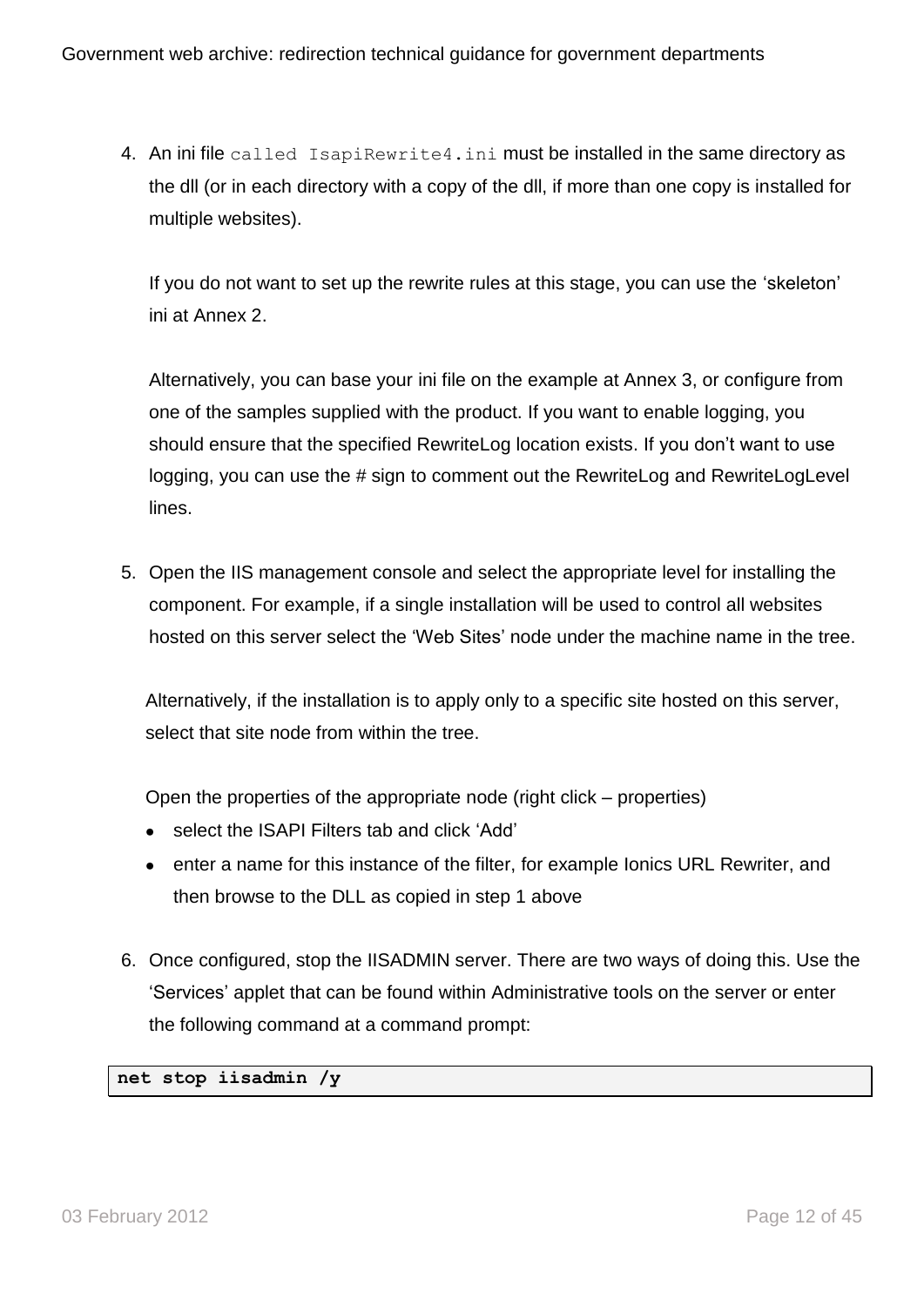4. An ini file called IsapiRewrite4.ini must be installed in the same directory as the dll (or in each directory with a copy of the dll, if more than one copy is installed for multiple websites).

If you do not want to set up the rewrite rules at this stage, you can use the "skeleton" ini at Annex 2.

Alternatively, you can base your ini file on the example at Annex 3, or configure from one of the samples supplied with the product. If you want to enable logging, you should ensure that the specified RewriteLog location exists. If you don"t want to use logging, you can use the # sign to comment out the RewriteLog and RewriteLogLevel lines.

5. Open the IIS management console and select the appropriate level for installing the component. For example, if a single installation will be used to control all websites hosted on this server select the "Web Sites" node under the machine name in the tree.

Alternatively, if the installation is to apply only to a specific site hosted on this server, select that site node from within the tree.

Open the properties of the appropriate node (right click – properties)

- select the ISAPI Filters tab and click 'Add'
- enter a name for this instance of the filter, for example Ionics URL Rewriter, and then browse to the DLL as copied in step 1 above
- 6. Once configured, stop the IISADMIN server. There are two ways of doing this. Use the "Services" applet that can be found within Administrative tools on the server or enter the following command at a command prompt:

**net stop iisadmin /y**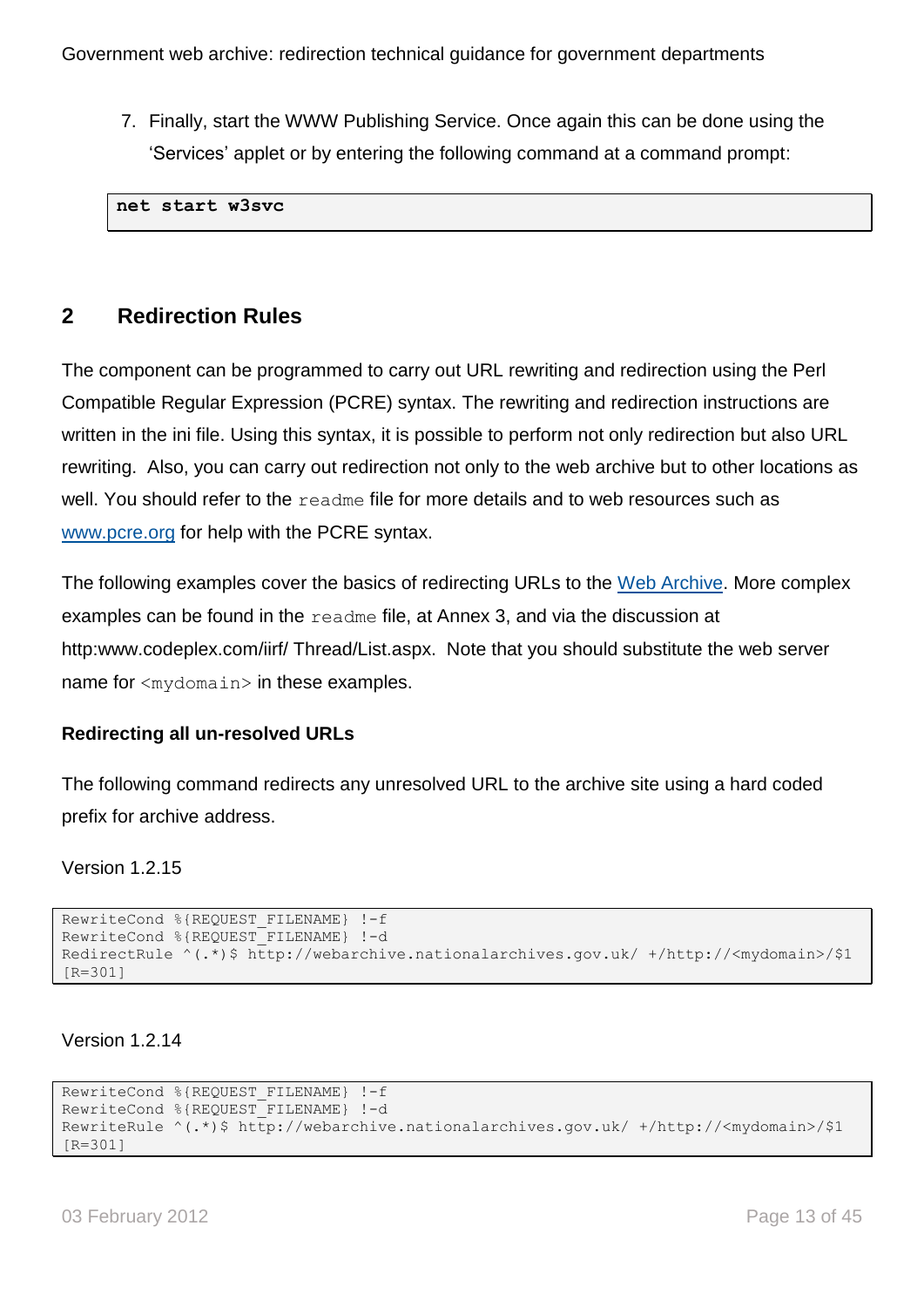7. Finally, start the WWW Publishing Service. Once again this can be done using the "Services" applet or by entering the following command at a command prompt:

**net start w3svc**

## <span id="page-12-0"></span>**2 Redirection Rules**

The component can be programmed to carry out URL rewriting and redirection using the Perl Compatible Regular Expression (PCRE) syntax. The rewriting and redirection instructions are written in the ini file. Using this syntax, it is possible to perform not only redirection but also URL rewriting. Also, you can carry out redirection not only to the web archive but to other locations as well. You should refer to the readme file for more details and to web resources such as [www.pcre.org](http://www.pcre.org/) for help with the PCRE syntax.

The following examples cover the basics of redirecting URLs to the [Web Archive.](http://webarchive.nationalarchives.gov.uk/) More complex examples can be found in the readme file, at Annex 3, and via the discussion at http:www.codeplex.com/iirf/ Thread/List.aspx. Note that you should substitute the web server name for <mydomain> in these examples.

#### **Redirecting all un-resolved URLs**

The following command redirects any unresolved URL to the archive site using a hard coded prefix for archive address.

Version 1.2.15

```
RewriteCond %{REQUEST_FILENAME} !-f
RewriteCond %{REQUEST FILENAME} !-d
RedirectRule ^(.*)$ http://webarchive.nationalarchives.gov.uk/ +/http://<mydomain>/$1 
[R=301]
```
Version 1.2.14

```
RewriteCond %{REQUEST_FILENAME} !-f
RewriteCond %{REQUEST_FILENAME} !-d 
RewriteRule ^(.*)$ http://webarchive.nationalarchives.gov.uk/ +/http://<mydomain>/$1 
[R=301]
```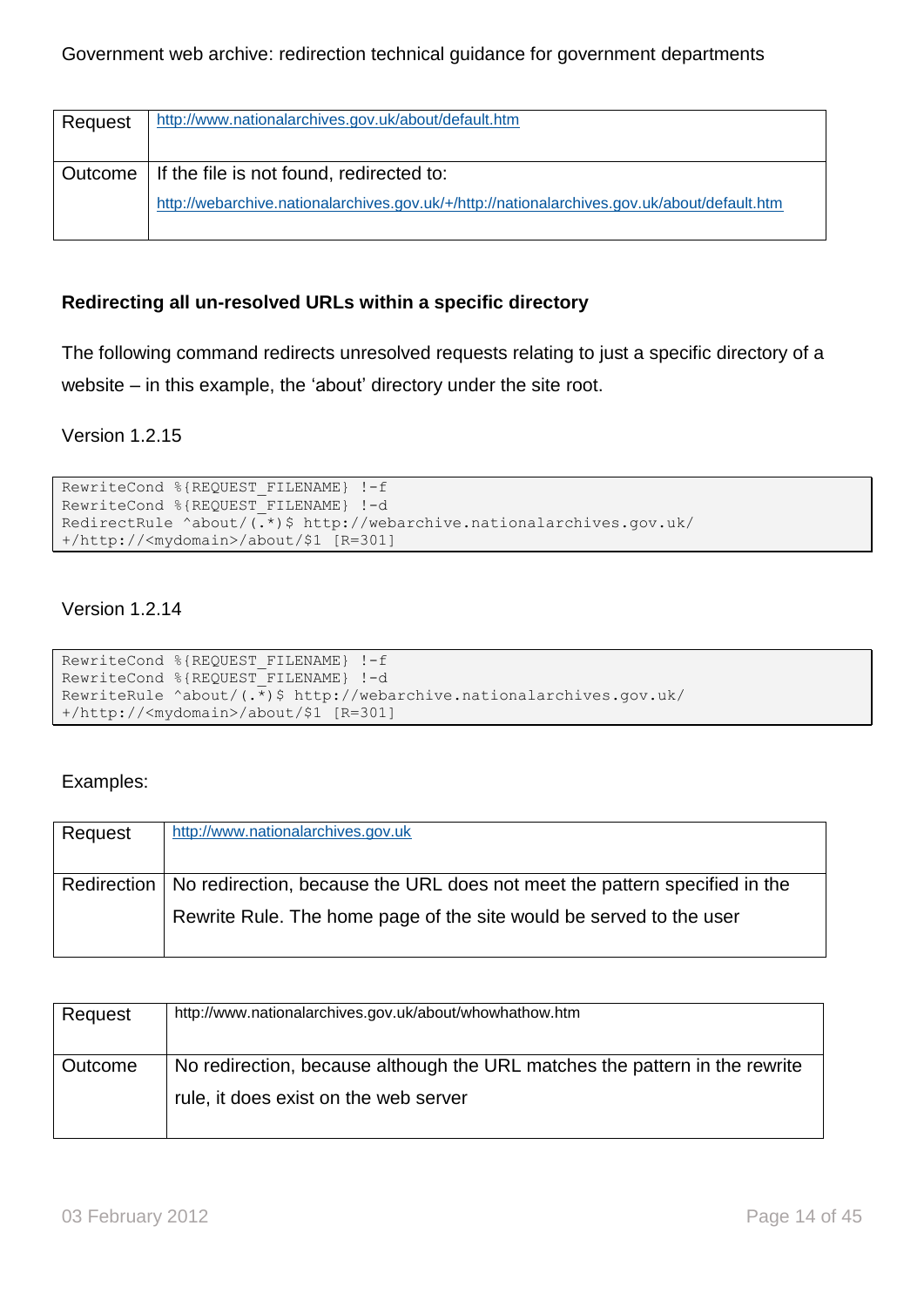| Request | http://www.nationalarchives.gov.uk/about/default.htm                                         |
|---------|----------------------------------------------------------------------------------------------|
|         | Outcome   If the file is not found, redirected to:                                           |
|         | http://webarchive.nationalarchives.gov.uk/+/http://nationalarchives.gov.uk/about/default.htm |

#### **Redirecting all un-resolved URLs within a specific directory**

The following command redirects unresolved requests relating to just a specific directory of a website – in this example, the "about" directory under the site root.

#### Version 1.2.15

```
RewriteCond %{REQUEST FILENAME} !-f
RewriteCond %{REQUEST FILENAME} !-d
RedirectRule ^about/(.*)$ http://webarchive.nationalarchives.gov.uk/ 
+/http://<mydomain>/about/$1 [R=301]
```
#### Version 1.2.14

```
RewriteCond %{REQUEST_FILENAME} !-f 
RewriteCond %{REQUEST_FILENAME} !-d
RewriteRule ^about/(.*)$ http://webarchive.nationalarchives.gov.uk/ 
+/http://<mydomain>/about/$1 [R=301]
```
#### Examples:

| Request | http://www.nationalarchives.gov.uk                                                       |
|---------|------------------------------------------------------------------------------------------|
|         |                                                                                          |
|         | Redirection   No redirection, because the URL does not meet the pattern specified in the |
|         | Rewrite Rule. The home page of the site would be served to the user                      |
|         |                                                                                          |

| Request | http://www.nationalarchives.gov.uk/about/whowhathow.htm                                                              |
|---------|----------------------------------------------------------------------------------------------------------------------|
| Outcome | No redirection, because although the URL matches the pattern in the rewrite<br>rule, it does exist on the web server |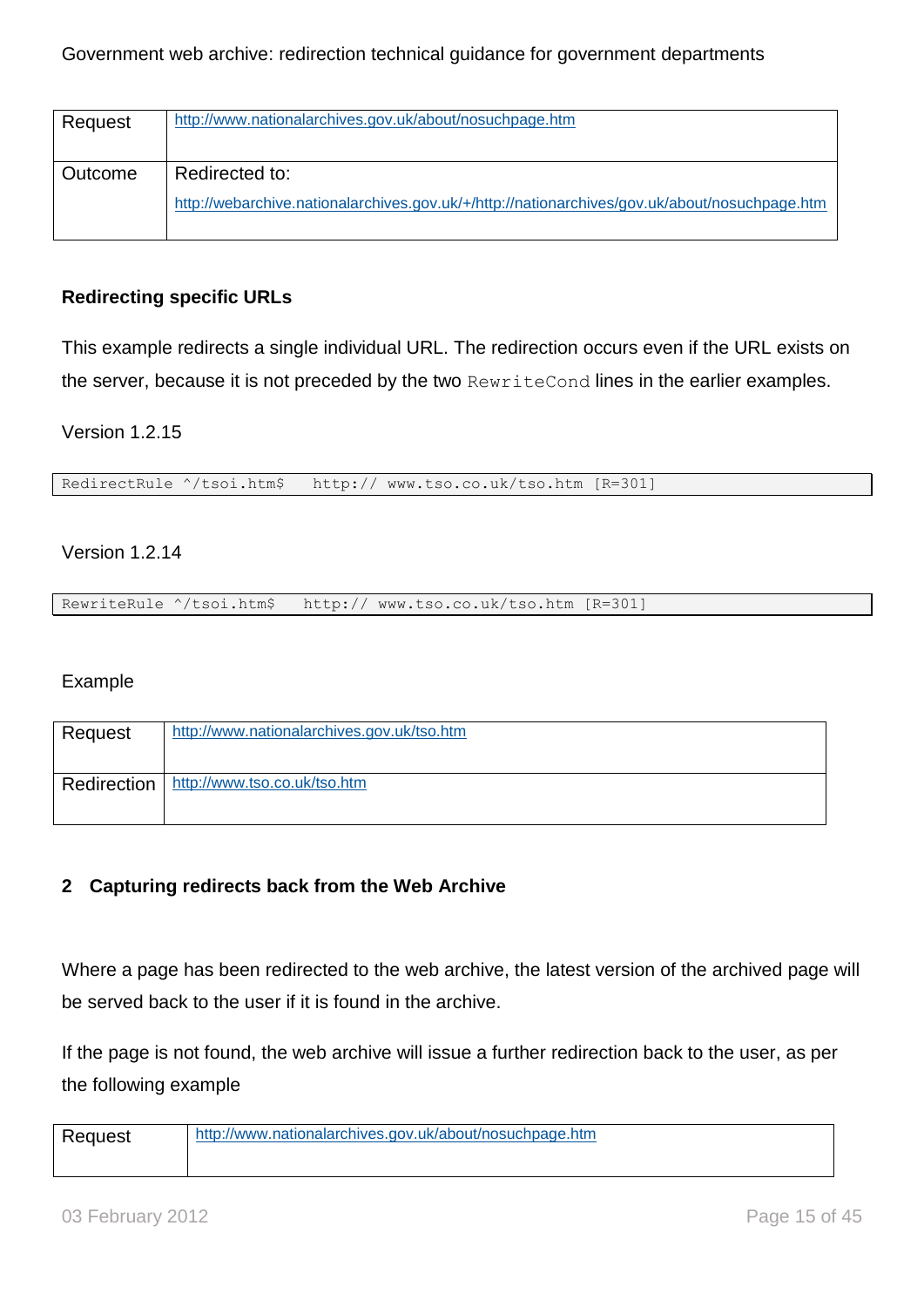| Request | http://www.nationalarchives.gov.uk/about/nosuchpage.htm                                       |
|---------|-----------------------------------------------------------------------------------------------|
| Outcome | Redirected to:                                                                                |
|         | http://webarchive.nationalarchives.gov.uk/+/http://nationarchives/gov.uk/about/nosuchpage.htm |

#### **Redirecting specific URLs**

This example redirects a single individual URL. The redirection occurs even if the URL exists on the server, because it is not preceded by the two RewriteCond lines in the earlier examples.

#### Version 1.2.15

RedirectRule ^/tsoi.htm\$ http:// www.tso.co.uk/tso.htm [R=301]

#### Version 1.2.14

RewriteRule ^/tsoi.htm\$ http:// www.tso.co.uk/tso.htm [R=301]

#### Example

| Request | http://www.nationalarchives.gov.uk/tso.htm |
|---------|--------------------------------------------|
|         | Redirection   http://www.tso.co.uk/tso.htm |

#### **2 Capturing redirects back from the Web Archive**

Where a page has been redirected to the web archive, the latest version of the archived page will be served back to the user if it is found in the archive.

If the page is not found, the web archive will issue a further redirection back to the user, as per the following example

| Request | http://www.nationalarchives.gov.uk/about/nosuchpage.htm |
|---------|---------------------------------------------------------|
|         |                                                         |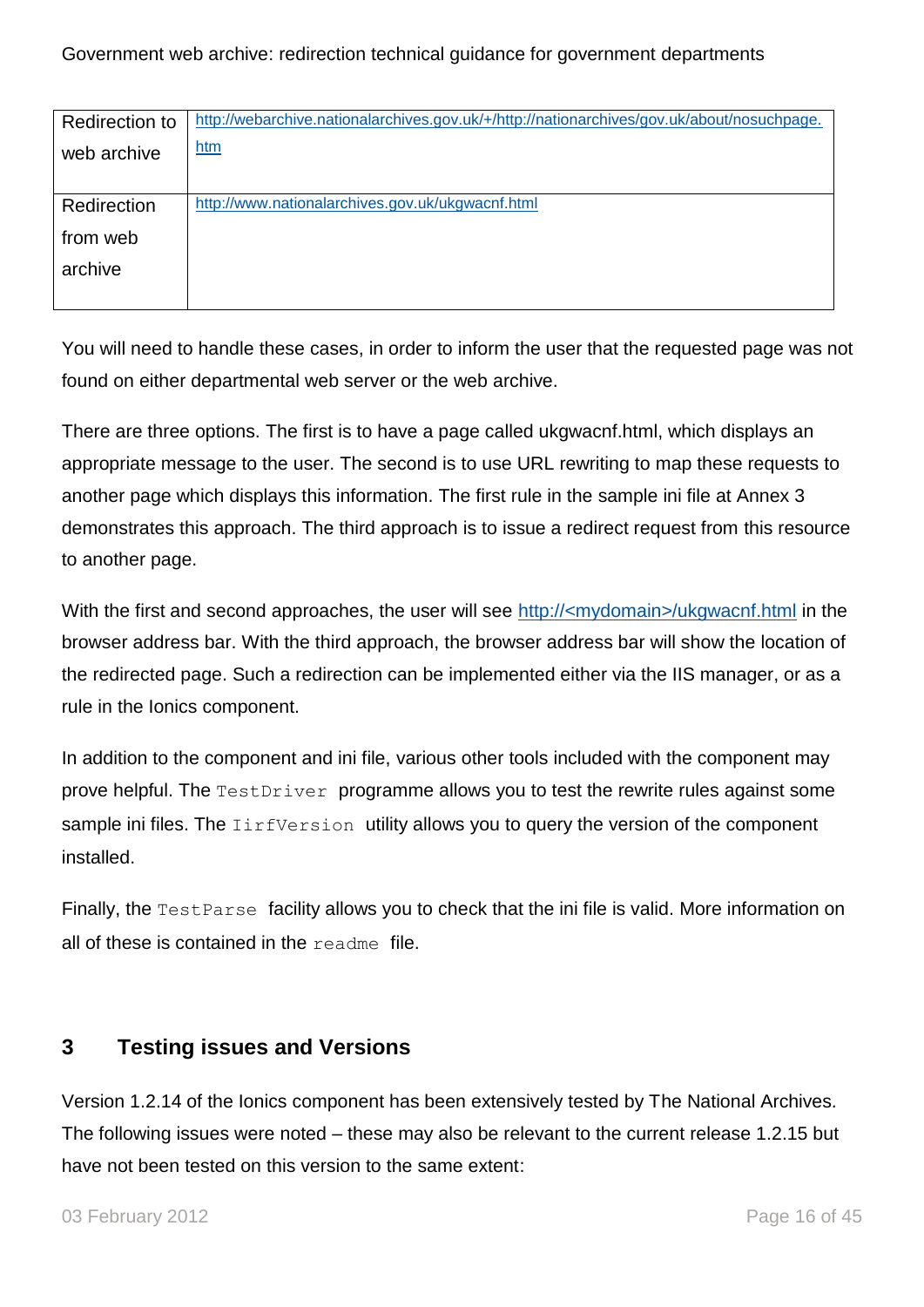| <b>Redirection to</b> | http://webarchive.nationalarchives.gov.uk/+/http://nationarchives/gov.uk/about/nosuchpage. |
|-----------------------|--------------------------------------------------------------------------------------------|
| web archive           | htm                                                                                        |
|                       |                                                                                            |
| Redirection           | http://www.nationalarchives.gov.uk/ukgwacnf.html                                           |
| from web              |                                                                                            |
| archive               |                                                                                            |
|                       |                                                                                            |

You will need to handle these cases, in order to inform the user that the requested page was not found on either departmental web server or the web archive.

There are three options. The first is to have a page called ukgwacnf.html, which displays an appropriate message to the user. The second is to use URL rewriting to map these requests to another page which displays this information. The first rule in the sample ini file at Annex 3 demonstrates this approach. The third approach is to issue a redirect request from this resource to another page.

With the first and second approaches, the user will see http://<mydomain>/ukgwacnf.html in the browser address bar. With the third approach, the browser address bar will show the location of the redirected page. Such a redirection can be implemented either via the IIS manager, or as a rule in the Ionics component.

In addition to the component and ini file, various other tools included with the component may prove helpful. The TestDriver programme allows you to test the rewrite rules against some sample ini files. The *IirfVersion* utility allows you to query the version of the component installed.

Finally, the Test Parse facility allows you to check that the ini file is valid. More information on all of these is contained in the readme file.

## <span id="page-15-0"></span>**3 Testing issues and Versions**

Version 1.2.14 of the Ionics component has been extensively tested by The National Archives. The following issues were noted – these may also be relevant to the current release 1.2.15 but have not been tested on this version to the same extent: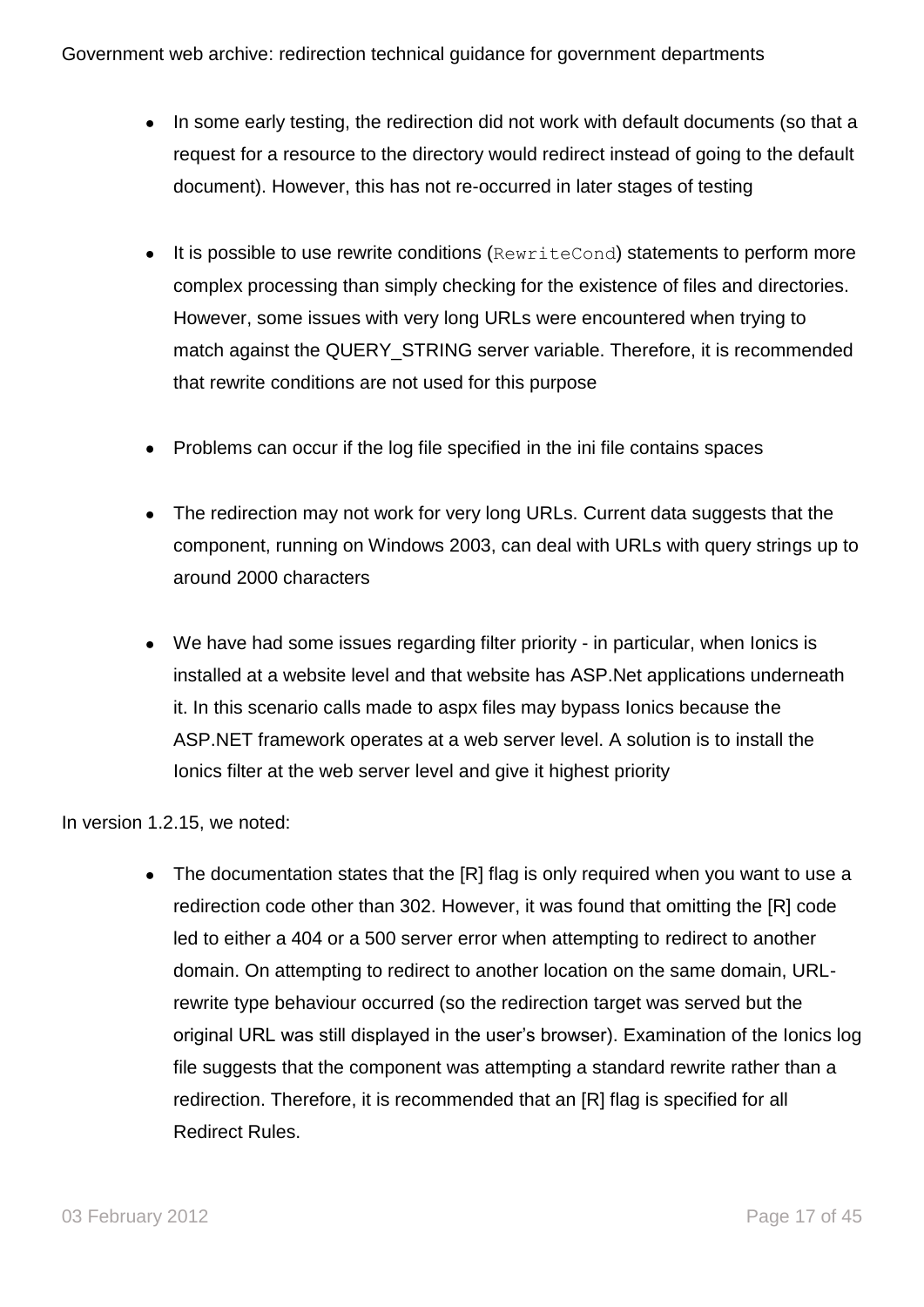- In some early testing, the redirection did not work with default documents (so that a request for a resource to the directory would redirect instead of going to the default document). However, this has not re-occurred in later stages of testing
- $\bullet$  It is possible to use rewrite conditions (RewriteCond) statements to perform more complex processing than simply checking for the existence of files and directories. However, some issues with very long URLs were encountered when trying to match against the QUERY STRING server variable. Therefore, it is recommended that rewrite conditions are not used for this purpose
- Problems can occur if the log file specified in the ini file contains spaces
- The redirection may not work for very long URLs. Current data suggests that the component, running on Windows 2003, can deal with URLs with query strings up to around 2000 characters
- We have had some issues regarding filter priority in particular, when Ionics is installed at a website level and that website has ASP.Net applications underneath it. In this scenario calls made to aspx files may bypass Ionics because the ASP.NET framework operates at a web server level. A solution is to install the Ionics filter at the web server level and give it highest priority

In version 1.2.15, we noted:

• The documentation states that the [R] flag is only required when you want to use a redirection code other than 302. However, it was found that omitting the [R] code led to either a 404 or a 500 server error when attempting to redirect to another domain. On attempting to redirect to another location on the same domain, URLrewrite type behaviour occurred (so the redirection target was served but the original URL was still displayed in the user"s browser). Examination of the Ionics log file suggests that the component was attempting a standard rewrite rather than a redirection. Therefore, it is recommended that an [R] flag is specified for all Redirect Rules.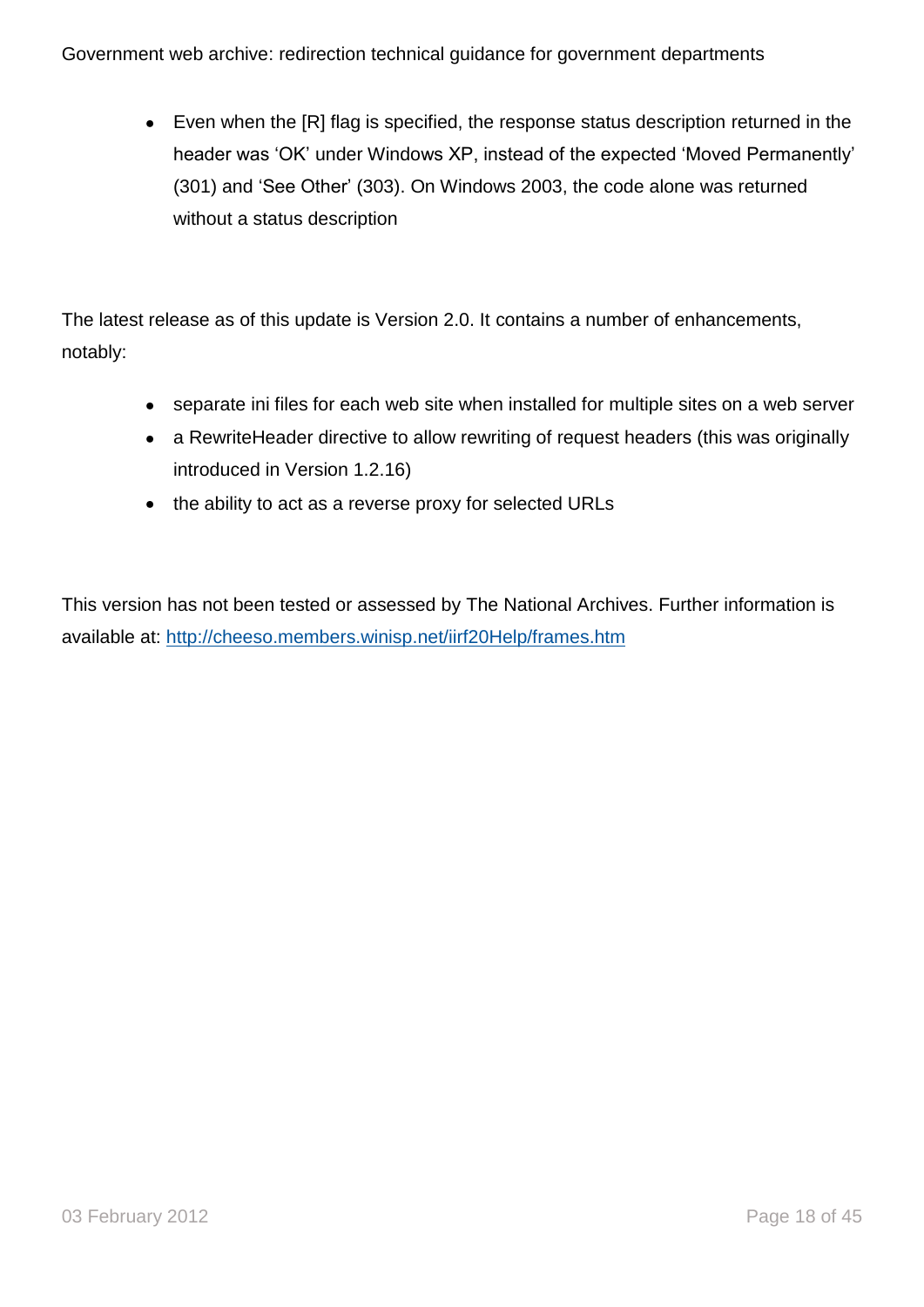Even when the [R] flag is specified, the response status description returned in the header was "OK" under Windows XP, instead of the expected "Moved Permanently" (301) and "See Other" (303). On Windows 2003, the code alone was returned without a status description

The latest release as of this update is Version 2.0. It contains a number of enhancements, notably:

- separate ini files for each web site when installed for multiple sites on a web server
- a RewriteHeader directive to allow rewriting of request headers (this was originally introduced in Version 1.2.16)
- the ability to act as a reverse proxy for selected URLs

This version has not been tested or assessed by The National Archives. Further information is available at:<http://cheeso.members.winisp.net/iirf20Help/frames.htm>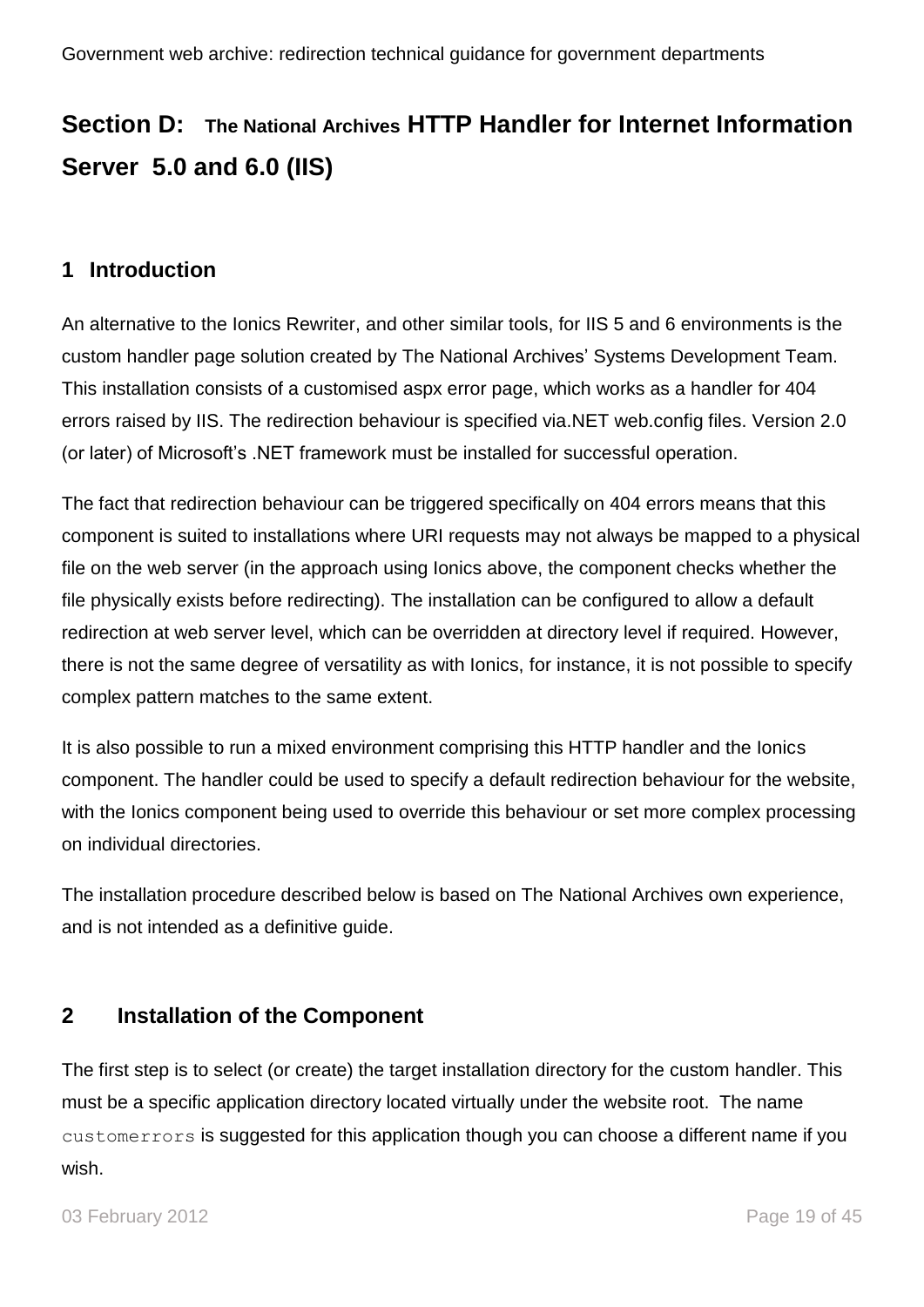## <span id="page-18-0"></span>**Section D: The National Archives HTTP Handler for Internet Information Server 5.0 and 6.0 (IIS)**

## <span id="page-18-1"></span>**1 Introduction**

An alternative to the Ionics Rewriter, and other similar tools, for IIS 5 and 6 environments is the custom handler page solution created by The National Archives" Systems Development Team. This installation consists of a customised aspx error page, which works as a handler for 404 errors raised by IIS. The redirection behaviour is specified via.NET web.config files. Version 2.0 (or later) of Microsoft's .NET framework must be installed for successful operation.

The fact that redirection behaviour can be triggered specifically on 404 errors means that this component is suited to installations where URI requests may not always be mapped to a physical file on the web server (in the approach using Ionics above, the component checks whether the file physically exists before redirecting). The installation can be configured to allow a default redirection at web server level, which can be overridden at directory level if required. However, there is not the same degree of versatility as with Ionics, for instance, it is not possible to specify complex pattern matches to the same extent.

It is also possible to run a mixed environment comprising this HTTP handler and the Ionics component. The handler could be used to specify a default redirection behaviour for the website, with the Ionics component being used to override this behaviour or set more complex processing on individual directories.

The installation procedure described below is based on The National Archives own experience, and is not intended as a definitive guide.

## <span id="page-18-2"></span>**2 Installation of the Component**

The first step is to select (or create) the target installation directory for the custom handler. This must be a specific application directory located virtually under the website root. The name customerrors is suggested for this application though you can choose a different name if you wish.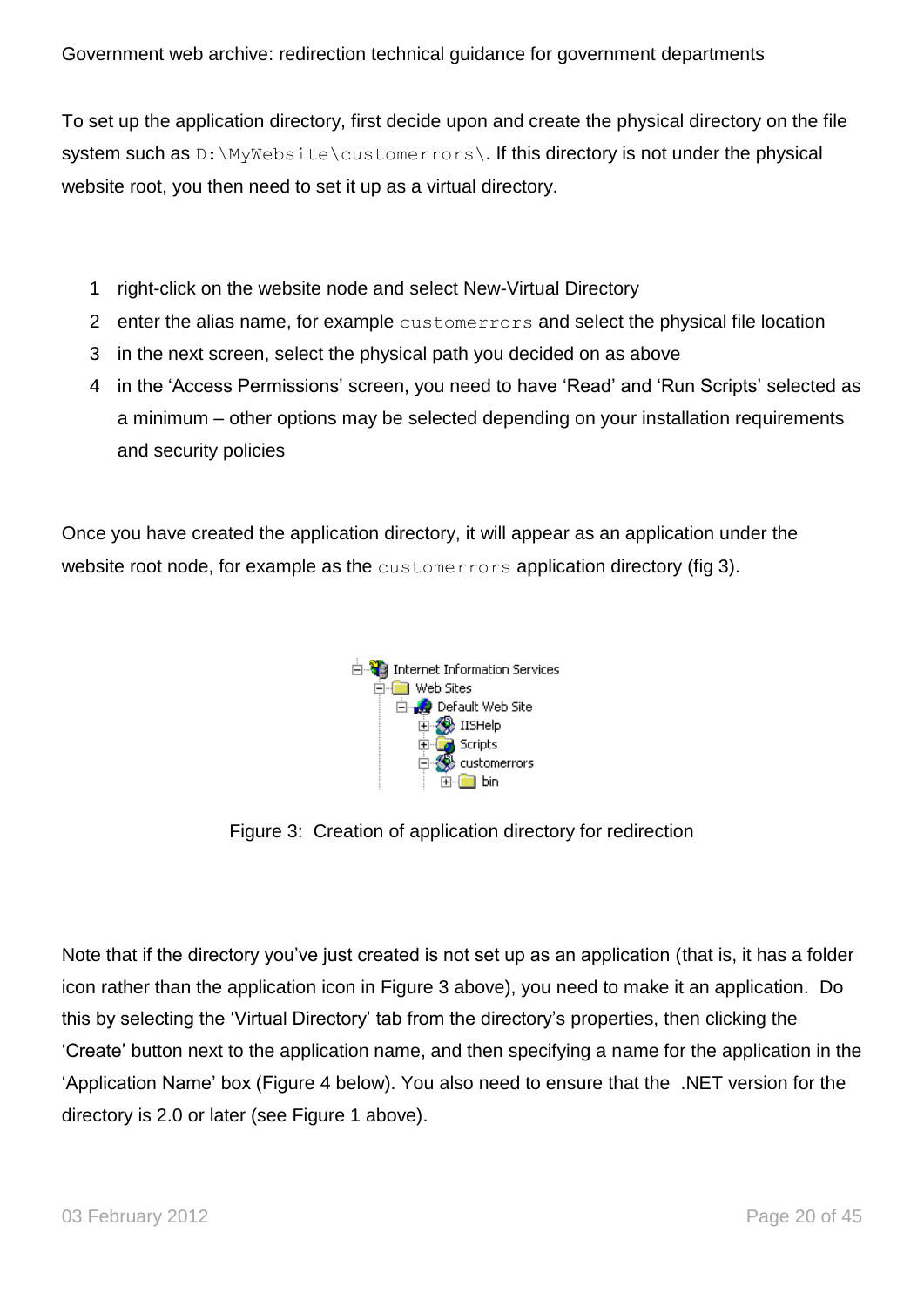To set up the application directory, first decide upon and create the physical directory on the file system such as D: \MyWebsite\customerrors\. If this directory is not under the physical website root, you then need to set it up as a virtual directory.

- 1 right-click on the website node and select New-Virtual Directory
- 2 enter the alias name, for example customerrors and select the physical file location
- 3 in the next screen, select the physical path you decided on as above
- 4 in the "Access Permissions" screen, you need to have "Read" and "Run Scripts" selected as a minimum – other options may be selected depending on your installation requirements and security policies

Once you have created the application directory, it will appear as an application under the website root node, for example as the customerrors application directory (fig 3).



Figure 3: Creation of application directory for redirection

Note that if the directory you"ve just created is not set up as an application (that is, it has a folder icon rather than the application icon in Figure 3 above), you need to make it an application. Do this by selecting the "Virtual Directory" tab from the directory"s properties, then clicking the "Create" button next to the application name, and then specifying a name for the application in the "Application Name" box (Figure 4 below). You also need to ensure that the .NET version for the directory is 2.0 or later (see Figure 1 above).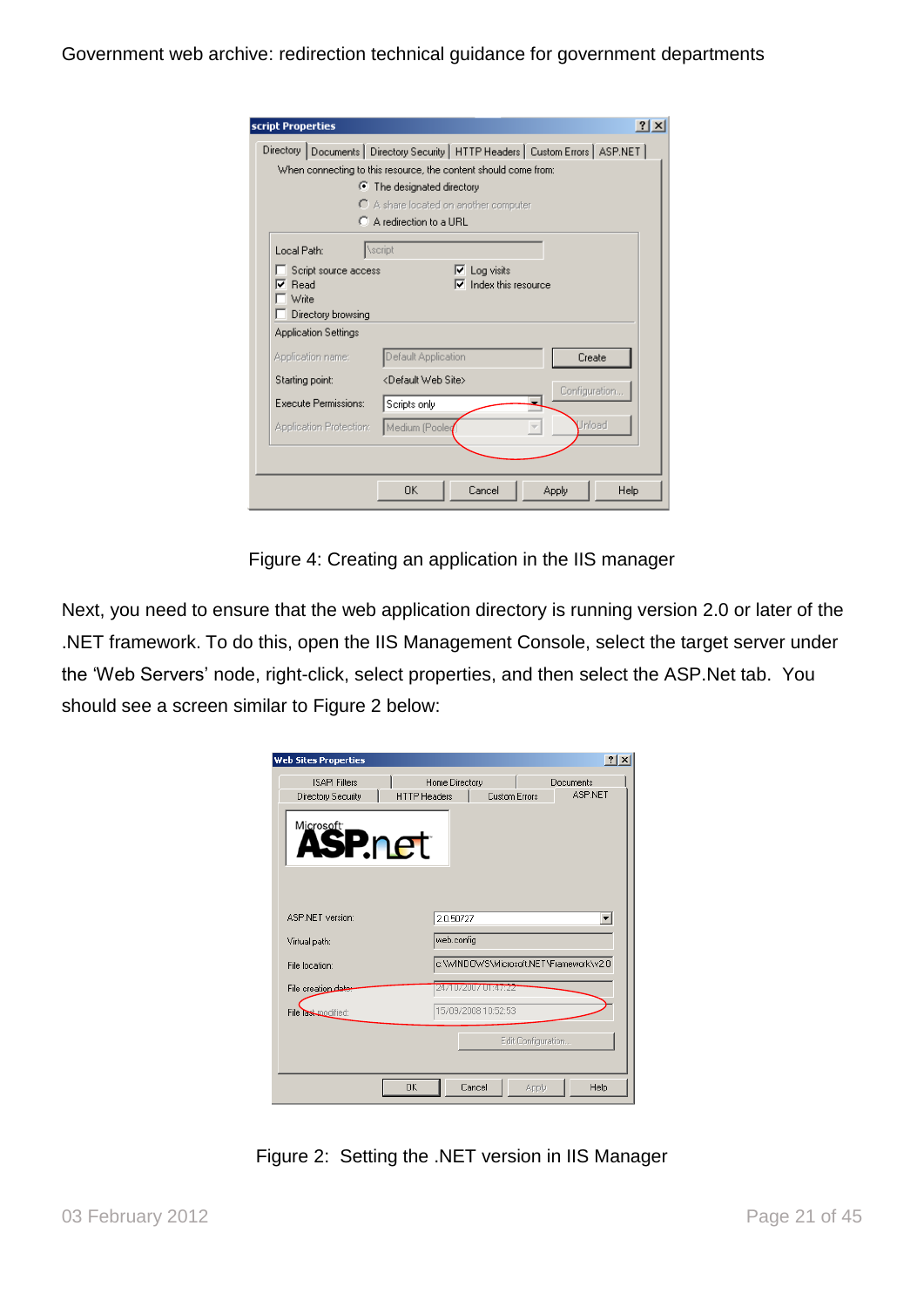| script Properties                                                |                                                                                     | $\times$      |
|------------------------------------------------------------------|-------------------------------------------------------------------------------------|---------------|
|                                                                  | Directory   Documents   Directory Security   HTTP Headers   Custom Errors   ASP.NET |               |
|                                                                  | When connecting to this resource, the content should come from:                     |               |
|                                                                  | $\bullet$ The designated directory                                                  |               |
|                                                                  | $\bigcap$ A share located on another computer                                       |               |
|                                                                  | C A redirection to a URL                                                            |               |
| Local Path:                                                      | <b>\script</b>                                                                      |               |
| Script source access<br>Read<br>v<br>Write<br>Directory browsing | Log visits<br>↜<br>Index this resource                                              |               |
| <b>Application Settings</b>                                      |                                                                                     |               |
| Application name:                                                | Default Application                                                                 | Create        |
| Starting point:                                                  | <default site="" web=""></default>                                                  |               |
| Execute Permissions:                                             | Scripts only                                                                        | Configuration |
| Application Protection:                                          | Medium (Pooled                                                                      | Unload        |
|                                                                  |                                                                                     |               |
|                                                                  | 0K<br>Cancel                                                                        | Help<br>Apply |

Figure 4: Creating an application in the IIS manager

Next, you need to ensure that the web application directory is running version 2.0 or later of the .NET framework. To do this, open the IIS Management Console, select the target server under the 'Web Servers' node, right-click, select properties, and then select the ASP.Net tab. You should see a screen similar to Figure 2 below:

| <b>Web Sites Properties</b>                | ? X                                                                                          |
|--------------------------------------------|----------------------------------------------------------------------------------------------|
| <b>ISAPI Filters</b><br>Directory Security | Home Directory<br>Documents<br><b>ASP.NET</b><br><b>HTTP Headers</b><br><b>Custom Errors</b> |
| Microsoft<br><b>ASP.net</b>                |                                                                                              |
| ASP.NET version:                           | 2.0.50727<br>$\blacktriangledown$                                                            |
| Virtual path:                              | web.config                                                                                   |
| File location:                             | c:\WINDOWS\Microsoft.NET\Framework\v2.0                                                      |
| File creation date:                        | 24/10/2007 01:47#22                                                                          |
| File last modified:                        | 15/09/2008 10:52:53                                                                          |
|                                            | Edit Configuration                                                                           |
| 0K                                         | Cancel<br>Help<br>Apply                                                                      |

Figure 2: Setting the .NET version in IIS Manager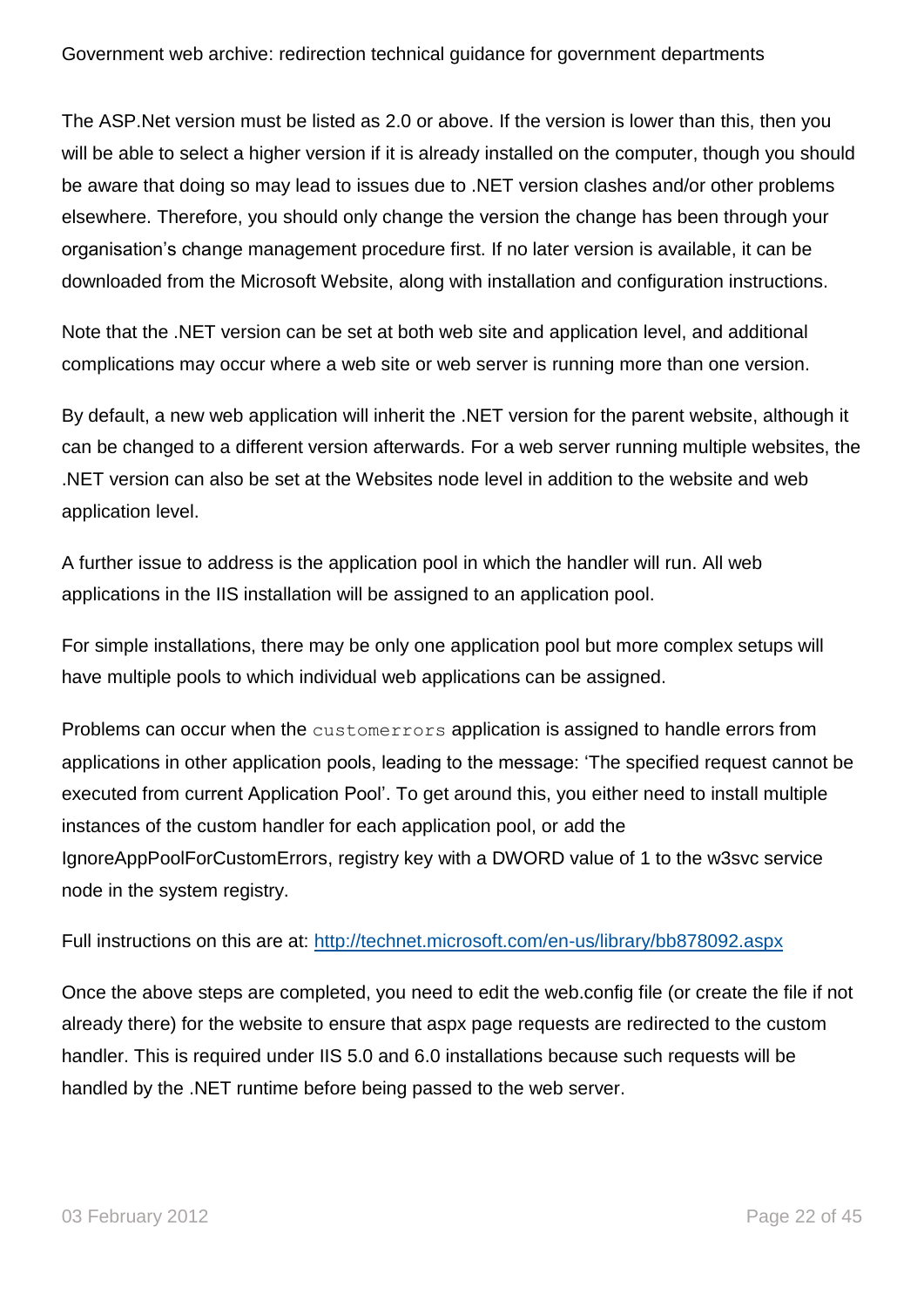The ASP.Net version must be listed as 2.0 or above. If the version is lower than this, then you will be able to select a higher version if it is already installed on the computer, though you should be aware that doing so may lead to issues due to .NET version clashes and/or other problems elsewhere. Therefore, you should only change the version the change has been through your organisation"s change management procedure first. If no later version is available, it can be downloaded from the Microsoft Website, along with installation and configuration instructions.

Note that the .NET version can be set at both web site and application level, and additional complications may occur where a web site or web server is running more than one version.

By default, a new web application will inherit the .NET version for the parent website, although it can be changed to a different version afterwards. For a web server running multiple websites, the .NET version can also be set at the Websites node level in addition to the website and web application level.

A further issue to address is the application pool in which the handler will run. All web applications in the IIS installation will be assigned to an application pool.

For simple installations, there may be only one application pool but more complex setups will have multiple pools to which individual web applications can be assigned.

Problems can occur when the customerrors application is assigned to handle errors from applications in other application pools, leading to the message: "The specified request cannot be executed from current Application Pool". To get around this, you either need to install multiple instances of the custom handler for each application pool, or add the IgnoreAppPoolForCustomErrors, registry key with a DWORD value of 1 to the w3svc service node in the system registry.

Full instructions on this are at:<http://technet.microsoft.com/en-us/library/bb878092.aspx>

Once the above steps are completed, you need to edit the web.config file (or create the file if not already there) for the website to ensure that aspx page requests are redirected to the custom handler. This is required under IIS 5.0 and 6.0 installations because such requests will be handled by the .NET runtime before being passed to the web server.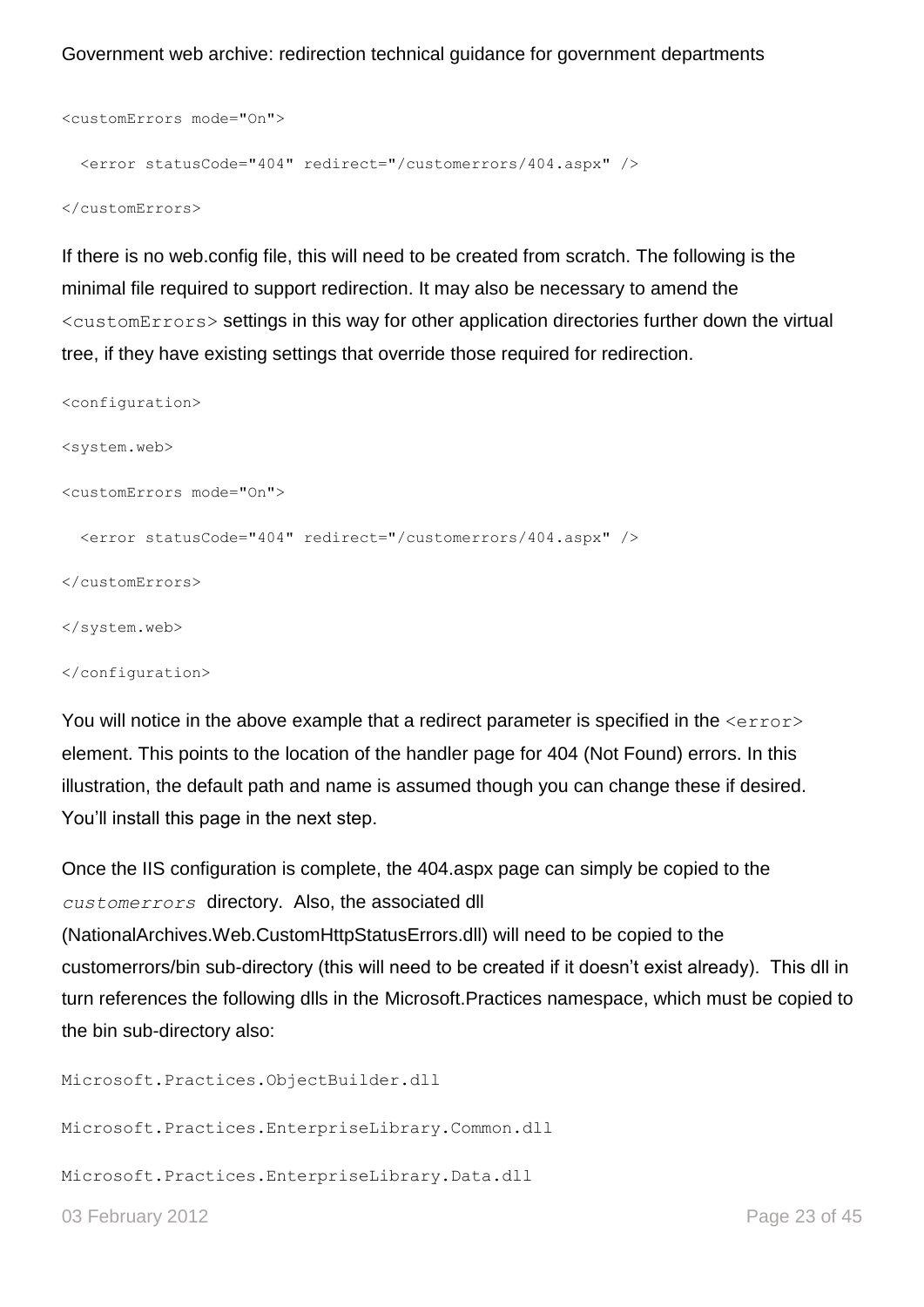```
<customErrors mode="On">
  <error statusCode="404" redirect="/customerrors/404.aspx" />
```
</customErrors>

If there is no web.config file, this will need to be created from scratch. The following is the minimal file required to support redirection. It may also be necessary to amend the <customErrors> settings in this way for other application directories further down the virtual tree, if they have existing settings that override those required for redirection.

```
<configuration>
<system.web>
<customErrors mode="On">
  <error statusCode="404" redirect="/customerrors/404.aspx" />
</customErrors>
</system.web>
</configuration>
```
You will notice in the above example that a redirect parameter is specified in the  $\langle error \rangle$ element. This points to the location of the handler page for 404 (Not Found) errors. In this illustration, the default path and name is assumed though you can change these if desired. You"ll install this page in the next step.

Once the IIS configuration is complete, the 404.aspx page can simply be copied to the *customerrors* directory. Also, the associated dll (NationalArchives.Web.CustomHttpStatusErrors.dll) will need to be copied to the

customerrors/bin sub-directory (this will need to be created if it doesn"t exist already). This dll in turn references the following dlls in the Microsoft.Practices namespace, which must be copied to the bin sub-directory also:

Microsoft.Practices.ObjectBuilder.dll

Microsoft.Practices.EnterpriseLibrary.Common.dll

Microsoft.Practices.EnterpriseLibrary.Data.dll

03 February 2012 **Page 23 of 45**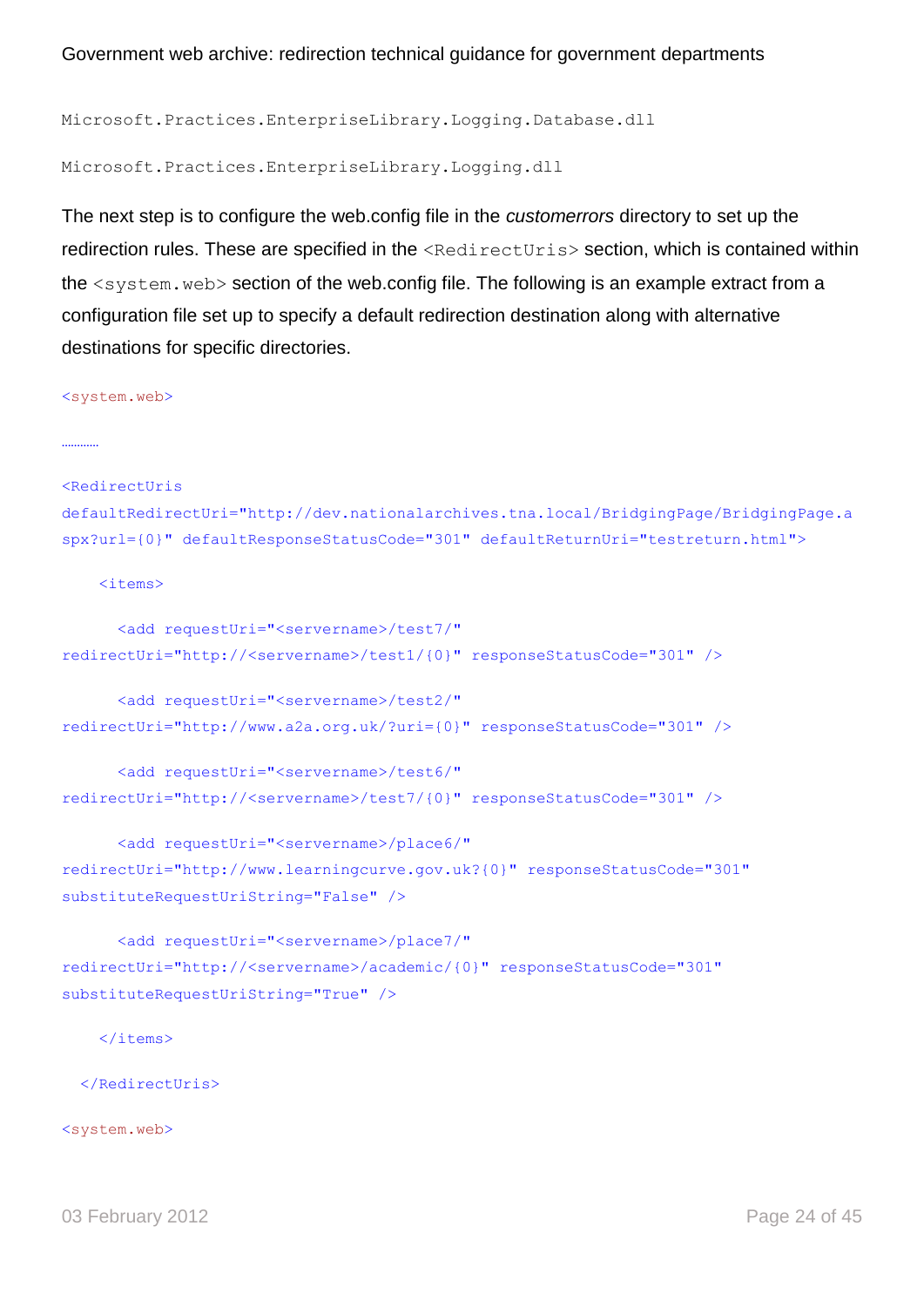Microsoft.Practices.EnterpriseLibrary.Logging.Database.dll

Microsoft.Practices.EnterpriseLibrary.Logging.dll

The next step is to configure the web.config file in the *customerrors* directory to set up the redirection rules. These are specified in the <RedirectUris> section, which is contained within the <system.web> section of the web.config file. The following is an example extract from a configuration file set up to specify a default redirection destination along with alternative destinations for specific directories.

<system.web>

…………

<RedirectUris

```
defaultRedirectUri="http://dev.nationalarchives.tna.local/BridgingPage/BridgingPage.a
spx?url={0}" defaultResponseStatusCode="301" defaultReturnUri="testreturn.html">
```
<items>

```
 <add requestUri="<servername>/test7/" 
redirectUri="http://<servername>/test1/{0}" responseStatusCode="301" />
```

```
 <add requestUri="<servername>/test2/" 
redirectUri="http://www.a2a.org.uk/?uri={0}" responseStatusCode="301" />
```

```
 <add requestUri="<servername>/test6/" 
redirectUri="http://<servername>/test7/{0}" responseStatusCode="301" />
```

```
 <add requestUri="<servername>/place6/" 
redirectUri="http://www.learningcurve.gov.uk?{0}" responseStatusCode="301" 
substituteRequestUriString="False" />
```

```
 <add requestUri="<servername>/place7/" 
redirectUri="http://<servername>/academic/{0}" responseStatusCode="301" 
substituteRequestUriString="True" />
```
</items>

</RedirectUris>

<system.web>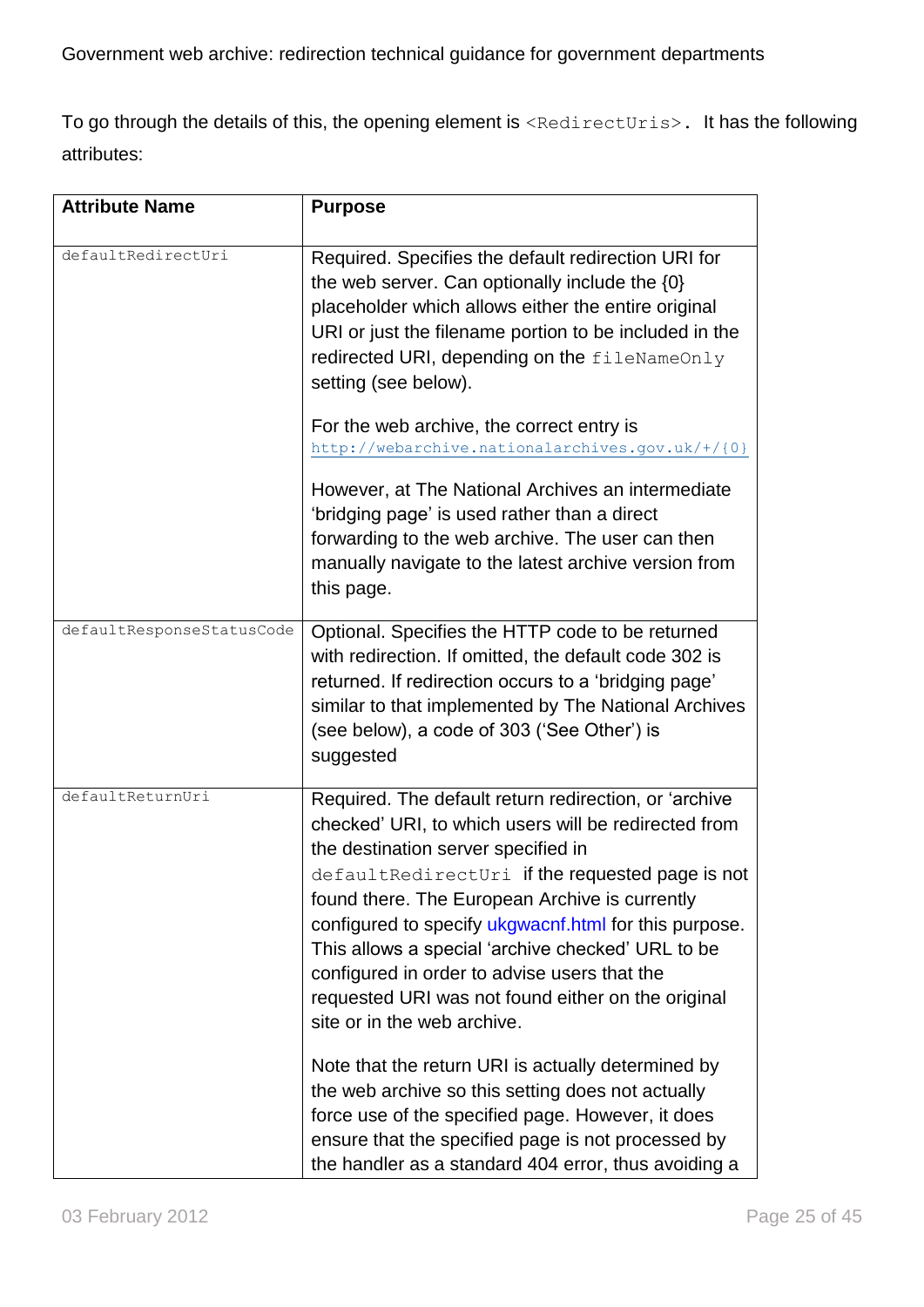To go through the details of this, the opening element is <RedirectUris>. It has the following attributes:

| <b>Attribute Name</b>     | <b>Purpose</b>                                                                                                                                                                                                                                                                                                                                                                                                                                                                                                                                                     |
|---------------------------|--------------------------------------------------------------------------------------------------------------------------------------------------------------------------------------------------------------------------------------------------------------------------------------------------------------------------------------------------------------------------------------------------------------------------------------------------------------------------------------------------------------------------------------------------------------------|
| defaultRedirectUri        | Required. Specifies the default redirection URI for<br>the web server. Can optionally include the $\{0\}$<br>placeholder which allows either the entire original<br>URI or just the filename portion to be included in the<br>redirected URI, depending on the fileNameOnly<br>setting (see below).                                                                                                                                                                                                                                                                |
|                           | For the web archive, the correct entry is<br>http://webarchive.nationalarchives.gov.uk/+/{0}                                                                                                                                                                                                                                                                                                                                                                                                                                                                       |
|                           | However, at The National Archives an intermediate<br>'bridging page' is used rather than a direct<br>forwarding to the web archive. The user can then<br>manually navigate to the latest archive version from<br>this page.                                                                                                                                                                                                                                                                                                                                        |
| defaultResponseStatusCode | Optional. Specifies the HTTP code to be returned<br>with redirection. If omitted, the default code 302 is<br>returned. If redirection occurs to a 'bridging page'<br>similar to that implemented by The National Archives<br>(see below), a code of 303 ('See Other') is<br>suggested                                                                                                                                                                                                                                                                              |
| defaultReturnUri          | Required. The default return redirection, or 'archive<br>checked' URI, to which users will be redirected from<br>the destination server specified in<br>defaultRedirectUri if the requested page is not<br>found there. The European Archive is currently<br>configured to specify ukgwacnf.html for this purpose.<br>This allows a special 'archive checked' URL to be<br>configured in order to advise users that the<br>requested URI was not found either on the original<br>site or in the web archive.<br>Note that the return URI is actually determined by |
|                           | the web archive so this setting does not actually<br>force use of the specified page. However, it does<br>ensure that the specified page is not processed by<br>the handler as a standard 404 error, thus avoiding a                                                                                                                                                                                                                                                                                                                                               |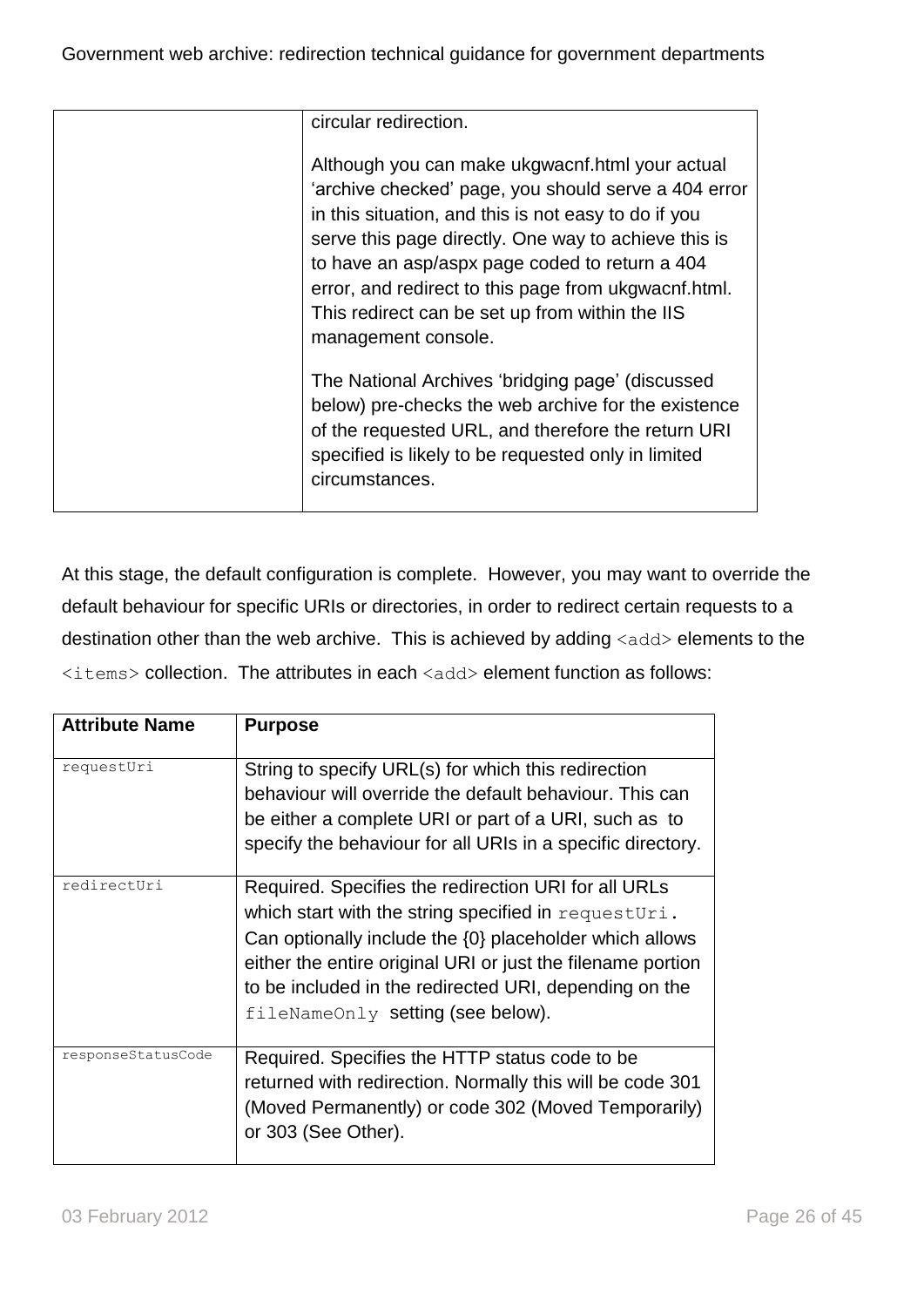| circular redirection.                                                                                                                                                                                                                                                                                                                                                                                       |
|-------------------------------------------------------------------------------------------------------------------------------------------------------------------------------------------------------------------------------------------------------------------------------------------------------------------------------------------------------------------------------------------------------------|
| Although you can make ukgwacnf.html your actual<br>'archive checked' page, you should serve a 404 error<br>in this situation, and this is not easy to do if you<br>serve this page directly. One way to achieve this is<br>to have an asp/aspx page coded to return a 404<br>error, and redirect to this page from ukgwacnf.html.<br>This redirect can be set up from within the IIS<br>management console. |
| The National Archives 'bridging page' (discussed<br>below) pre-checks the web archive for the existence<br>of the requested URL, and therefore the return URI<br>specified is likely to be requested only in limited<br>circumstances.                                                                                                                                                                      |

At this stage, the default configuration is complete. However, you may want to override the default behaviour for specific URIs or directories, in order to redirect certain requests to a destination other than the web archive. This is achieved by adding  $\langle \text{add}\rangle$  elements to the <items> collection. The attributes in each <add> element function as follows:

| <b>Attribute Name</b> | <b>Purpose</b>                                                                                                                                                                                                                                                                                                                        |
|-----------------------|---------------------------------------------------------------------------------------------------------------------------------------------------------------------------------------------------------------------------------------------------------------------------------------------------------------------------------------|
| requestUri            | String to specify URL(s) for which this redirection<br>behaviour will override the default behaviour. This can<br>be either a complete URI or part of a URI, such as to<br>specify the behaviour for all URIs in a specific directory.                                                                                                |
| redirectUri           | Required. Specifies the redirection URI for all URLs<br>which start with the string specified in requestUri.<br>Can optionally include the {0} placeholder which allows<br>either the entire original URI or just the filename portion<br>to be included in the redirected URI, depending on the<br>fileNameOnly setting (see below). |
| responseStatusCode    | Required. Specifies the HTTP status code to be<br>returned with redirection. Normally this will be code 301<br>(Moved Permanently) or code 302 (Moved Temporarily)<br>or 303 (See Other).                                                                                                                                             |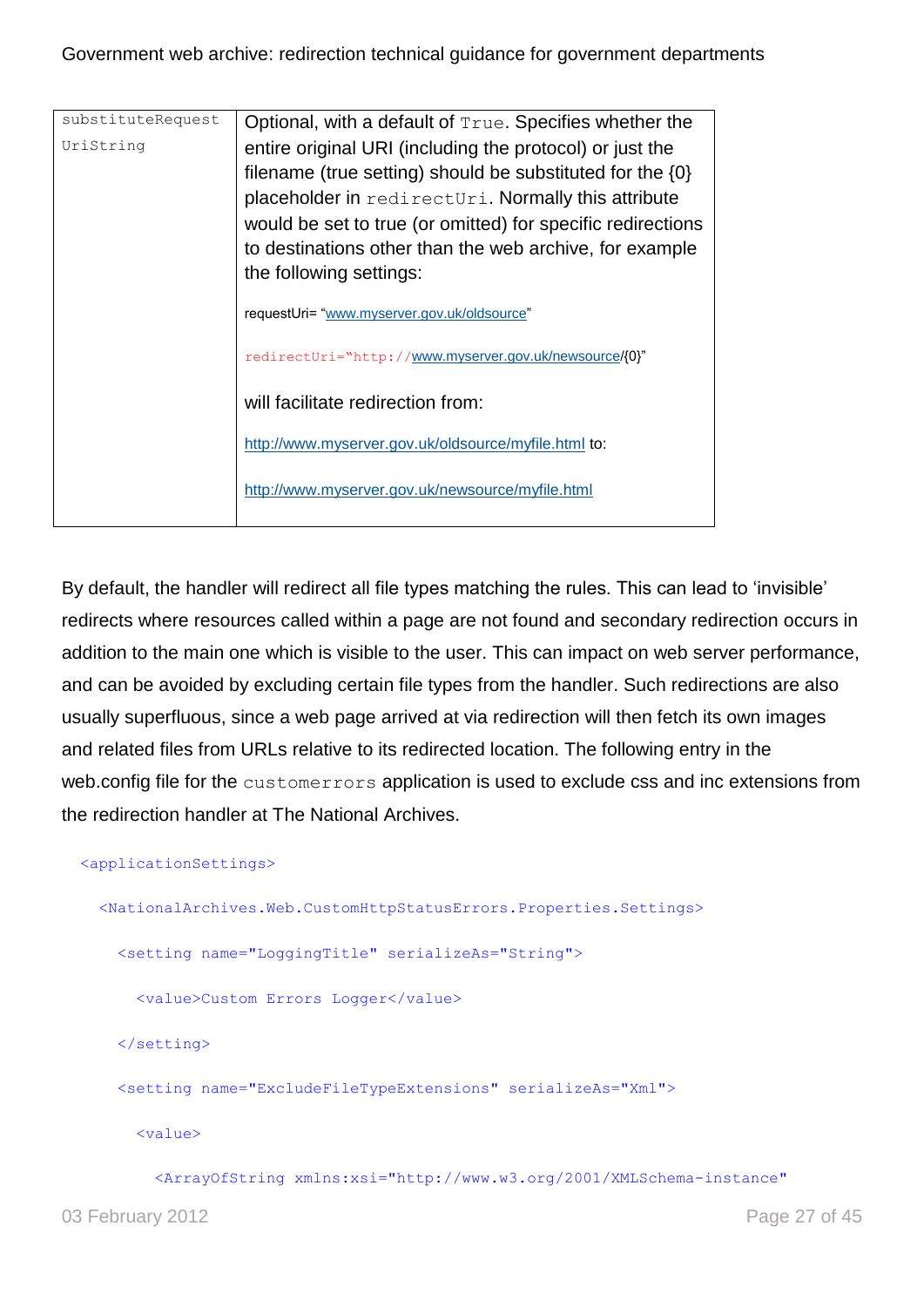| substituteRequest | Optional, with a default of True. Specifies whether the       |
|-------------------|---------------------------------------------------------------|
| UriString         | entire original URI (including the protocol) or just the      |
|                   | filename (true setting) should be substituted for the $\{0\}$ |
|                   | placeholder in redirecturi. Normally this attribute           |
|                   | would be set to true (or omitted) for specific redirections   |
|                   | to destinations other than the web archive, for example       |
|                   | the following settings:                                       |
|                   | requestUri= "www.myserver.gov.uk/oldsource"                   |
|                   | redirectUri="http://www.myserver.gov.uk/newsource/{0}"        |
|                   | will facilitate redirection from:                             |
|                   | http://www.myserver.gov.uk/oldsource/myfile.html to:          |
|                   | http://www.myserver.gov.uk/newsource/myfile.html              |

By default, the handler will redirect all file types matching the rules. This can lead to "invisible" redirects where resources called within a page are not found and secondary redirection occurs in addition to the main one which is visible to the user. This can impact on web server performance, and can be avoided by excluding certain file types from the handler. Such redirections are also usually superfluous, since a web page arrived at via redirection will then fetch its own images and related files from URLs relative to its redirected location. The following entry in the web.config file for the customerrors application is used to exclude css and inc extensions from the redirection handler at The National Archives.

#### <applicationSettings>

<NationalArchives.Web.CustomHttpStatusErrors.Properties.Settings>

<setting name="LoggingTitle" serializeAs="String">

<value>Custom Errors Logger</value>

</setting>

<setting name="ExcludeFileTypeExtensions" serializeAs="Xml">

<value>

<ArrayOfString xmlns:xsi="http://www.w3.org/2001/XMLSchema-instance"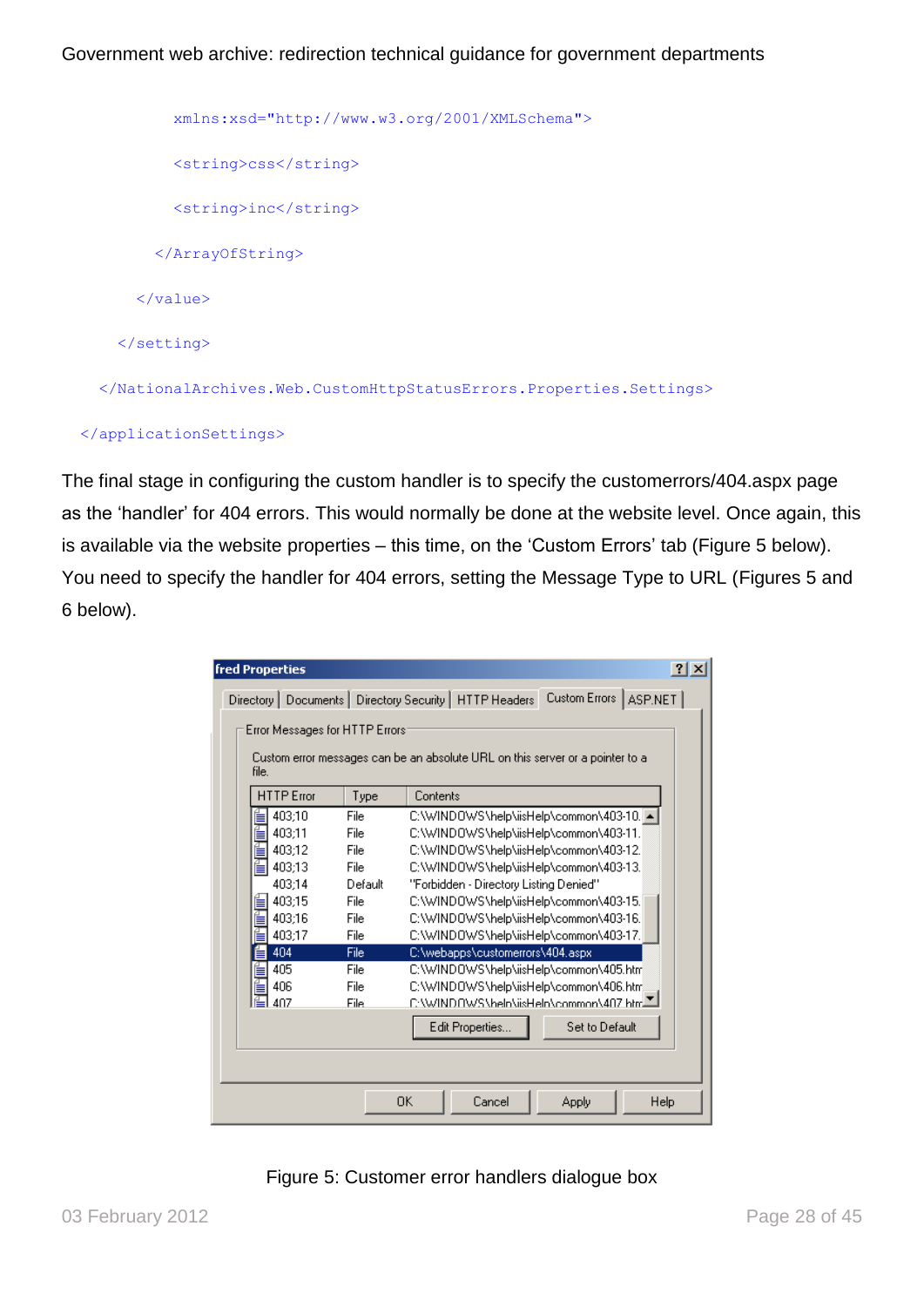```
 xmlns:xsd="http://www.w3.org/2001/XMLSchema">
         <string>css</string>
         <string>inc</string>
       </ArrayOfString>
     </value>
  </setting>
 </NationalArchives.Web.CustomHttpStatusErrors.Properties.Settings>
```
#### </applicationSettings>

The final stage in configuring the custom handler is to specify the customerrors/404.aspx page as the "handler" for 404 errors. This would normally be done at the website level. Once again, this is available via the website properties – this time, on the 'Custom Errors' tab (Figure 5 below). You need to specify the handler for 404 errors, setting the Message Type to URL (Figures 5 and 6 below).

| Directory   Documents   Directory Security   HTTP Headers<br>Error Messages for HTTP Errors:<br>Custom error messages can be an absolute URL on this server or a pointer to a<br>file.<br><b>HTTP</b> Error<br>Contents<br>Type<br>403:10<br>C:\WINDOWS\help\iisHelp\common\403-10. 4<br>File<br>€<br>403:11<br>File<br>C:\WINDOWS\help\iisHelp\common\403-11.<br>É<br>403:12<br>File<br>C:\WINDOWS\help\iisHelp\common\403-12.<br>즡<br>403:13<br>C:\WINDOWS\help\iisHelp\common\403-13.<br>File<br>403:14<br>"Forbidden - Directory Listing Denied"<br>Default<br>403:15<br>C:\WINDOWS\help\iisHelp\common\403-15.<br>File<br>403:16<br>C:\WINDOWS\help\iisHelp\common\403-16.<br>File |                         |  |  |
|-----------------------------------------------------------------------------------------------------------------------------------------------------------------------------------------------------------------------------------------------------------------------------------------------------------------------------------------------------------------------------------------------------------------------------------------------------------------------------------------------------------------------------------------------------------------------------------------------------------------------------------------------------------------------------------------|-------------------------|--|--|
|                                                                                                                                                                                                                                                                                                                                                                                                                                                                                                                                                                                                                                                                                         | Custom Errors   ASP.NET |  |  |
|                                                                                                                                                                                                                                                                                                                                                                                                                                                                                                                                                                                                                                                                                         |                         |  |  |
|                                                                                                                                                                                                                                                                                                                                                                                                                                                                                                                                                                                                                                                                                         |                         |  |  |
|                                                                                                                                                                                                                                                                                                                                                                                                                                                                                                                                                                                                                                                                                         |                         |  |  |
|                                                                                                                                                                                                                                                                                                                                                                                                                                                                                                                                                                                                                                                                                         |                         |  |  |
|                                                                                                                                                                                                                                                                                                                                                                                                                                                                                                                                                                                                                                                                                         |                         |  |  |
|                                                                                                                                                                                                                                                                                                                                                                                                                                                                                                                                                                                                                                                                                         |                         |  |  |
|                                                                                                                                                                                                                                                                                                                                                                                                                                                                                                                                                                                                                                                                                         |                         |  |  |
|                                                                                                                                                                                                                                                                                                                                                                                                                                                                                                                                                                                                                                                                                         |                         |  |  |
|                                                                                                                                                                                                                                                                                                                                                                                                                                                                                                                                                                                                                                                                                         |                         |  |  |
|                                                                                                                                                                                                                                                                                                                                                                                                                                                                                                                                                                                                                                                                                         |                         |  |  |
| 403:17<br>File<br>C:\WINDOWS\help\iisHelp\common\403-17.                                                                                                                                                                                                                                                                                                                                                                                                                                                                                                                                                                                                                                |                         |  |  |
| 404<br>File<br>C:\webapps\customerrors\404.aspx                                                                                                                                                                                                                                                                                                                                                                                                                                                                                                                                                                                                                                         |                         |  |  |
| 405<br>File<br>C:\WINDOWS\help\iisHelp\common\405.htm                                                                                                                                                                                                                                                                                                                                                                                                                                                                                                                                                                                                                                   |                         |  |  |
| C:\WINDOWS\help\iisHelp\common\406.htm<br>406<br>File                                                                                                                                                                                                                                                                                                                                                                                                                                                                                                                                                                                                                                   |                         |  |  |
| £:\WINDOWS\heln\iisHeln\common\407.html<br>407<br>File.                                                                                                                                                                                                                                                                                                                                                                                                                                                                                                                                                                                                                                 |                         |  |  |
| Edit Properties                                                                                                                                                                                                                                                                                                                                                                                                                                                                                                                                                                                                                                                                         | Set to Default          |  |  |
|                                                                                                                                                                                                                                                                                                                                                                                                                                                                                                                                                                                                                                                                                         |                         |  |  |
|                                                                                                                                                                                                                                                                                                                                                                                                                                                                                                                                                                                                                                                                                         |                         |  |  |
| 0K.<br>Cancel                                                                                                                                                                                                                                                                                                                                                                                                                                                                                                                                                                                                                                                                           | Apply<br>Help           |  |  |

Figure 5: Customer error handlers dialogue box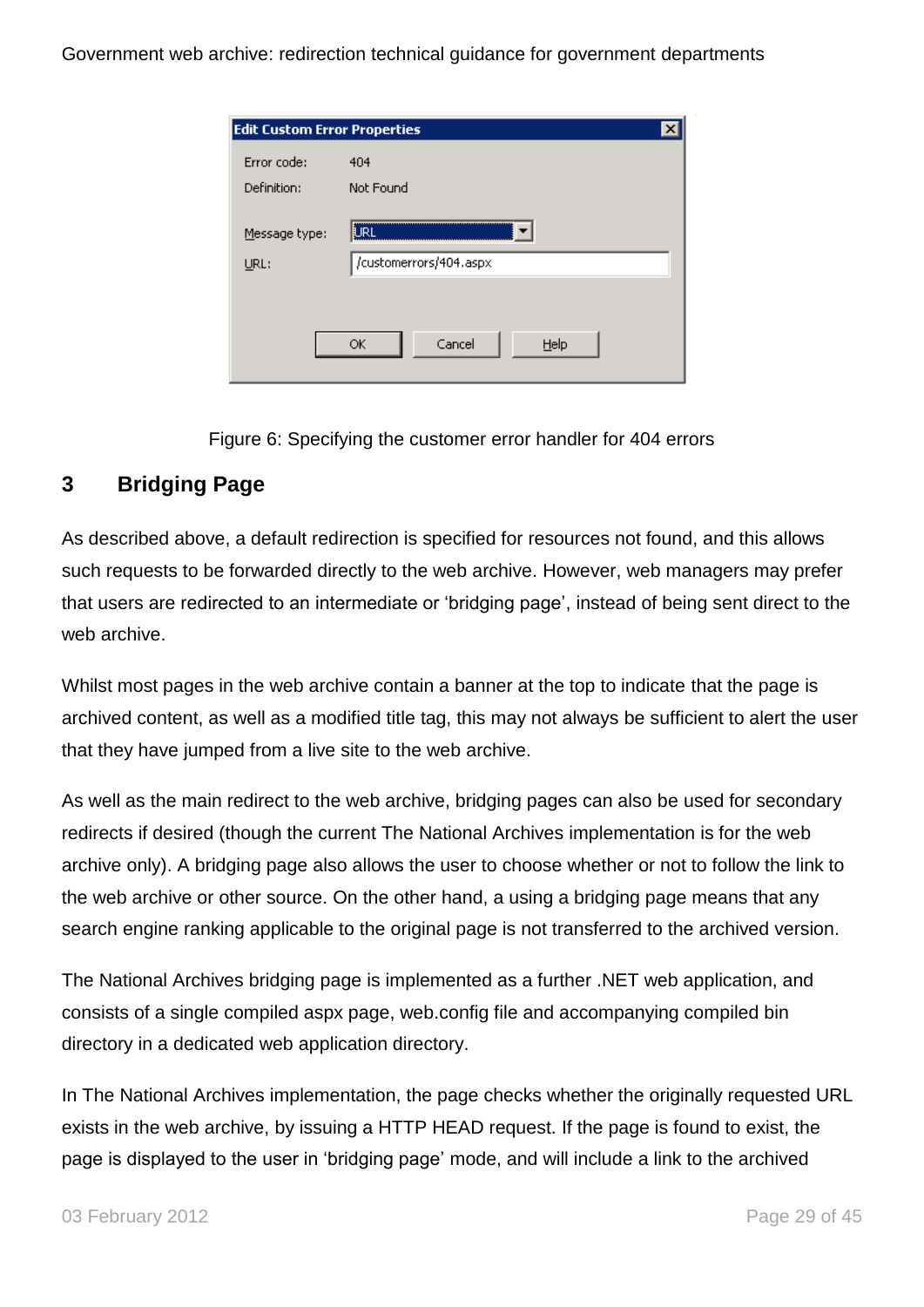| <b>Edit Custom Error Properties</b> |                                        |
|-------------------------------------|----------------------------------------|
| Error code:                         | 404                                    |
| Definition:                         | Not Found                              |
| Message type:<br>URL:               | <b>L</b> IRL<br>/customerrors/404.aspx |
|                                     |                                        |
|                                     | Cancel<br>Help<br>ОК                   |

Figure 6: Specifying the customer error handler for 404 errors

## <span id="page-28-0"></span>**3 Bridging Page**

As described above, a default redirection is specified for resources not found, and this allows such requests to be forwarded directly to the web archive. However, web managers may prefer that users are redirected to an intermediate or "bridging page", instead of being sent direct to the web archive.

Whilst most pages in the web archive contain a banner at the top to indicate that the page is archived content, as well as a modified title tag, this may not always be sufficient to alert the user that they have jumped from a live site to the web archive.

As well as the main redirect to the web archive, bridging pages can also be used for secondary redirects if desired (though the current The National Archives implementation is for the web archive only). A bridging page also allows the user to choose whether or not to follow the link to the web archive or other source. On the other hand, a using a bridging page means that any search engine ranking applicable to the original page is not transferred to the archived version.

The National Archives bridging page is implemented as a further .NET web application, and consists of a single compiled aspx page, web.config file and accompanying compiled bin directory in a dedicated web application directory.

In The National Archives implementation, the page checks whether the originally requested URL exists in the web archive, by issuing a HTTP HEAD request. If the page is found to exist, the page is displayed to the user in "bridging page" mode, and will include a link to the archived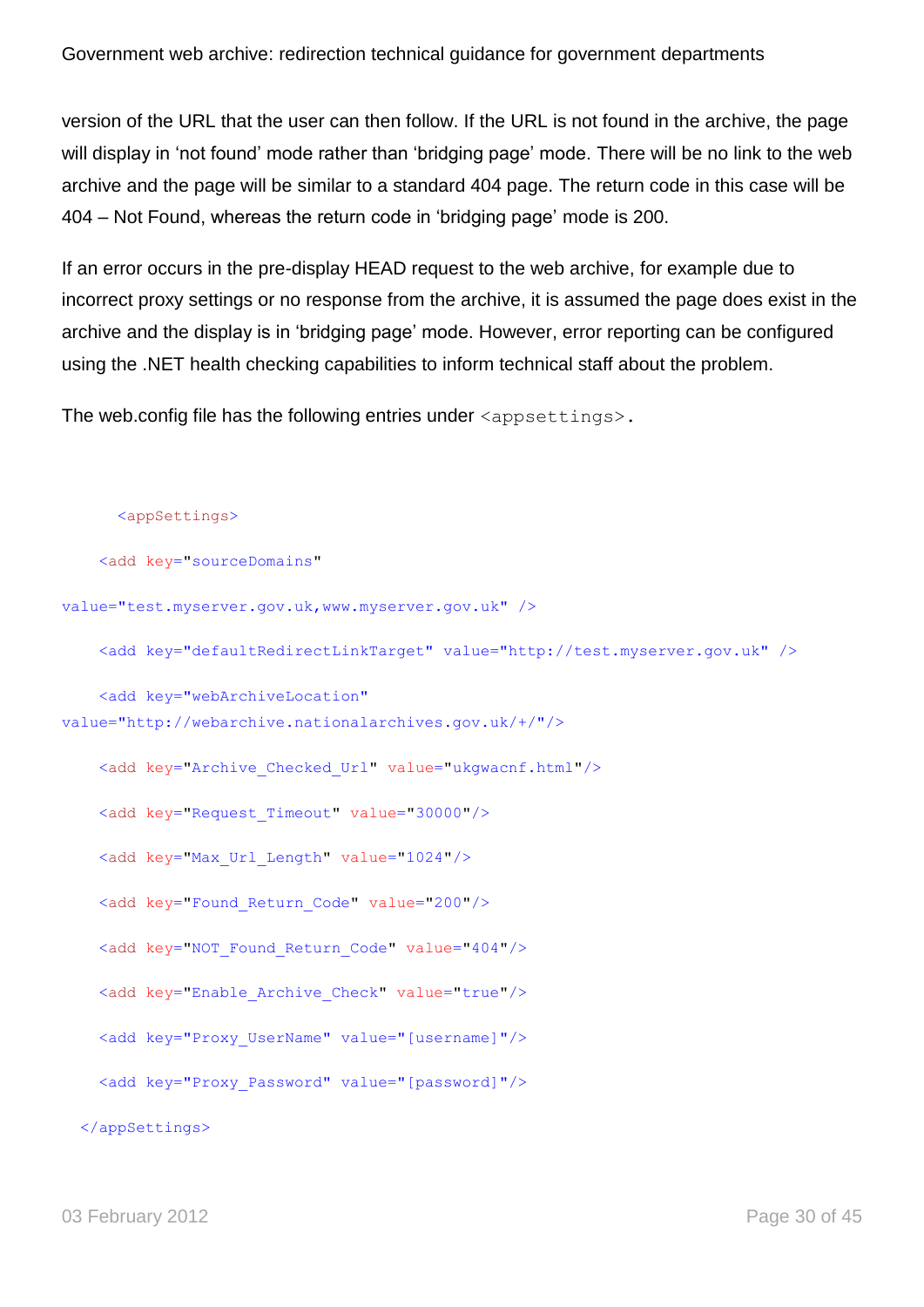version of the URL that the user can then follow. If the URL is not found in the archive, the page will display in 'not found' mode rather than 'bridging page' mode. There will be no link to the web archive and the page will be similar to a standard 404 page. The return code in this case will be 404 – Not Found, whereas the return code in "bridging page" mode is 200.

If an error occurs in the pre-display HEAD request to the web archive, for example due to incorrect proxy settings or no response from the archive, it is assumed the page does exist in the archive and the display is in "bridging page" mode. However, error reporting can be configured using the .NET health checking capabilities to inform technical staff about the problem.

The web.config file has the following entries under  $\langle$ appsettings>.

```
<appSettings>
    <add key="sourceDomains"
value="test.myserver.gov.uk,www.myserver.gov.uk" />
     <add key="defaultRedirectLinkTarget" value="http://test.myserver.gov.uk" />
     <add key="webArchiveLocation" 
value="http://webarchive.nationalarchives.gov.uk/+/"/>
     <add key="Archive_Checked_Url" value="ukgwacnf.html"/>
     <add key="Request_Timeout" value="30000"/>
     <add key="Max_Url_Length" value="1024"/>
     <add key="Found_Return_Code" value="200"/>
    <add key="NOT Found Return Code" value="404"/>
     <add key="Enable_Archive_Check" value="true"/>
     <add key="Proxy_UserName" value="[username]"/>
     <add key="Proxy_Password" value="[password]"/>
   </appSettings>
```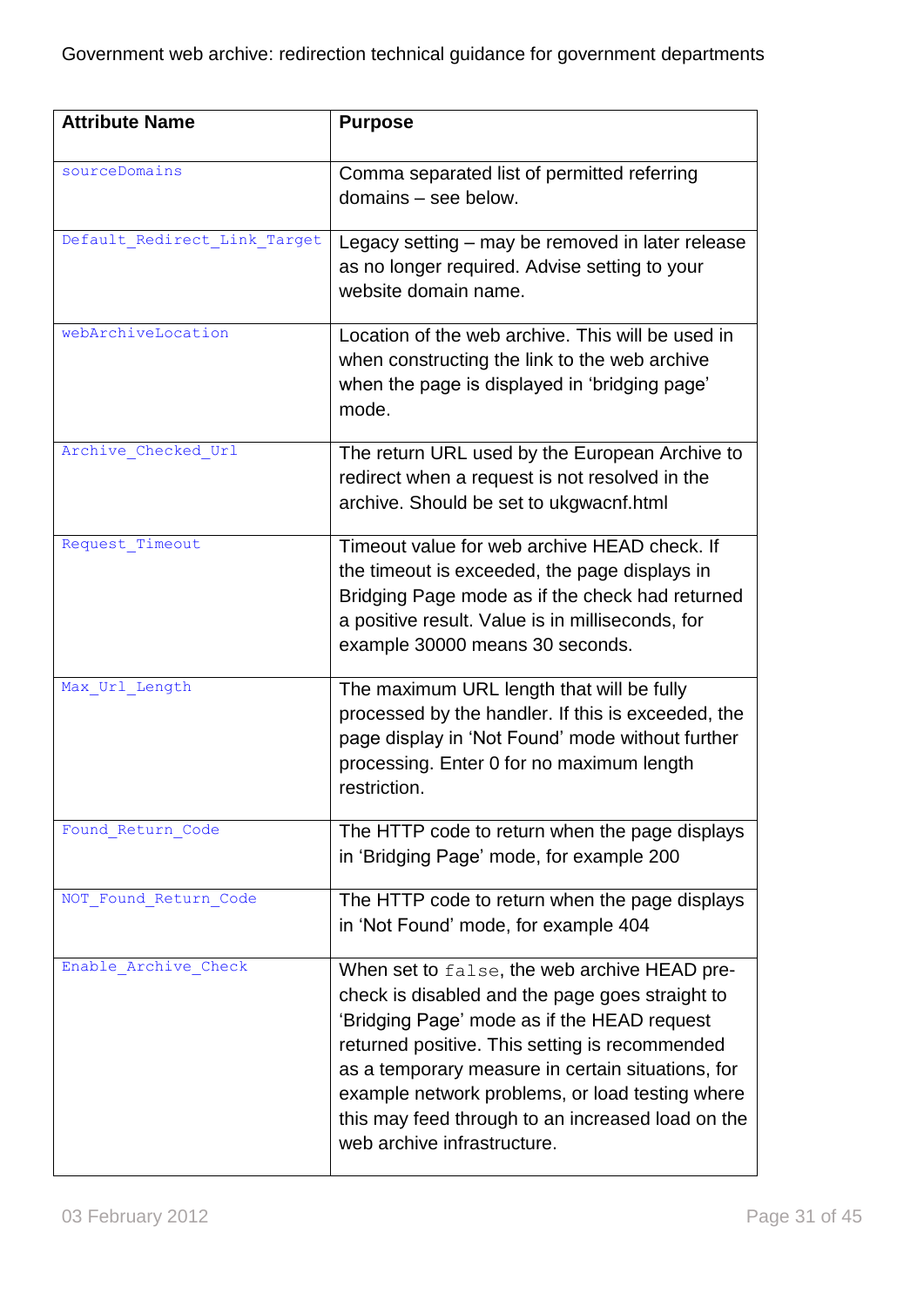| <b>Attribute Name</b>        | <b>Purpose</b>                                                                                                                                                                                                                                                                                                                                                                               |
|------------------------------|----------------------------------------------------------------------------------------------------------------------------------------------------------------------------------------------------------------------------------------------------------------------------------------------------------------------------------------------------------------------------------------------|
| sourceDomains                | Comma separated list of permitted referring<br>domains - see below.                                                                                                                                                                                                                                                                                                                          |
| Default Redirect Link Target | Legacy setting - may be removed in later release<br>as no longer required. Advise setting to your<br>website domain name.                                                                                                                                                                                                                                                                    |
| webArchiveLocation           | Location of the web archive. This will be used in<br>when constructing the link to the web archive<br>when the page is displayed in 'bridging page'<br>mode.                                                                                                                                                                                                                                 |
| Archive Checked Url          | The return URL used by the European Archive to<br>redirect when a request is not resolved in the<br>archive. Should be set to ukgwacnf.html                                                                                                                                                                                                                                                  |
| Request Timeout              | Timeout value for web archive HEAD check. If<br>the timeout is exceeded, the page displays in<br>Bridging Page mode as if the check had returned<br>a positive result. Value is in milliseconds, for<br>example 30000 means 30 seconds.                                                                                                                                                      |
| Max Url Length               | The maximum URL length that will be fully<br>processed by the handler. If this is exceeded, the<br>page display in 'Not Found' mode without further<br>processing. Enter 0 for no maximum length<br>restriction.                                                                                                                                                                             |
| Found_Return_Code            | The HTTP code to return when the page displays<br>in 'Bridging Page' mode, for example 200                                                                                                                                                                                                                                                                                                   |
| NOT Found Return Code        | The HTTP code to return when the page displays<br>in 'Not Found' mode, for example 404                                                                                                                                                                                                                                                                                                       |
| Enable Archive Check         | When set to false, the web archive HEAD pre-<br>check is disabled and the page goes straight to<br>'Bridging Page' mode as if the HEAD request<br>returned positive. This setting is recommended<br>as a temporary measure in certain situations, for<br>example network problems, or load testing where<br>this may feed through to an increased load on the<br>web archive infrastructure. |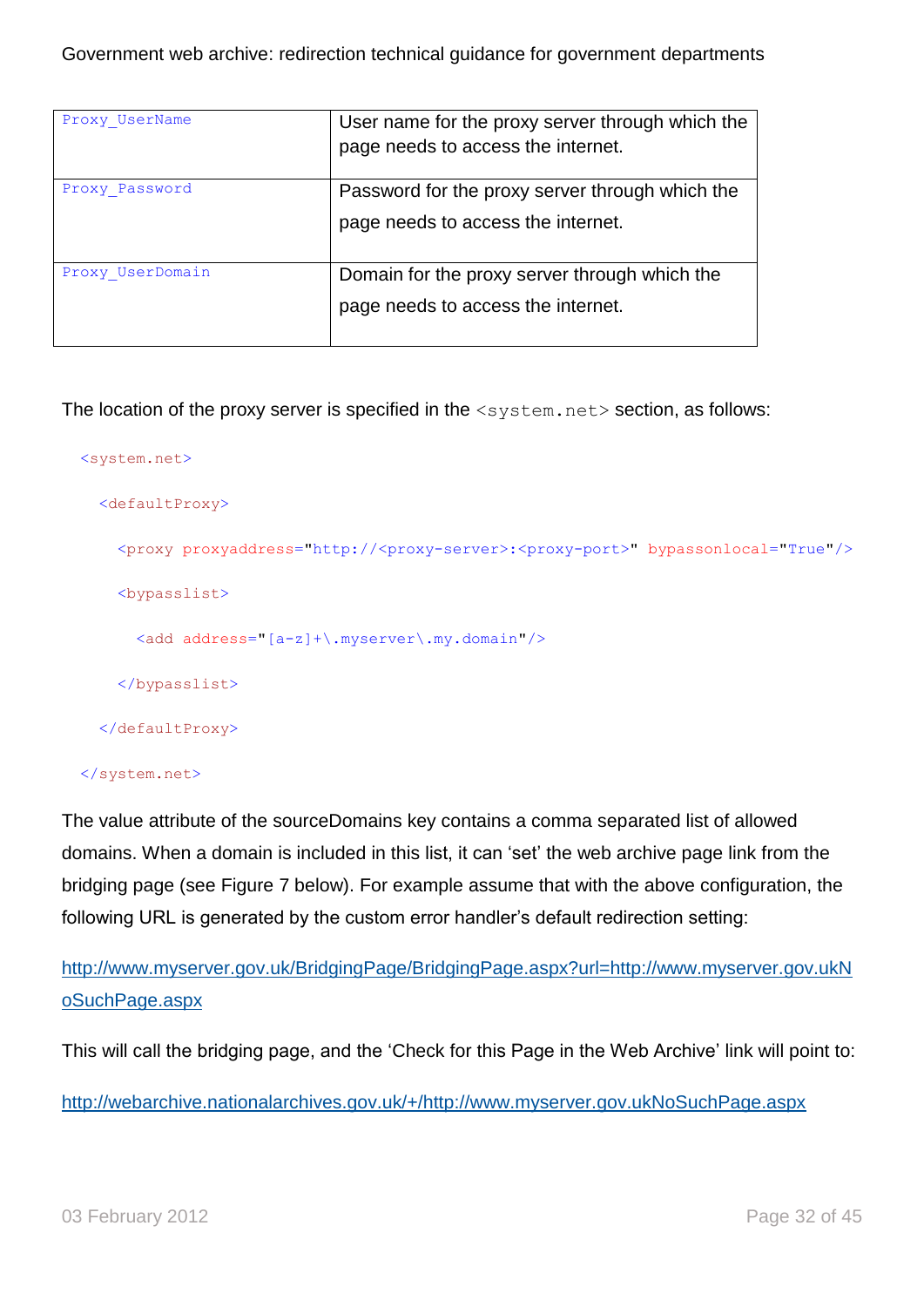| Proxy UserName   | User name for the proxy server through which the<br>page needs to access the internet. |  |
|------------------|----------------------------------------------------------------------------------------|--|
| Proxy Password   | Password for the proxy server through which the<br>page needs to access the internet.  |  |
| Proxy UserDomain | Domain for the proxy server through which the<br>page needs to access the internet.    |  |

The location of the proxy server is specified in the <system.net> section, as follows:

```
 <system.net>
   <defaultProxy>
     <proxy proxyaddress="http://<proxy-server>:<proxy-port>" bypassonlocal="True"/>
     <bypasslist>
       <add address="[a-z]+\.myserver\.my.domain"/>
     </bypasslist>
   </defaultProxy>
```
#### </system.net>

The value attribute of the sourceDomains key contains a comma separated list of allowed domains. When a domain is included in this list, it can "set" the web archive page link from the bridging page (see Figure 7 below). For example assume that with the above configuration, the following URL is generated by the custom error handler's default redirection setting:

[http://www.myserver.gov.uk/BridgingPage/BridgingPage.aspx?url=http://www.myserver.gov.ukN](http://www.myserver.gov.uk/BridgingPage/BridgingPage.aspx?url=http://www.myserver.gov.ukNoSuchPage.aspx) [oSuchPage.aspx](http://www.myserver.gov.uk/BridgingPage/BridgingPage.aspx?url=http://www.myserver.gov.ukNoSuchPage.aspx)

This will call the bridging page, and the 'Check for this Page in the Web Archive' link will point to:

[http://webarchive.nationalarchives.gov.uk/+/http://www.myserver.gov.ukNoSuchPage.aspx](http://webarchive.nationalarchives.gov.uk/+/http:/www.myserver.gov.ukNoSuchPage.aspx)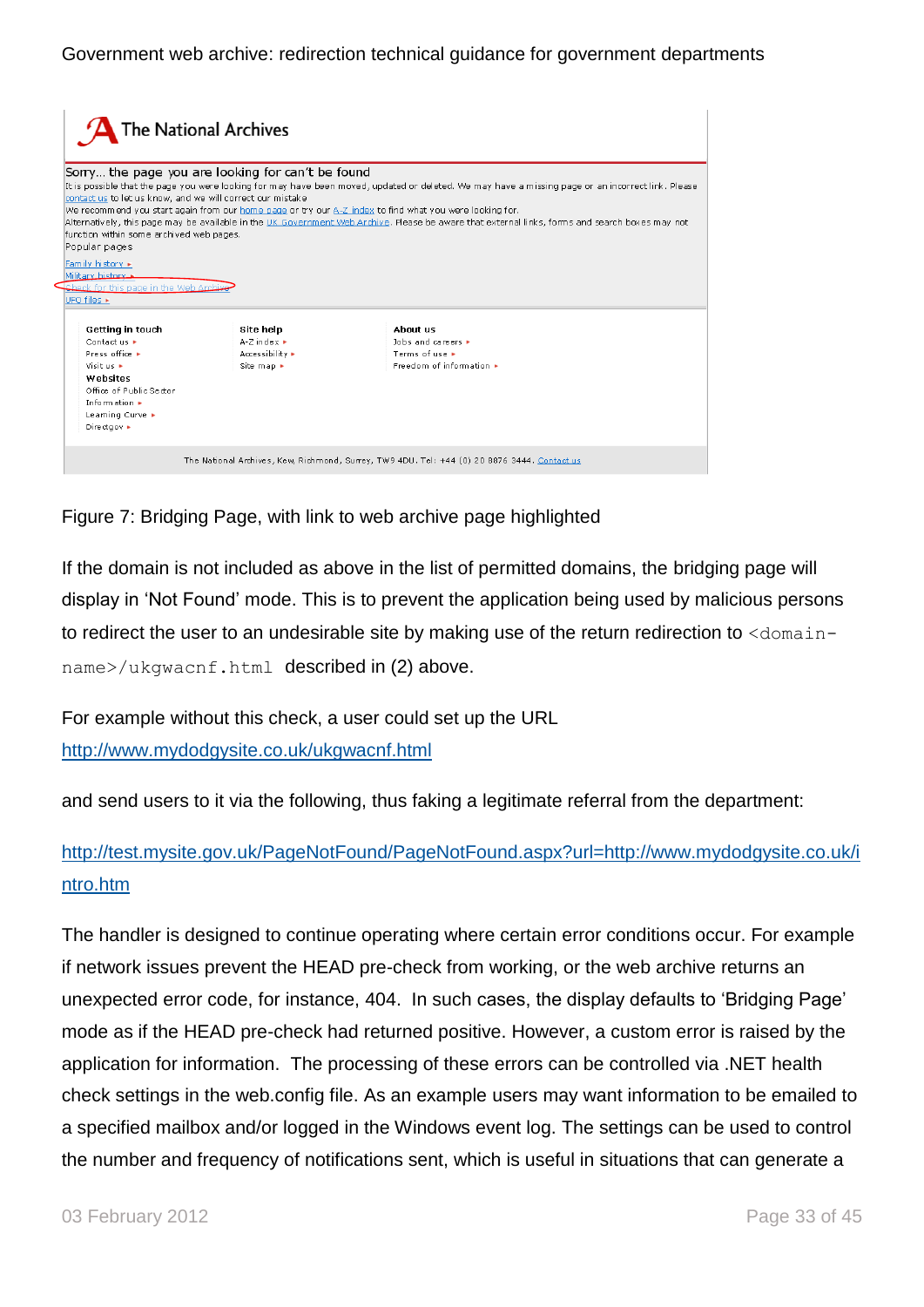|                                                                                                                                                                                                                                                                                                                                                                                                                                                                                                                                                                                                                                                                                                                     | The National Archives                                                           |                                                                                                  |
|---------------------------------------------------------------------------------------------------------------------------------------------------------------------------------------------------------------------------------------------------------------------------------------------------------------------------------------------------------------------------------------------------------------------------------------------------------------------------------------------------------------------------------------------------------------------------------------------------------------------------------------------------------------------------------------------------------------------|---------------------------------------------------------------------------------|--------------------------------------------------------------------------------------------------|
| Sorry the page you are looking for can't be found<br>It is possible that the page you were looking for may have been moved, updated or deleted. We may have a missing page or an incorrect link. Please<br>contact us to let us know, and we will correct our mistake<br>We recommend you start again from our home page or try our A-Z index to find what you were looking for.<br>Alternatively, this page may be available in the UK Government Web Archive. Please be aware that external links, forms and search boxes may not<br>function within some archived web pages.<br>Popular pages<br>Family history ><br>Military history<br>Check for this page in the Web Archi<br>UFO files $\blacktriangleright$ |                                                                                 |                                                                                                  |
| Getting in touch<br>Contact us +<br>Press office +<br>Visit us +<br>Wehsites<br>Office of Public Sector<br>Information $\blacktriangleright$<br>Learning Curve ►<br>Directgov >                                                                                                                                                                                                                                                                                                                                                                                                                                                                                                                                     | Site help<br>$A-Z$ index $\blacktriangleright$<br>Accessibility ▶<br>Site map ▶ | Ahnut us<br>lobs and careers $\blacktriangleright$<br>Terms of use F<br>Freedom of information ▶ |
|                                                                                                                                                                                                                                                                                                                                                                                                                                                                                                                                                                                                                                                                                                                     |                                                                                 | The National Archives, Kew, Richmond, Surrey, TW9 4DU. Tel: +44 (0) 20 8876 3444. Contact us     |

Figure 7: Bridging Page, with link to web archive page highlighted

If the domain is not included as above in the list of permitted domains, the bridging page will display in "Not Found" mode. This is to prevent the application being used by malicious persons to redirect the user to an undesirable site by making use of the return redirection to <domainname>/ukgwacnf.html described in (2) above.

For example without this check, a user could set up the URL <http://www.mydodgysite.co.uk/ukgwacnf.html>

and send users to it via the following, thus faking a legitimate referral from the department:

## [http://test.mysite.gov.uk/PageNotFound/PageNotFound.aspx?url=http://www.mydodgysite.co.uk/i](http://test.mysite.gov.uk/PageNotFound/PageNotFound.aspx?url=http://www.mydodgysite.co.uk/intro.htm) [ntro.htm](http://test.mysite.gov.uk/PageNotFound/PageNotFound.aspx?url=http://www.mydodgysite.co.uk/intro.htm)

The handler is designed to continue operating where certain error conditions occur. For example if network issues prevent the HEAD pre-check from working, or the web archive returns an unexpected error code, for instance, 404. In such cases, the display defaults to "Bridging Page" mode as if the HEAD pre-check had returned positive. However, a custom error is raised by the application for information. The processing of these errors can be controlled via .NET health check settings in the web.config file. As an example users may want information to be emailed to a specified mailbox and/or logged in the Windows event log. The settings can be used to control the number and frequency of notifications sent, which is useful in situations that can generate a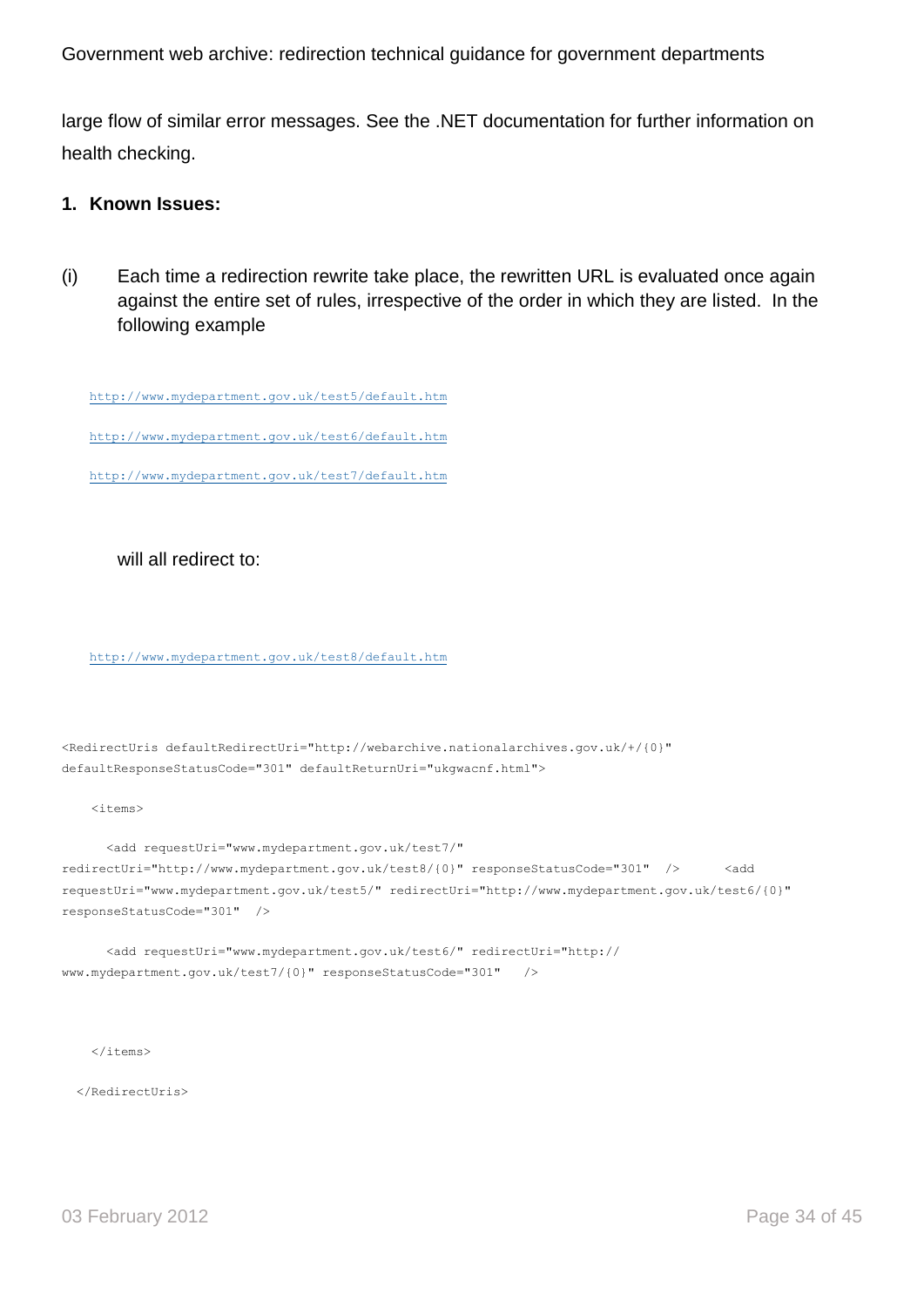large flow of similar error messages. See the .NET documentation for further information on health checking.

#### **1. Known Issues:**

(i) Each time a redirection rewrite take place, the rewritten URL is evaluated once again against the entire set of rules, irrespective of the order in which they are listed. In the following example

<http://www.mydepartment.gov.uk/test5/default.htm> <http://www.mydepartment.gov.uk/test6/default.htm>

<http://www.mydepartment.gov.uk/test7/default.htm>

will all redirect to:

<http://www.mydepartment.gov.uk/test8/default.htm>

```
<RedirectUris defaultRedirectUri="http://webarchive.nationalarchives.gov.uk/+/{0}" 
defaultResponseStatusCode="301" defaultReturnUri="ukgwacnf.html">
```
<items>

```
 <add requestUri="www.mydepartment.gov.uk/test7/" 
redirectUri="http://www.mydepartment.gov.uk/test8/{0}" responseStatusCode="301" /> <add
requestUri="www.mydepartment.gov.uk/test5/" redirectUri="http://www.mydepartment.gov.uk/test6/{0}" 
responseStatusCode="301" />
```
 <add requestUri="www.mydepartment.gov.uk/test6/" redirectUri="http:// www.mydepartment.gov.uk/test7/{0}" responseStatusCode="301" />

 $\langle$ /items>

</RedirectUris>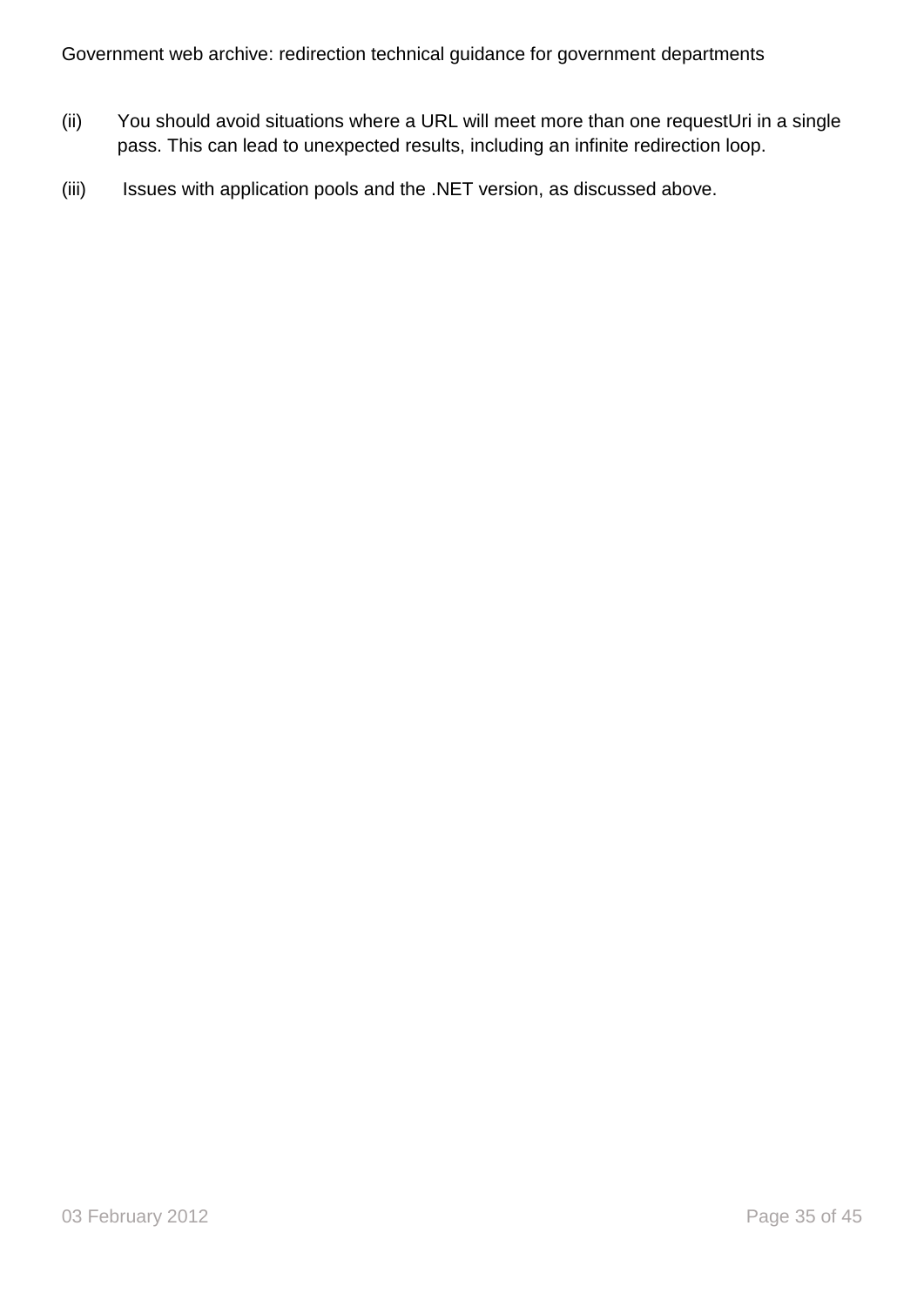- (ii) You should avoid situations where a URL will meet more than one requestUri in a single pass. This can lead to unexpected results, including an infinite redirection loop.
- (iii) Issues with application pools and the .NET version, as discussed above.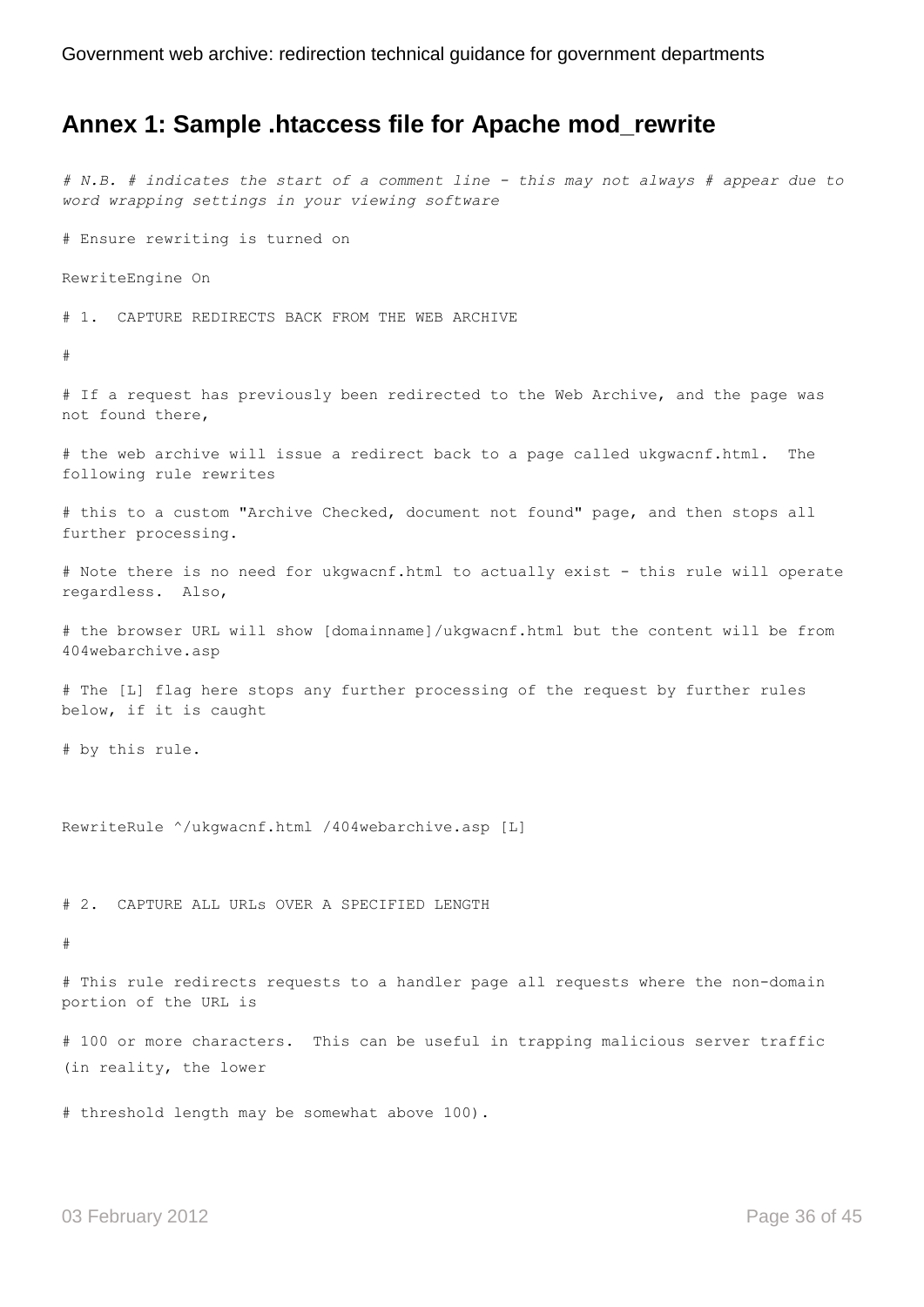## <span id="page-35-0"></span>**Annex 1: Sample .htaccess file for Apache mod\_rewrite**

*# N.B. # indicates the start of a comment line - this may not always # appear due to word wrapping settings in your viewing software*

# Ensure rewriting is turned on

RewriteEngine On

# 1. CAPTURE REDIRECTS BACK FROM THE WEB ARCHIVE

#

# If a request has previously been redirected to the Web Archive, and the page was not found there,

# the web archive will issue a redirect back to a page called ukgwacnf.html. The following rule rewrites

# this to a custom "Archive Checked, document not found" page, and then stops all further processing.

# Note there is no need for ukgwacnf.html to actually exist - this rule will operate regardless. Also,

# the browser URL will show [domainname]/ukgwacnf.html but the content will be from 404webarchive.asp

# The [L] flag here stops any further processing of the request by further rules below, if it is caught

# by this rule.

RewriteRule ^/ukgwacnf.html /404webarchive.asp [L]

# 2. CAPTURE ALL URLs OVER A SPECIFIED LENGTH

#

# This rule redirects requests to a handler page all requests where the non-domain portion of the URL is

# 100 or more characters. This can be useful in trapping malicious server traffic (in reality, the lower

# threshold length may be somewhat above 100).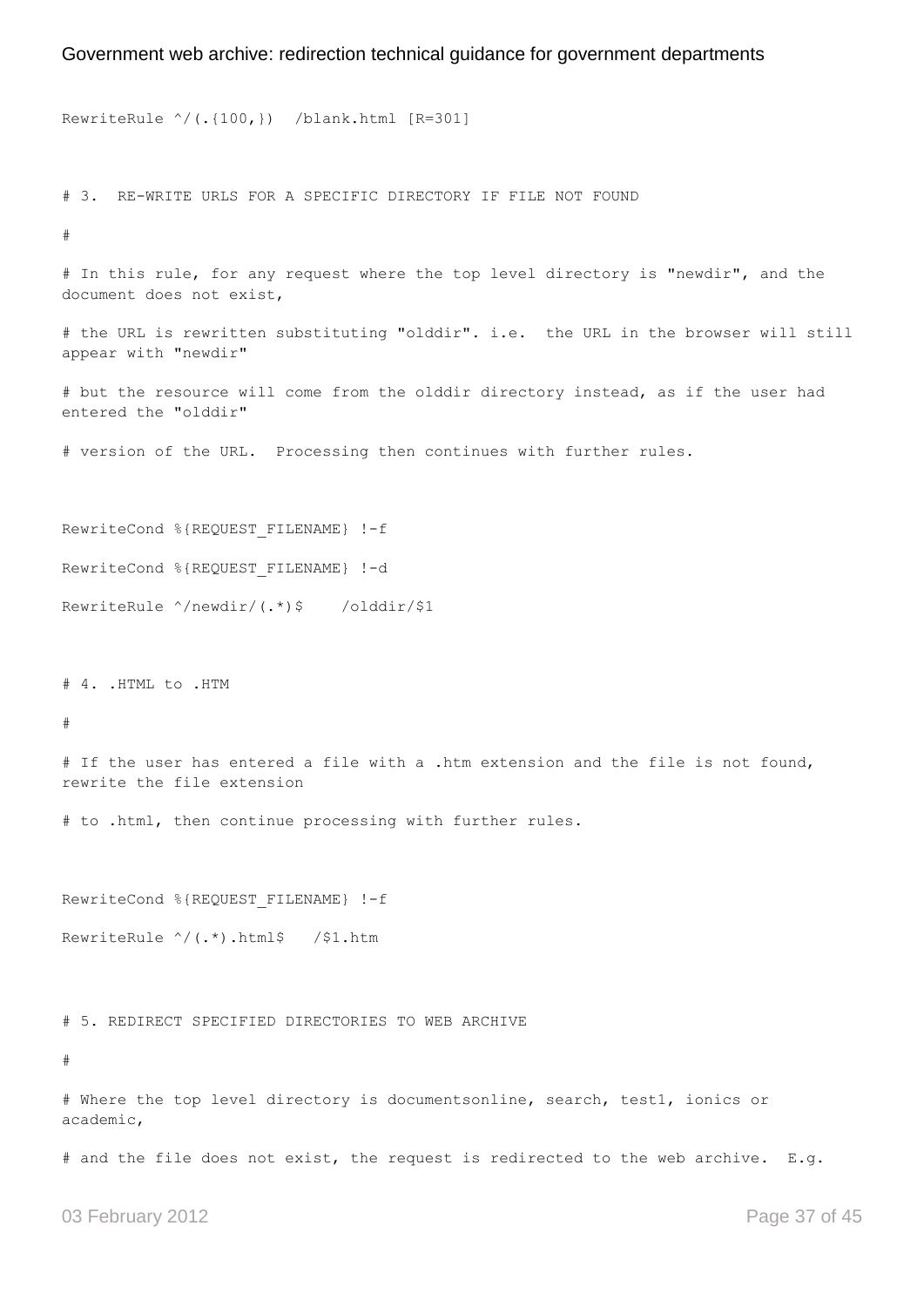```
RewriteRule ^/(.{100,}) /blank.html [R=301]
# 3. RE-WRITE URLS FOR A SPECIFIC DIRECTORY IF FILE NOT FOUND 
#
# In this rule, for any request where the top level directory is "newdir", and the 
document does not exist,
# the URL is rewritten substituting "olddir". i.e. the URL in the browser will still 
appear with "newdir"
# but the resource will come from the olddir directory instead, as if the user had 
entered the "olddir"
# version of the URL. Processing then continues with further rules.
RewriteCond %{REQUEST FILENAME} !-f
RewriteCond %{REQUEST FILENAME} !-d
RewriteRule ^/newdir/(.*)$ /olddir/$1
# 4. .HTML to .HTM 
#
# If the user has entered a file with a .htm extension and the file is not found, 
rewrite the file extension
# to .html, then continue processing with further rules.
RewriteCond %{REQUEST FILENAME} !-f
RewriteRule ^/(.*).html$ /$1.htm
# 5. REDIRECT SPECIFIED DIRECTORIES TO WEB ARCHIVE 
#
# Where the top level directory is documentsonline, search, test1, ionics or 
academic,
# and the file does not exist, the request is redirected to the web archive. E.g.
```
03 February 2012 **Page 37 of 45**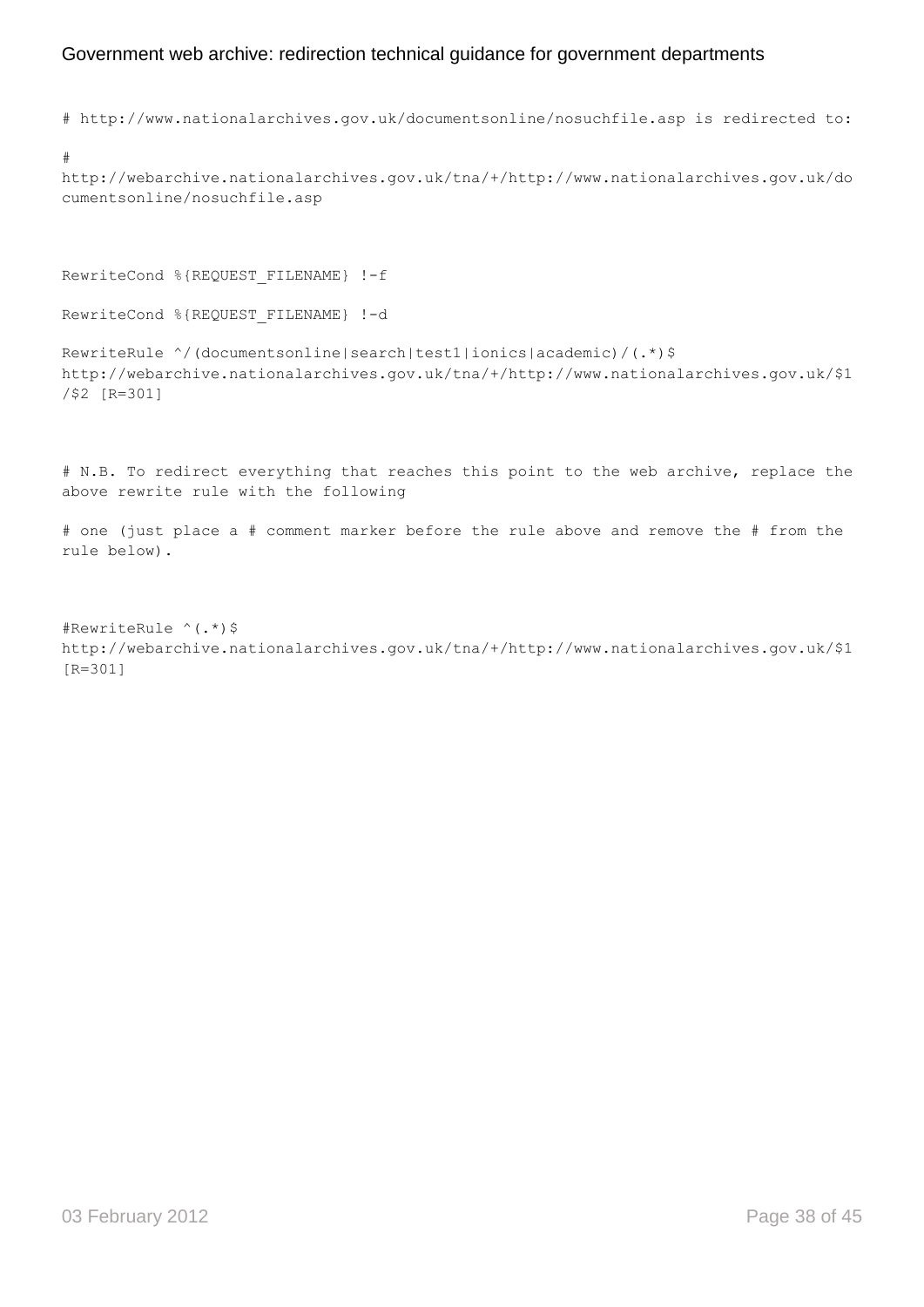# http://www.nationalarchives.gov.uk/documentsonline/nosuchfile.asp is redirected to:

```
#
```
http://webarchive.nationalarchives.gov.uk/tna/+/http://www.nationalarchives.gov.uk/do cumentsonline/nosuchfile.asp

RewriteCond %{REQUEST FILENAME} !-f

```
RewriteCond %{REQUEST FILENAME} !-d
```

```
RewriteRule ^/(documentsonline|search|test1|ionics|academic)/(.*)$ 
http://webarchive.nationalarchives.gov.uk/tna/+/http://www.nationalarchives.gov.uk/$1
/$2 [R=301]
```
# N.B. To redirect everything that reaches this point to the web archive, replace the above rewrite rule with the following

```
# one (just place a # comment marker before the rule above and remove the # from the 
rule below).
```

```
#RewriteRule ^(.*)$ 
http://webarchive.nationalarchives.gov.uk/tna/+/http://www.nationalarchives.gov.uk/$1 
[R=301]
```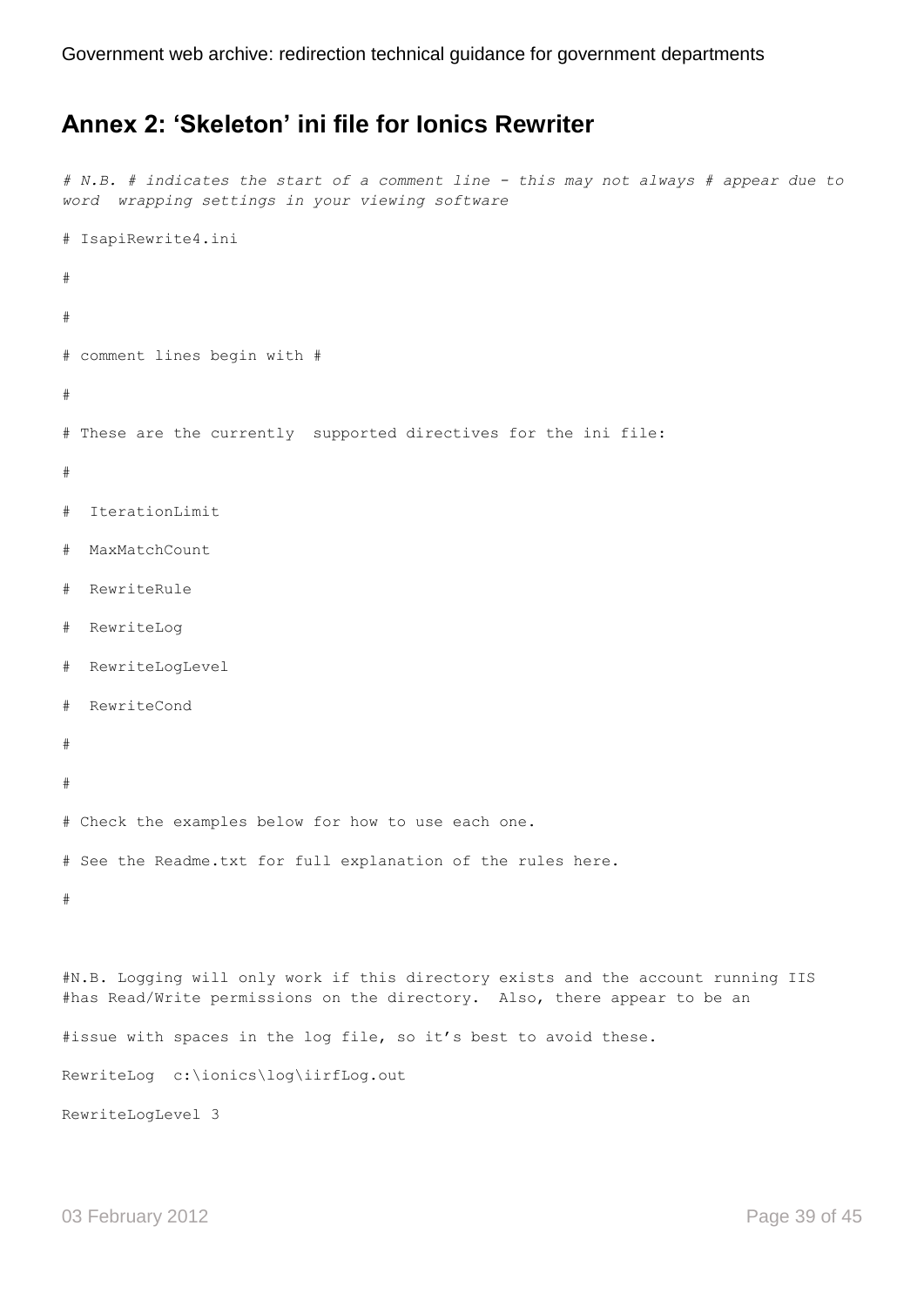## <span id="page-38-0"></span>**Annex 2: 'Skeleton' ini file for Ionics Rewriter**

```
# N.B. # indicates the start of a comment line - this may not always # appear due to 
word wrapping settings in your viewing software
# IsapiRewrite4.ini
#
# 
# comment lines begin with #
#
# These are the currently supported directives for the ini file: 
#
# IterationLimit
# MaxMatchCount 
# RewriteRule
# RewriteLog 
# RewriteLogLevel 
# RewriteCond
#
#
# Check the examples below for how to use each one. 
# See the Readme.txt for full explanation of the rules here.
#
#N.B. Logging will only work if this directory exists and the account running IIS 
#has Read/Write permissions on the directory. Also, there appear to be an
#issue with spaces in the log file, so it's best to avoid these.
RewriteLog c:\ionics\log\iirfLog.out
```
RewriteLogLevel 3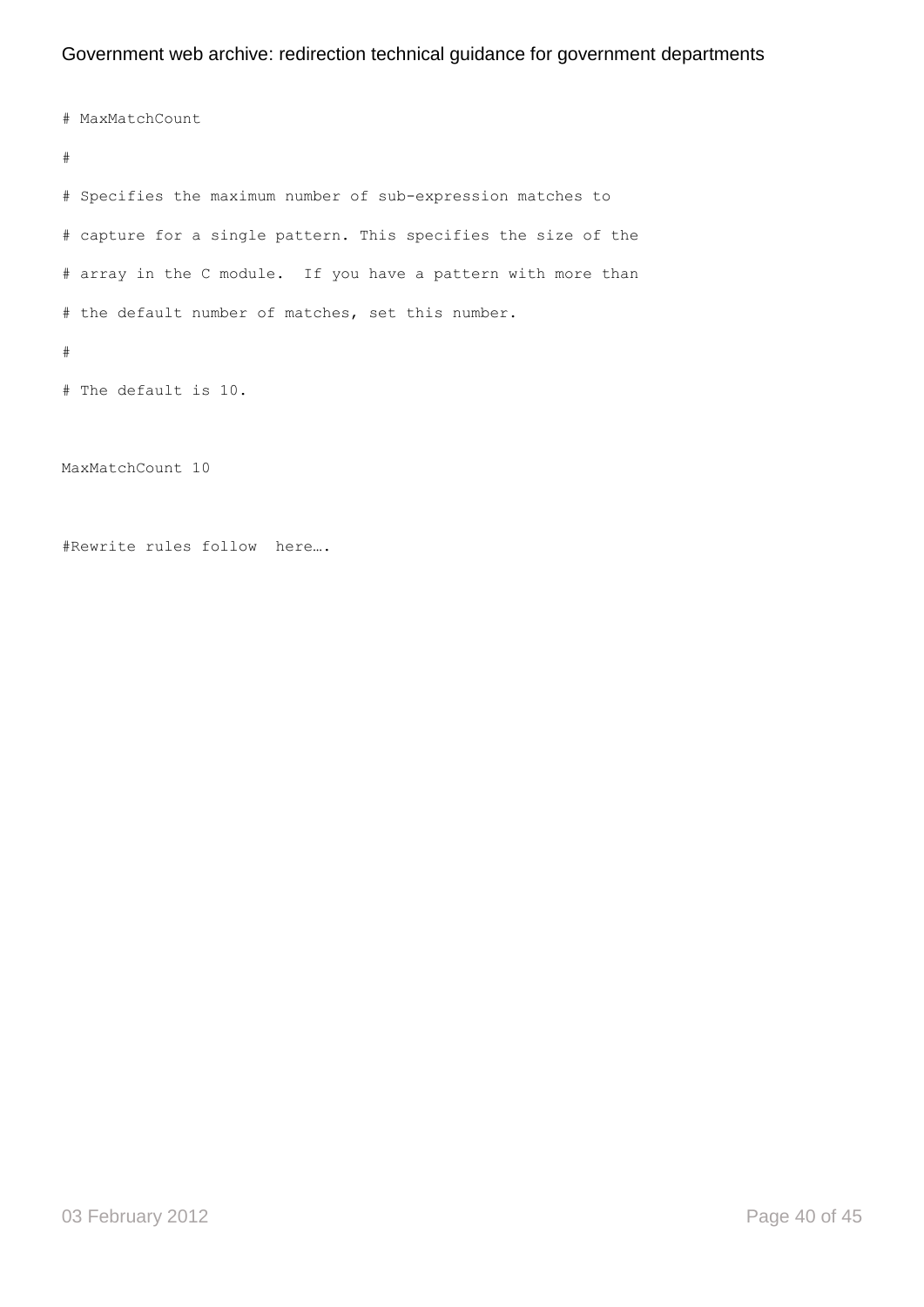# MaxMatchCount # # Specifies the maximum number of sub-expression matches to # capture for a single pattern. This specifies the size of the # array in the C module. If you have a pattern with more than # the default number of matches, set this number. # # The default is 10.

MaxMatchCount 10

#Rewrite rules follow here….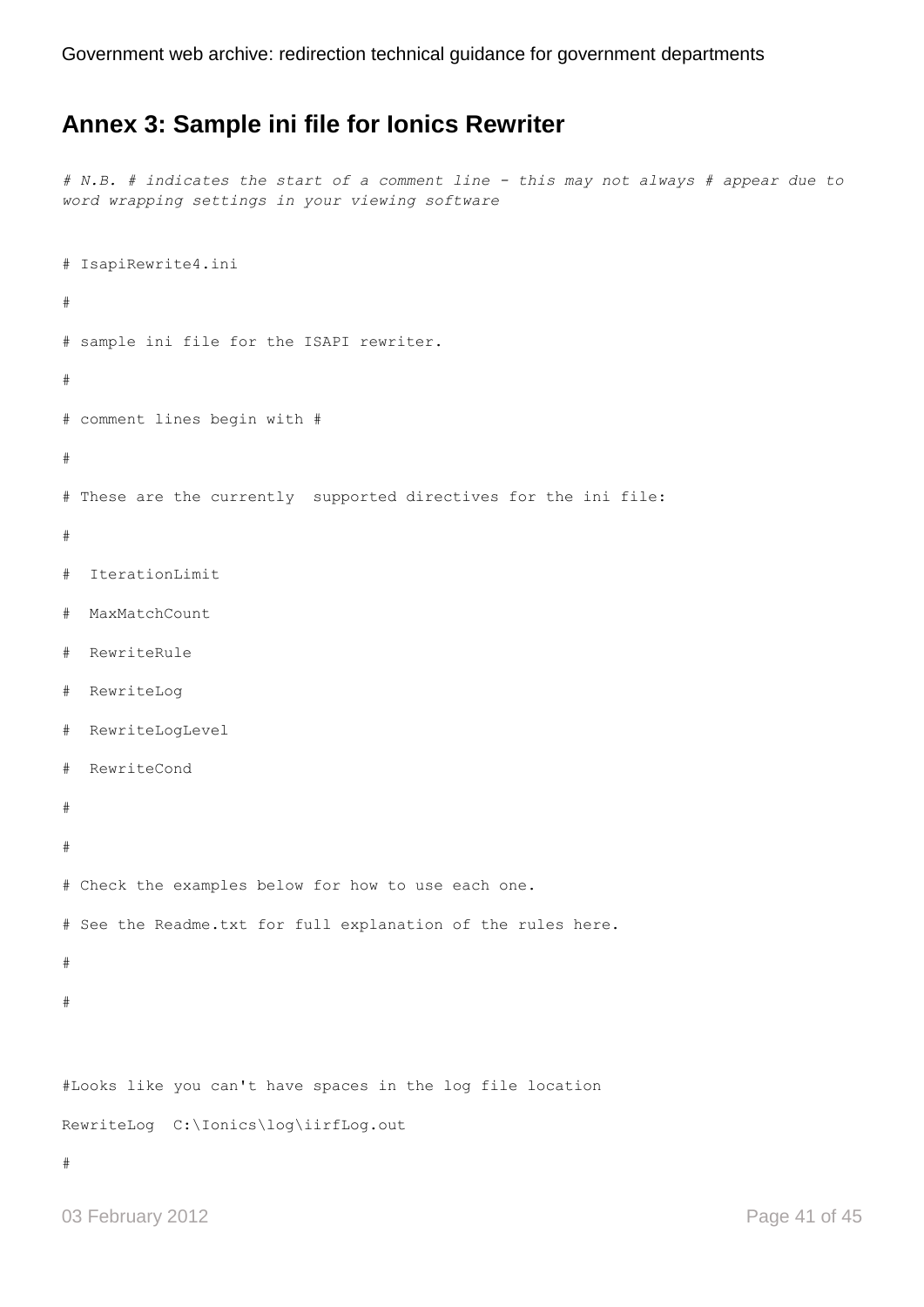## <span id="page-40-0"></span>**Annex 3: Sample ini file for Ionics Rewriter**

*# N.B. # indicates the start of a comment line - this may not always # appear due to word wrapping settings in your viewing software*

```
# IsapiRewrite4.ini
#
# sample ini file for the ISAPI rewriter. 
# 
# comment lines begin with #
#
# These are the currently supported directives for the ini file: 
#
# IterationLimit
# MaxMatchCount 
# RewriteRule
# RewriteLog 
# RewriteLogLevel 
# RewriteCond
#
#
# Check the examples below for how to use each one. 
# See the Readme.txt for full explanation of the rules here.
#
#
#Looks like you can't have spaces in the log file location
RewriteLog C:\Ionics\log\iirfLog.out
#
```

```
03 February 2012 Page 41 of 45
```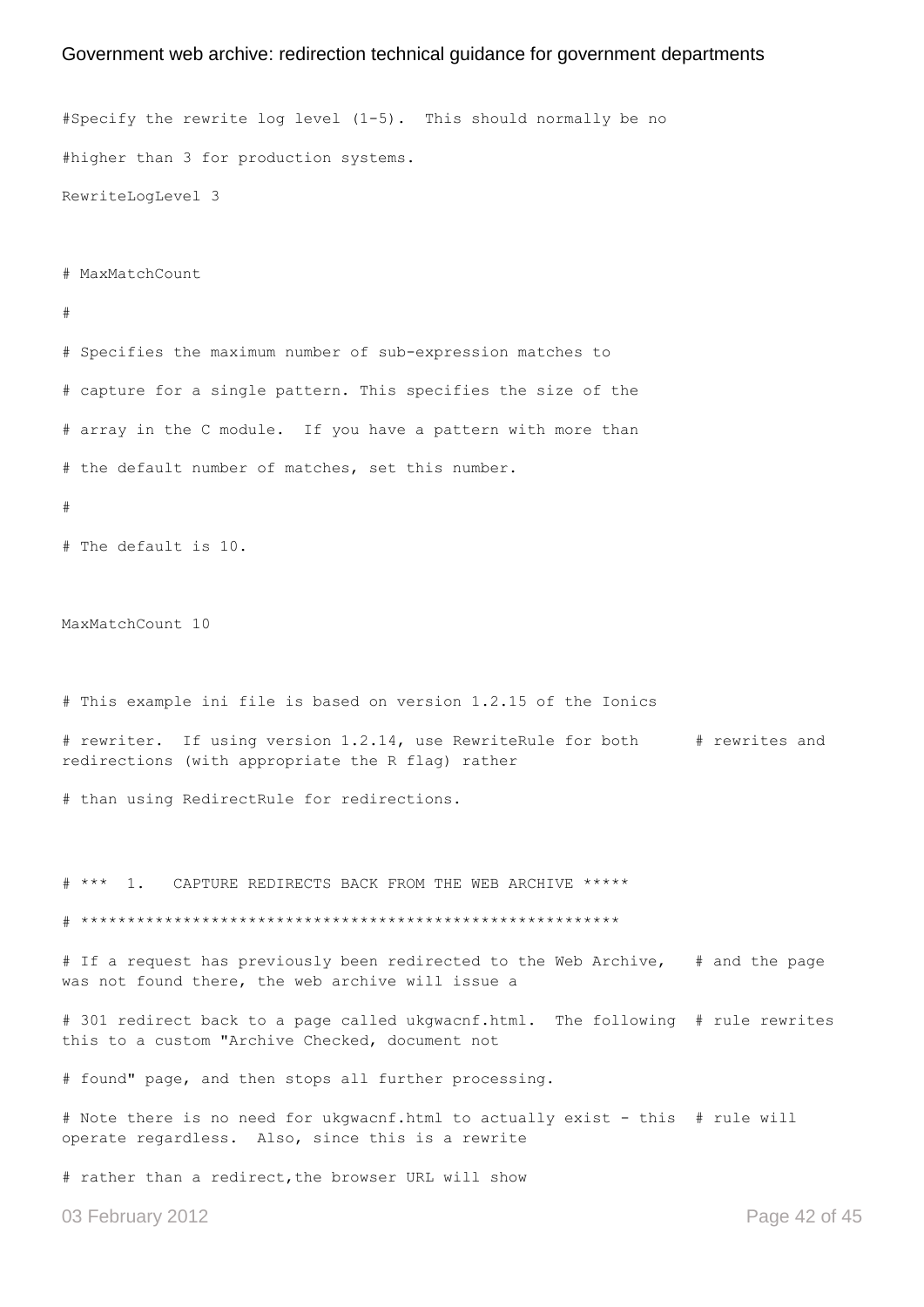#Specify the rewrite log level (1-5). This should normally be no #higher than 3 for production systems. RewriteLogLevel 3 # MaxMatchCount # # Specifies the maximum number of sub-expression matches to # capture for a single pattern. This specifies the size of the # array in the C module. If you have a pattern with more than # the default number of matches, set this number. # # The default is 10. MaxMatchCount 10 # This example ini file is based on version 1.2.15 of the Ionics # rewriter. If using version 1.2.14, use RewriteRule for both # rewrites and redirections (with appropriate the R flag) rather # than using RedirectRule for redirections. # \*\*\* 1. CAPTURE REDIRECTS BACK FROM THE WEB ARCHIVE \*\*\*\*\* # \*\*\*\*\*\*\*\*\*\*\*\*\*\*\*\*\*\*\*\*\*\*\*\*\*\*\*\*\*\*\*\*\*\*\*\*\*\*\*\*\*\*\*\*\*\*\*\*\*\*\*\*\*\*\*\*\*\* # If a request has previously been redirected to the Web Archive, # and the page was not found there, the web archive will issue a # 301 redirect back to a page called ukgwacnf.html. The following # rule rewrites this to a custom "Archive Checked, document not # found" page, and then stops all further processing. # Note there is no need for ukgwacnf.html to actually exist - this # rule will operate regardless. Also, since this is a rewrite # rather than a redirect,the browser URL will show

03 February 2012 **Page 42 of 45**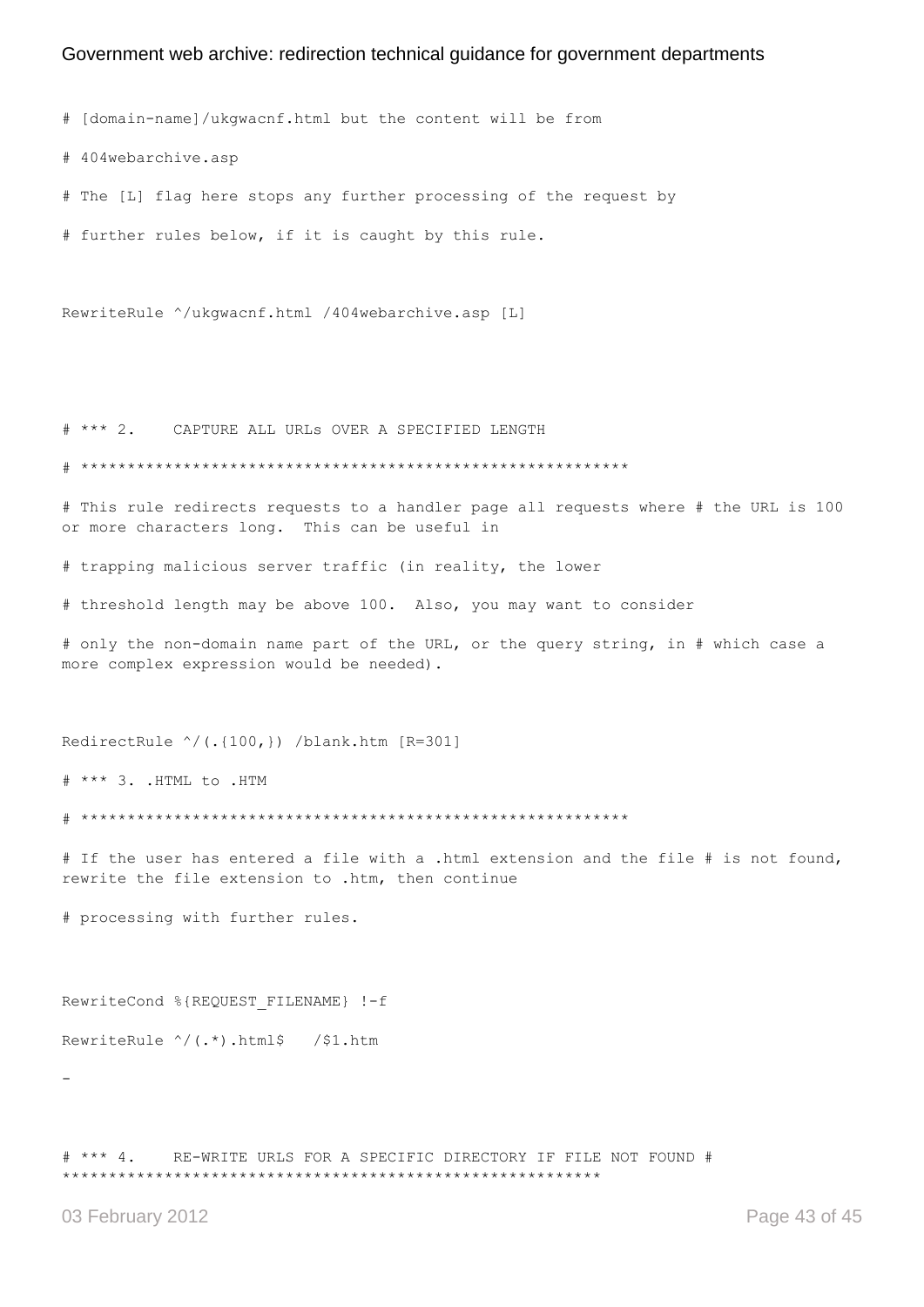# [domain-name]/ukgwacnf.html but the content will be from

# 404webarchive.asp

# The [L] flag here stops any further processing of the request by

# further rules below, if it is caught by this rule.

RewriteRule ^/ukgwacnf.html /404webarchive.asp [L]

# \*\*\* 2. CAPTURE ALL URLs OVER A SPECIFIED LENGTH

# \*\*\*\*\*\*\*\*\*\*\*\*\*\*\*\*\*\*\*\*\*\*\*\*\*\*\*\*\*\*\*\*\*\*\*\*\*\*\*\*\*\*\*\*\*\*\*\*\*\*\*\*\*\*\*\*\*\*\*

# This rule redirects requests to a handler page all requests where # the URL is 100 or more characters long. This can be useful in

# trapping malicious server traffic (in reality, the lower

# threshold length may be above 100. Also, you may want to consider

# only the non-domain name part of the URL, or the query string, in # which case a more complex expression would be needed).

RedirectRule ^/(.{100,}) /blank.htm [R=301]

# \*\*\* 3. .HTML to .HTM

# \*\*\*\*\*\*\*\*\*\*\*\*\*\*\*\*\*\*\*\*\*\*\*\*\*\*\*\*\*\*\*\*\*\*\*\*\*\*\*\*\*\*\*\*\*\*\*\*\*\*\*\*\*\*\*\*\*\*\*

# If the user has entered a file with a .html extension and the file # is not found, rewrite the file extension to .htm, then continue

# processing with further rules.

RewriteCond %{REQUEST FILENAME} !-f

RewriteRule ^/(.\*).html\$ /\$1.htm

-

# \*\*\* 4. RE-WRITE URLS FOR A SPECIFIC DIRECTORY IF FILE NOT FOUND # \*\*\*\*\*\*\*\*\*\*\*\*\*\*\*\*\*\*\*\*\*\*\*\*\*\*\*\*\*\*\*\*\*\*\*\*\*\*\*\*\*\*\*\*\*\*\*\*\*\*\*\*\*\*\*\*\*\*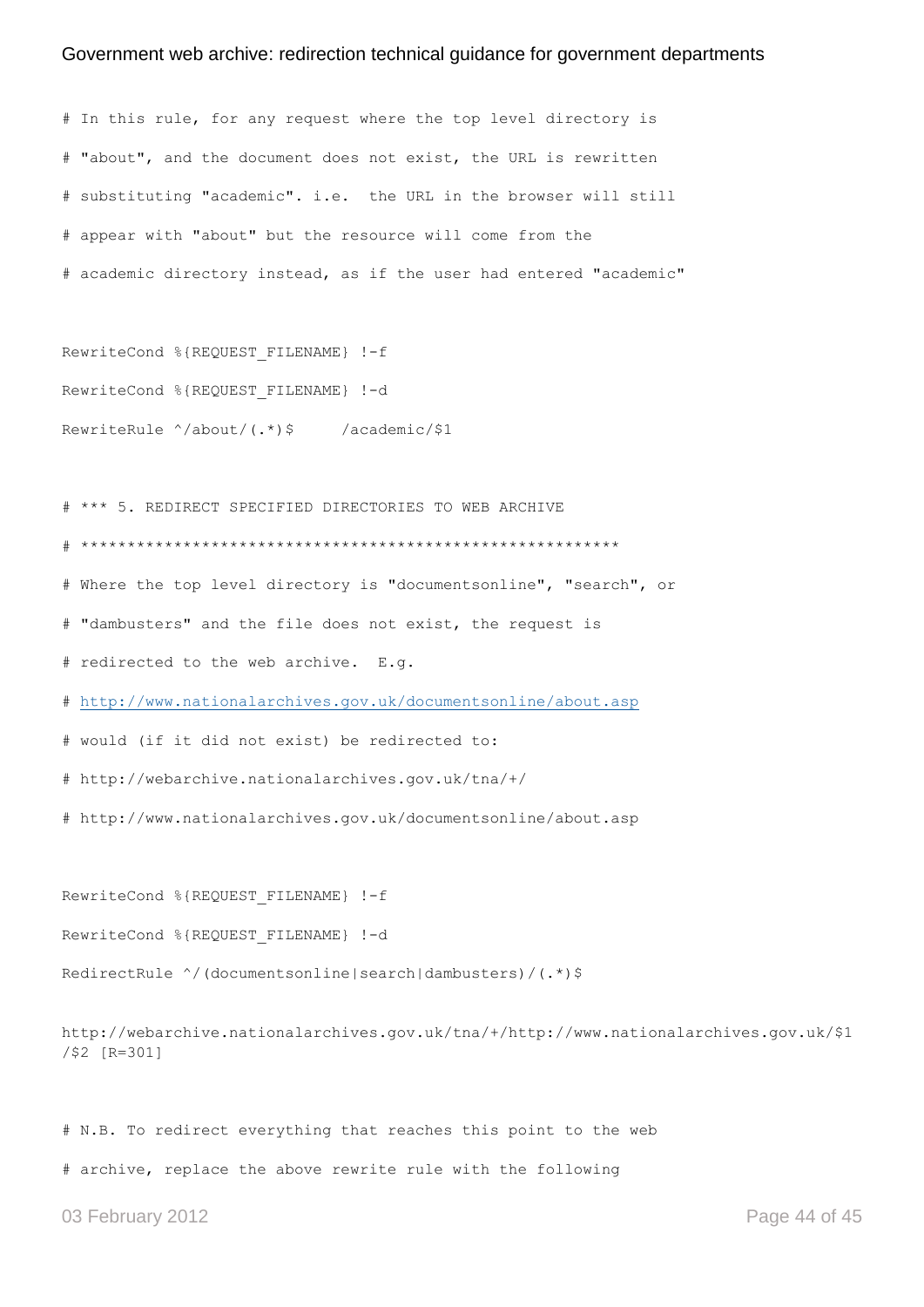# In this rule, for any request where the top level directory is # "about", and the document does not exist, the URL is rewritten # substituting "academic". i.e. the URL in the browser will still # appear with "about" but the resource will come from the # academic directory instead, as if the user had entered "academic" RewriteCond %{REQUEST FILENAME} !-f RewriteCond %{REQUEST\_FILENAME} !-d

```
RewriteRule ^/about/(.*)$ /academic/$1
```
# \*\*\* 5. REDIRECT SPECIFIED DIRECTORIES TO WEB ARCHIVE

# \*\*\*\*\*\*\*\*\*\*\*\*\*\*\*\*\*\*\*\*\*\*\*\*\*\*\*\*\*\*\*\*\*\*\*\*\*\*\*\*\*\*\*\*\*\*\*\*\*\*\*\*\*\*\*\*\*\*

# Where the top level directory is "documentsonline", "search", or

# "dambusters" and the file does not exist, the request is

# redirected to the web archive. E.g.

#<http://www.nationalarchives.gov.uk/documentsonline/about.asp>

# would (if it did not exist) be redirected to:

# http://webarchive.nationalarchives.gov.uk/tna/+/

# http://www.nationalarchives.gov.uk/documentsonline/about.asp

RewriteCond %{REQUEST FILENAME} !-f

RewriteCond %{REQUEST FILENAME} !-d

RedirectRule ^/(documentsonline|search|dambusters)/(.\*)\$

http://webarchive.nationalarchives.gov.uk/tna/+/http://www.nationalarchives.gov.uk/\$1 /\$2 [R=301]

# N.B. To redirect everything that reaches this point to the web

# archive, replace the above rewrite rule with the following